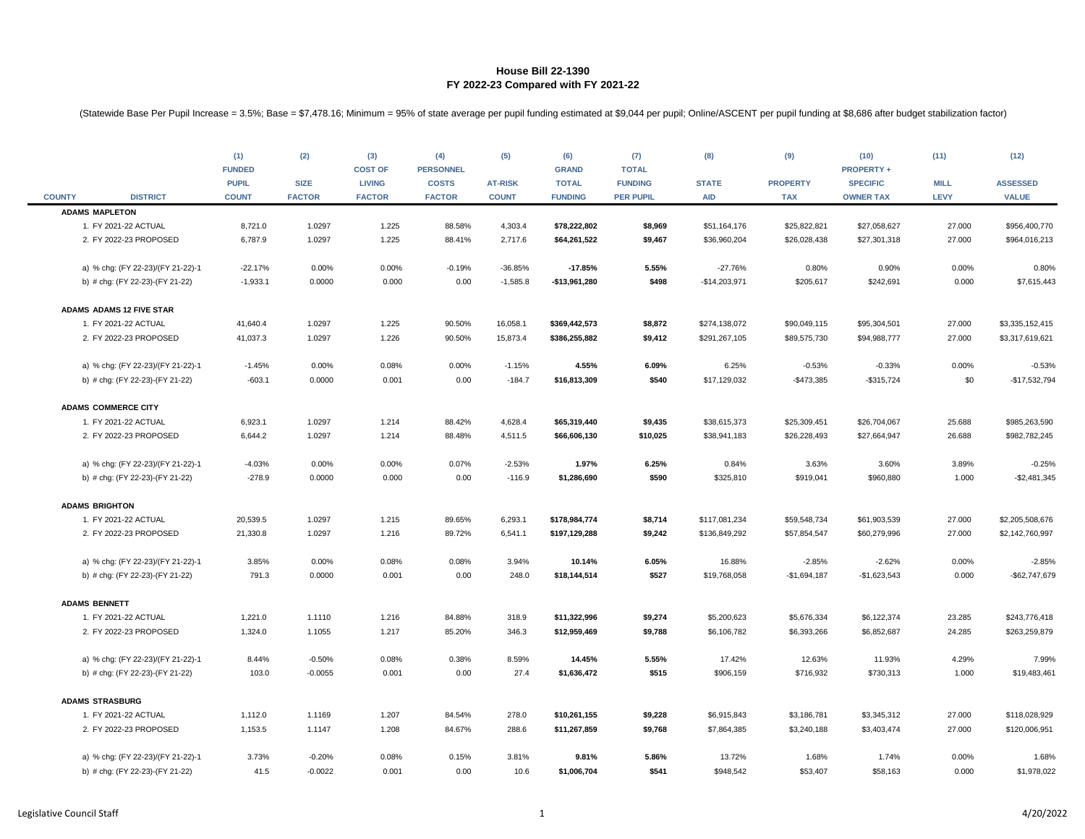|               |                                   | (1)<br><b>FUNDED</b>         | (2)                          | (3)<br><b>COST OF</b>          | (4)<br><b>PERSONNEL</b>       | (5)                            | (6)<br><b>GRAND</b>            | (7)<br><b>TOTAL</b>                | (8)                        | (9)                           | (10)<br><b>PROPERTY +</b>           | (11)                       | (12)                            |
|---------------|-----------------------------------|------------------------------|------------------------------|--------------------------------|-------------------------------|--------------------------------|--------------------------------|------------------------------------|----------------------------|-------------------------------|-------------------------------------|----------------------------|---------------------------------|
| <b>COUNTY</b> | <b>DISTRICT</b>                   | <b>PUPIL</b><br><b>COUNT</b> | <b>SIZE</b><br><b>FACTOR</b> | <b>LIVING</b><br><b>FACTOR</b> | <b>COSTS</b><br><b>FACTOR</b> | <b>AT-RISK</b><br><b>COUNT</b> | <b>TOTAL</b><br><b>FUNDING</b> | <b>FUNDING</b><br><b>PER PUPIL</b> | <b>STATE</b><br><b>AID</b> | <b>PROPERTY</b><br><b>TAX</b> | <b>SPECIFIC</b><br><b>OWNER TAX</b> | <b>MILL</b><br><b>LEVY</b> | <b>ASSESSED</b><br><b>VALUE</b> |
|               | <b>ADAMS MAPLETON</b>             |                              |                              |                                |                               |                                |                                |                                    |                            |                               |                                     |                            |                                 |
|               | 1. FY 2021-22 ACTUAL              | 8,721.0                      | 1.0297                       | 1.225                          | 88.58%                        | 4,303.4                        | \$78,222,802                   | \$8,969                            | \$51,164,176               | \$25,822,821                  | \$27,058,627                        | 27.000                     | \$956,400,770                   |
|               | 2. FY 2022-23 PROPOSED            | 6,787.9                      | 1.0297                       | 1.225                          | 88.41%                        | 2,717.6                        | \$64,261,522                   | \$9,467                            | \$36,960,204               | \$26,028,438                  | \$27,301,318                        | 27.000                     | \$964,016,213                   |
|               | a) % chg: (FY 22-23)/(FY 21-22)-1 | $-22.17%$                    | 0.00%                        | 0.00%                          | $-0.19%$                      | $-36.85%$                      | $-17.85%$                      | 5.55%                              | $-27.76%$                  | 0.80%                         | 0.90%                               | 0.00%                      | 0.80%                           |
|               | b) # chg: (FY 22-23)-(FY 21-22)   | $-1,933.1$                   | 0.0000                       | 0.000                          | 0.00                          | $-1,585.8$                     | $-$13,961,280$                 | \$498                              | $-$14,203,971$             | \$205,617                     | \$242,691                           | 0.000                      | \$7,615,443                     |
|               | <b>ADAMS ADAMS 12 FIVE STAR</b>   |                              |                              |                                |                               |                                |                                |                                    |                            |                               |                                     |                            |                                 |
|               | 1. FY 2021-22 ACTUAL              | 41,640.4                     | 1.0297                       | 1.225                          | 90.50%                        | 16,058.1                       | \$369,442,573                  | \$8,872                            | \$274,138,072              | \$90,049,115                  | \$95,304,501                        | 27.000                     | \$3,335,152,415                 |
|               | 2. FY 2022-23 PROPOSED            | 41,037.3                     | 1.0297                       | 1.226                          | 90.50%                        | 15,873.4                       | \$386,255,882                  | \$9,412                            | \$291,267,105              | \$89,575,730                  | \$94,988,777                        | 27.000                     | \$3,317,619,621                 |
|               | a) % chg: (FY 22-23)/(FY 21-22)-1 | $-1.45%$                     | 0.00%                        | 0.08%                          | 0.00%                         | $-1.15%$                       | 4.55%                          | 6.09%                              | 6.25%                      | $-0.53%$                      | $-0.33%$                            | 0.00%                      | $-0.53%$                        |
|               | b) # chg: (FY 22-23)-(FY 21-22)   | $-603.1$                     | 0.0000                       | 0.001                          | 0.00                          | $-184.7$                       | \$16,813,309                   | \$540                              | \$17,129,032               | $-$473,385$                   | $-$ \$315,724                       | \$0                        | $-$17,532,794$                  |
|               | <b>ADAMS COMMERCE CITY</b>        |                              |                              |                                |                               |                                |                                |                                    |                            |                               |                                     |                            |                                 |
|               | 1. FY 2021-22 ACTUAL              | 6,923.1                      | 1.0297                       | 1.214                          | 88.42%                        | 4,628.4                        | \$65,319,440                   | \$9,435                            | \$38,615,373               | \$25,309,451                  | \$26,704,067                        | 25.688                     | \$985,263,590                   |
|               | 2. FY 2022-23 PROPOSED            | 6,644.2                      | 1.0297                       | 1.214                          | 88.48%                        | 4,511.5                        | \$66,606,130                   | \$10,025                           | \$38,941,183               | \$26,228,493                  | \$27,664,947                        | 26.688                     | \$982,782,245                   |
|               | a) % chg: (FY 22-23)/(FY 21-22)-1 | $-4.03%$                     | 0.00%                        | 0.00%                          | 0.07%                         | $-2.53%$                       | 1.97%                          | 6.25%                              | 0.84%                      | 3.63%                         | 3.60%                               | 3.89%                      | $-0.25%$                        |
|               | b) # chg: (FY 22-23)-(FY 21-22)   | $-278.9$                     | 0.0000                       | 0.000                          | 0.00                          | $-116.9$                       | \$1,286,690                    | \$590                              | \$325,810                  | \$919,041                     | \$960,880                           | 1.000                      | $-$2,481,345$                   |
|               | <b>ADAMS BRIGHTON</b>             |                              |                              |                                |                               |                                |                                |                                    |                            |                               |                                     |                            |                                 |
|               | 1. FY 2021-22 ACTUAL              | 20,539.5                     | 1.0297                       | 1.215                          | 89.65%                        | 6,293.1                        | \$178,984,774                  | \$8,714                            | \$117,081,234              | \$59,548,734                  | \$61,903,539                        | 27.000                     | \$2,205,508,676                 |
|               | 2. FY 2022-23 PROPOSED            | 21,330.8                     | 1.0297                       | 1.216                          | 89.72%                        | 6,541.1                        | \$197,129,288                  | \$9,242                            | \$136,849,292              | \$57,854,547                  | \$60,279,996                        | 27.000                     | \$2,142,760,997                 |
|               | a) % chg: (FY 22-23)/(FY 21-22)-1 | 3.85%                        | 0.00%                        | 0.08%                          | 0.08%                         | 3.94%                          | 10.14%                         | 6.05%                              | 16.88%                     | $-2.85%$                      | $-2.62%$                            | 0.00%                      | $-2.85%$                        |
|               | b) # chg: (FY 22-23)-(FY 21-22)   | 791.3                        | 0.0000                       | 0.001                          | 0.00                          | 248.0                          | \$18,144,514                   | \$527                              | \$19,768,058               | $-$1,694,187$                 | $-$1,623,543$                       | 0.000                      | -\$62,747,679                   |
|               | <b>ADAMS BENNETT</b>              |                              |                              |                                |                               |                                |                                |                                    |                            |                               |                                     |                            |                                 |
|               | 1. FY 2021-22 ACTUAL              | 1,221.0                      | 1.1110                       | 1.216                          | 84.88%                        | 318.9                          | \$11,322,996                   | \$9,274                            | \$5,200,623                | \$5,676,334                   | \$6,122,374                         | 23.285                     | \$243,776,418                   |
|               | 2. FY 2022-23 PROPOSED            | 1,324.0                      | 1.1055                       | 1.217                          | 85.20%                        | 346.3                          | \$12,959,469                   | \$9,788                            | \$6,106,782                | \$6,393,266                   | \$6,852,687                         | 24.285                     | \$263,259,879                   |
|               | a) % chg: (FY 22-23)/(FY 21-22)-1 | 8.44%                        | $-0.50%$                     | 0.08%                          | 0.38%                         | 8.59%                          | 14.45%                         | 5.55%                              | 17.42%                     | 12.63%                        | 11.93%                              | 4.29%                      | 7.99%                           |
|               | b) # chg: (FY 22-23)-(FY 21-22)   | 103.0                        | $-0.0055$                    | 0.001                          | 0.00                          | 27.4                           | \$1,636,472                    | \$515                              | \$906,159                  | \$716,932                     | \$730,313                           | 1.000                      | \$19,483,461                    |
|               | <b>ADAMS STRASBURG</b>            |                              |                              |                                |                               |                                |                                |                                    |                            |                               |                                     |                            |                                 |
|               | 1. FY 2021-22 ACTUAL              | 1,112.0                      | 1.1169                       | 1.207                          | 84.54%                        | 278.0                          | \$10,261,155                   | \$9,228                            | \$6,915,843                | \$3,186,781                   | \$3,345,312                         | 27.000                     | \$118,028,929                   |
|               | 2. FY 2022-23 PROPOSED            | 1,153.5                      | 1.1147                       | 1.208                          | 84.67%                        | 288.6                          | \$11,267,859                   | \$9,768                            | \$7,864,385                | \$3,240,188                   | \$3,403,474                         | 27.000                     | \$120,006,951                   |
|               | a) % chg: (FY 22-23)/(FY 21-22)-1 | 3.73%                        | $-0.20%$                     | 0.08%                          | 0.15%                         | 3.81%                          | 9.81%                          | 5.86%                              | 13.72%                     | 1.68%                         | 1.74%                               | 0.00%                      | 1.68%                           |
|               | b) # chg: (FY 22-23)-(FY 21-22)   | 41.5                         | $-0.0022$                    | 0.001                          | 0.00                          | 10.6                           | \$1,006,704                    | \$541                              | \$948,542                  | \$53,407                      | \$58,163                            | 0.000                      | \$1,978,022                     |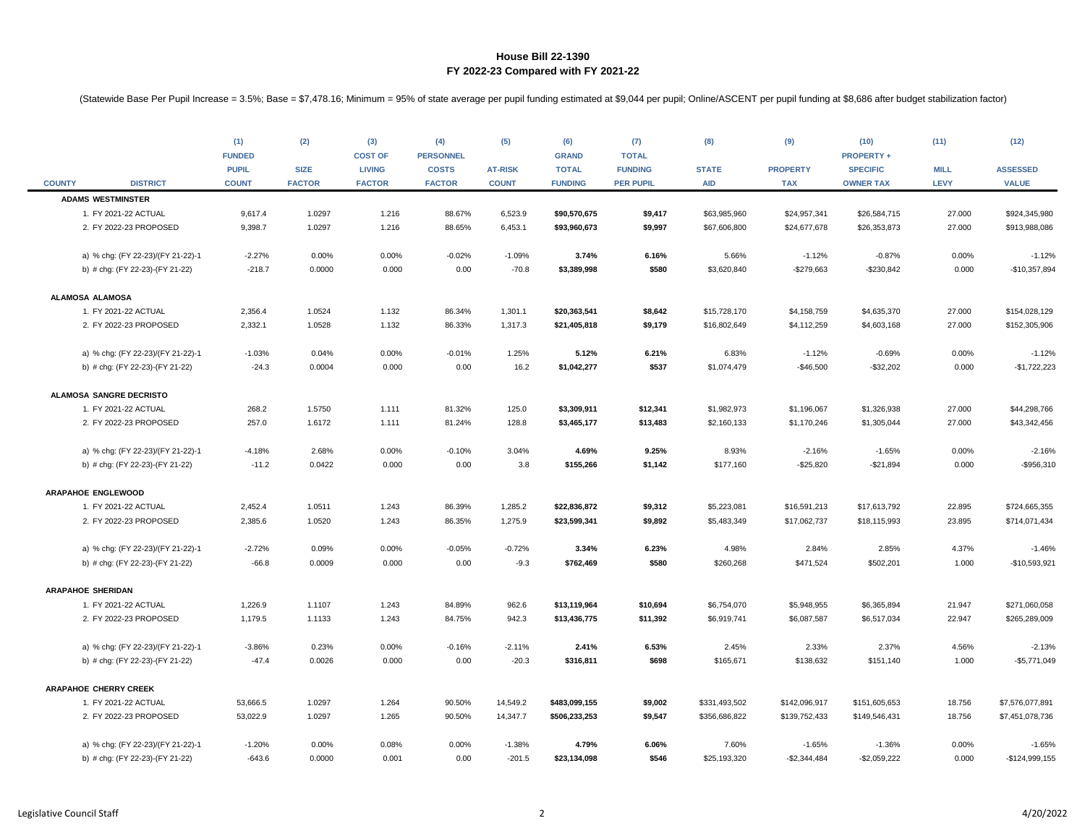|               |                                   | (1)<br><b>FUNDED</b><br><b>PUPIL</b> | (2)<br><b>SIZE</b> | (3)<br><b>COST OF</b><br><b>LIVING</b> | (4)<br><b>PERSONNEL</b><br><b>COSTS</b> | (5)<br><b>AT-RISK</b> | (6)<br><b>GRAND</b><br><b>TOTAL</b> | (7)<br><b>TOTAL</b><br><b>FUNDING</b> | (8)<br><b>STATE</b> | (9)<br><b>PROPERTY</b> | (10)<br><b>PROPERTY +</b><br><b>SPECIFIC</b> | (11)<br><b>MILL</b> | (12)<br><b>ASSESSED</b> |
|---------------|-----------------------------------|--------------------------------------|--------------------|----------------------------------------|-----------------------------------------|-----------------------|-------------------------------------|---------------------------------------|---------------------|------------------------|----------------------------------------------|---------------------|-------------------------|
| <b>COUNTY</b> | <b>DISTRICT</b>                   | <b>COUNT</b>                         | <b>FACTOR</b>      | <b>FACTOR</b>                          | <b>FACTOR</b>                           | <b>COUNT</b>          | <b>FUNDING</b>                      | <b>PER PUPIL</b>                      | <b>AID</b>          | <b>TAX</b>             | <b>OWNER TAX</b>                             | <b>LEVY</b>         | <b>VALUE</b>            |
|               | <b>ADAMS WESTMINSTER</b>          |                                      |                    |                                        |                                         |                       |                                     |                                       |                     |                        |                                              |                     |                         |
|               | 1. FY 2021-22 ACTUAL              | 9,617.4                              | 1.0297             | 1.216                                  | 88.67%                                  | 6,523.9               | \$90,570,675                        | \$9,417                               | \$63,985,960        | \$24,957,341           | \$26,584,715                                 | 27.000              | \$924,345,980           |
|               | 2. FY 2022-23 PROPOSED            | 9,398.7                              | 1.0297             | 1.216                                  | 88.65%                                  | 6,453.1               | \$93,960,673                        | \$9,997                               | \$67,606,800        | \$24,677,678           | \$26,353,873                                 | 27.000              | \$913,988,086           |
|               | a) % chg: (FY 22-23)/(FY 21-22)-1 | $-2.27%$                             | 0.00%              | 0.00%                                  | $-0.02%$                                | $-1.09%$              | 3.74%                               | 6.16%                                 | 5.66%               | $-1.12%$               | $-0.87%$                                     | 0.00%               | $-1.12%$                |
|               | b) # chg: (FY 22-23)-(FY 21-22)   | $-218.7$                             | 0.0000             | 0.000                                  | 0.00                                    | $-70.8$               | \$3,389,998                         | \$580                                 | \$3,620,840         | $-$279,663$            | $-$230,842$                                  | 0.000               | $-$10,357,894$          |
|               | ALAMOSA ALAMOSA                   |                                      |                    |                                        |                                         |                       |                                     |                                       |                     |                        |                                              |                     |                         |
|               | 1. FY 2021-22 ACTUAL              | 2,356.4                              | 1.0524             | 1.132                                  | 86.34%                                  | 1,301.1               | \$20,363,541                        | \$8,642                               | \$15,728,170        | \$4,158,759            | \$4,635,370                                  | 27.000              | \$154,028,129           |
|               | 2. FY 2022-23 PROPOSED            | 2,332.1                              | 1.0528             | 1.132                                  | 86.33%                                  | 1,317.3               | \$21,405,818                        | \$9,179                               | \$16,802,649        | \$4,112,259            | \$4,603,168                                  | 27.000              | \$152,305,906           |
|               | a) % chg: (FY 22-23)/(FY 21-22)-1 | $-1.03%$                             | 0.04%              | 0.00%                                  | $-0.01%$                                | 1.25%                 | 5.12%                               | 6.21%                                 | 6.83%               | $-1.12%$               | $-0.69%$                                     | 0.00%               | $-1.12%$                |
|               | b) # chg: (FY 22-23)-(FY 21-22)   | $-24.3$                              | 0.0004             | 0.000                                  | 0.00                                    | 16.2                  | \$1,042,277                         | \$537                                 | \$1,074,479         | $-$46,500$             | $-$32,202$                                   | 0.000               | $-$1,722,223$           |
|               | ALAMOSA SANGRE DECRISTO           |                                      |                    |                                        |                                         |                       |                                     |                                       |                     |                        |                                              |                     |                         |
|               | 1. FY 2021-22 ACTUAL              | 268.2                                | 1.5750             | 1.111                                  | 81.32%                                  | 125.0                 | \$3,309,911                         | \$12,341                              | \$1,982,973         | \$1,196,067            | \$1,326,938                                  | 27.000              | \$44,298,766            |
|               | 2. FY 2022-23 PROPOSED            | 257.0                                | 1.6172             | 1.111                                  | 81.24%                                  | 128.8                 | \$3,465,177                         | \$13,483                              | \$2,160,133         | \$1,170,246            | \$1,305,044                                  | 27.000              | \$43,342,456            |
|               | a) % chg: (FY 22-23)/(FY 21-22)-1 | $-4.18%$                             | 2.68%              | 0.00%                                  | $-0.10%$                                | 3.04%                 | 4.69%                               | 9.25%                                 | 8.93%               | $-2.16%$               | $-1.65%$                                     | 0.00%               | $-2.16%$                |
|               | b) # chg: (FY 22-23)-(FY 21-22)   | $-11.2$                              | 0.0422             | 0.000                                  | 0.00                                    | 3.8                   | \$155,266                           | \$1,142                               | \$177,160           | $-$25,820$             | $-$21,894$                                   | 0.000               | -\$956,310              |
|               | <b>ARAPAHOE ENGLEWOOD</b>         |                                      |                    |                                        |                                         |                       |                                     |                                       |                     |                        |                                              |                     |                         |
|               | 1. FY 2021-22 ACTUAL              | 2,452.4                              | 1.0511             | 1.243                                  | 86.39%                                  | 1,285.2               | \$22,836,872                        | \$9,312                               | \$5,223,081         | \$16,591,213           | \$17,613,792                                 | 22.895              | \$724,665,355           |
|               | 2. FY 2022-23 PROPOSED            | 2,385.6                              | 1.0520             | 1.243                                  | 86.35%                                  | 1,275.9               | \$23,599,341                        | \$9,892                               | \$5,483,349         | \$17,062,737           | \$18,115,993                                 | 23.895              | \$714,071,434           |
|               | a) % chg: (FY 22-23)/(FY 21-22)-1 | $-2.72%$                             | 0.09%              | 0.00%                                  | $-0.05%$                                | $-0.72%$              | 3.34%                               | 6.23%                                 | 4.98%               | 2.84%                  | 2.85%                                        | 4.37%               | $-1.46%$                |
|               | b) # chg: (FY 22-23)-(FY 21-22)   | $-66.8$                              | 0.0009             | 0.000                                  | 0.00                                    | $-9.3$                | \$762,469                           | \$580                                 | \$260,268           | \$471,524              | \$502,201                                    | 1.000               | $-$10,593,921$          |
|               | <b>ARAPAHOE SHERIDAN</b>          |                                      |                    |                                        |                                         |                       |                                     |                                       |                     |                        |                                              |                     |                         |
|               | 1. FY 2021-22 ACTUAL              | 1,226.9                              | 1.1107             | 1.243                                  | 84.89%                                  | 962.6                 | \$13,119,964                        | \$10,694                              | \$6,754,070         | \$5,948,955            | \$6,365,894                                  | 21.947              | \$271,060,058           |
|               | 2. FY 2022-23 PROPOSED            | 1,179.5                              | 1.1133             | 1.243                                  | 84.75%                                  | 942.3                 | \$13,436,775                        | \$11,392                              | \$6,919,741         | \$6,087,587            | \$6,517,034                                  | 22.947              | \$265,289,009           |
|               | a) % chg: (FY 22-23)/(FY 21-22)-1 | $-3.86%$                             | 0.23%              | 0.00%                                  | $-0.16%$                                | $-2.11%$              | 2.41%                               | 6.53%                                 | 2.45%               | 2.33%                  | 2.37%                                        | 4.56%               | $-2.13%$                |
|               | b) # chg: (FY 22-23)-(FY 21-22)   | $-47.4$                              | 0.0026             | 0.000                                  | 0.00                                    | $-20.3$               | \$316,811                           | \$698                                 | \$165,671           | \$138,632              | \$151,140                                    | 1.000               | $-$5,771,049$           |
|               | <b>ARAPAHOE CHERRY CREEK</b>      |                                      |                    |                                        |                                         |                       |                                     |                                       |                     |                        |                                              |                     |                         |
|               | 1. FY 2021-22 ACTUAL              | 53,666.5                             | 1.0297             | 1.264                                  | 90.50%                                  | 14,549.2              | \$483,099,155                       | \$9,002                               | \$331,493,502       | \$142,096,917          | \$151,605,653                                | 18.756              | \$7,576,077,891         |
|               | 2. FY 2022-23 PROPOSED            | 53,022.9                             | 1.0297             | 1.265                                  | 90.50%                                  | 14,347.7              | \$506,233,253                       | \$9,547                               | \$356,686,822       | \$139,752,433          | \$149,546,431                                | 18.756              | \$7,451,078,736         |
|               | a) % chg: (FY 22-23)/(FY 21-22)-1 | $-1.20%$                             | 0.00%              | 0.08%                                  | 0.00%                                   | $-1.38%$              | 4.79%                               | 6.06%                                 | 7.60%               | $-1.65%$               | $-1.36%$                                     | 0.00%               | $-1.65%$                |
|               | b) # chg: (FY 22-23)-(FY 21-22)   | $-643.6$                             | 0.0000             | 0.001                                  | 0.00                                    | $-201.5$              | \$23,134,098                        | \$546                                 | \$25,193,320        | $-$2,344,484$          | $-$2,059,222$                                | 0.000               | $-$124,999,155$         |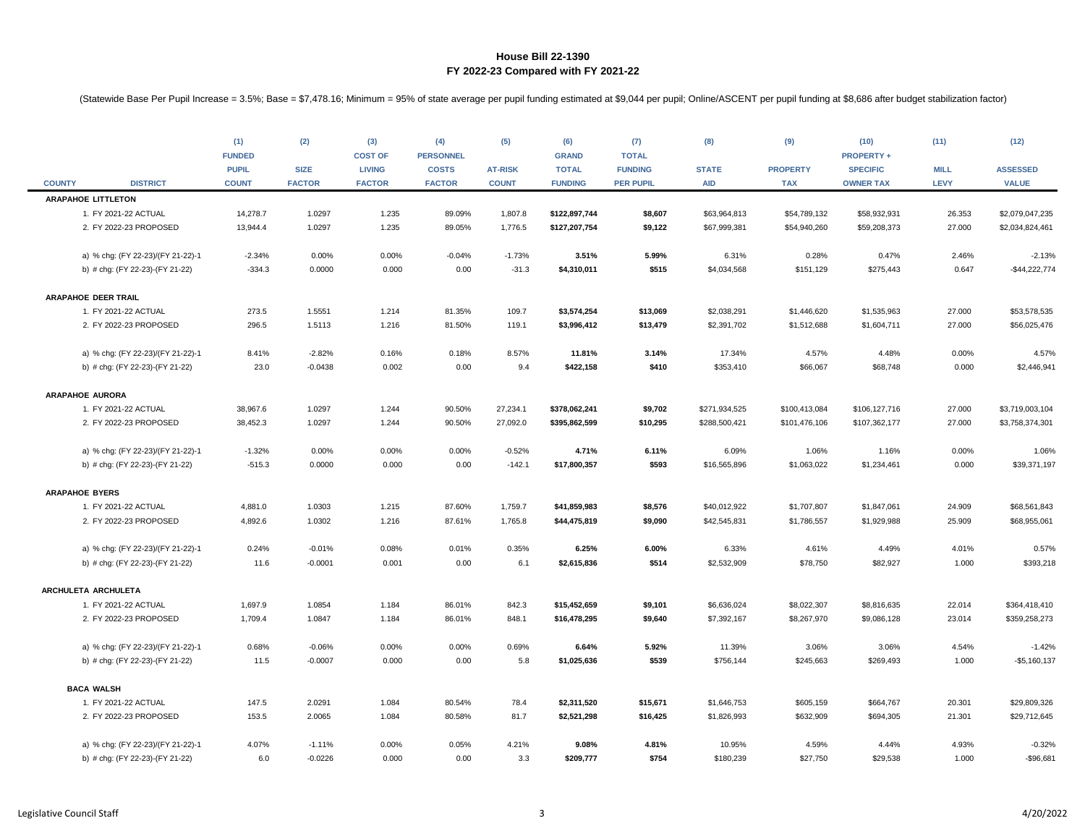|               |                                   | (1)<br><b>FUNDED</b><br><b>PUPIL</b> | (2)<br><b>SIZE</b> | (3)<br><b>COST OF</b><br><b>LIVING</b> | (4)<br><b>PERSONNEL</b><br><b>COSTS</b> | (5)<br><b>AT-RISK</b> | (6)<br><b>GRAND</b><br><b>TOTAL</b> | (7)<br><b>TOTAL</b><br><b>FUNDING</b> | (8)<br><b>STATE</b> | (9)<br><b>PROPERTY</b> | (10)<br><b>PROPERTY +</b><br><b>SPECIFIC</b> | (11)<br><b>MILL</b> | (12)<br><b>ASSESSED</b> |
|---------------|-----------------------------------|--------------------------------------|--------------------|----------------------------------------|-----------------------------------------|-----------------------|-------------------------------------|---------------------------------------|---------------------|------------------------|----------------------------------------------|---------------------|-------------------------|
| <b>COUNTY</b> | <b>DISTRICT</b>                   | <b>COUNT</b>                         | <b>FACTOR</b>      | <b>FACTOR</b>                          | <b>FACTOR</b>                           | <b>COUNT</b>          | <b>FUNDING</b>                      | <b>PER PUPIL</b>                      | <b>AID</b>          | <b>TAX</b>             | <b>OWNER TAX</b>                             | LEVY                | <b>VALUE</b>            |
|               | <b>ARAPAHOE LITTLETON</b>         |                                      |                    |                                        |                                         |                       |                                     |                                       |                     |                        |                                              |                     |                         |
|               | 1. FY 2021-22 ACTUAL              | 14,278.7                             | 1.0297             | 1.235                                  | 89.09%                                  | 1,807.8               | \$122,897,744                       | \$8,607                               | \$63,964,813        | \$54,789,132           | \$58,932,931                                 | 26.353              | \$2,079,047,235         |
|               | 2. FY 2022-23 PROPOSED            | 13,944.4                             | 1.0297             | 1.235                                  | 89.05%                                  | 1,776.5               | \$127,207,754                       | \$9,122                               | \$67,999,381        | \$54,940,260           | \$59,208,373                                 | 27.000              | \$2,034,824,461         |
|               | a) % chg: (FY 22-23)/(FY 21-22)-1 | $-2.34%$                             | 0.00%              | 0.00%                                  | $-0.04%$                                | $-1.73%$              | 3.51%                               | 5.99%                                 | 6.31%               | 0.28%                  | 0.47%                                        | 2.46%               | $-2.13%$                |
|               | b) # chg: (FY 22-23)-(FY 21-22)   | $-334.3$                             | 0.0000             | 0.000                                  | 0.00                                    | $-31.3$               | \$4,310,011                         | \$515                                 | \$4,034,568         | \$151,129              | \$275,443                                    | 0.647               | $-$44,222,774$          |
|               | <b>ARAPAHOE DEER TRAIL</b>        |                                      |                    |                                        |                                         |                       |                                     |                                       |                     |                        |                                              |                     |                         |
|               | 1. FY 2021-22 ACTUAL              | 273.5                                | 1.5551             | 1.214                                  | 81.35%                                  | 109.7                 | \$3,574,254                         | \$13,069                              | \$2,038,291         | \$1,446,620            | \$1,535,963                                  | 27.000              | \$53,578,535            |
|               | 2. FY 2022-23 PROPOSED            | 296.5                                | 1.5113             | 1.216                                  | 81.50%                                  | 119.1                 | \$3,996,412                         | \$13,479                              | \$2,391,702         | \$1,512,688            | \$1,604,711                                  | 27.000              | \$56,025,476            |
|               | a) % chg: (FY 22-23)/(FY 21-22)-1 | 8.41%                                | $-2.82%$           | 0.16%                                  | 0.18%                                   | 8.57%                 | 11.81%                              | 3.14%                                 | 17.34%              | 4.57%                  | 4.48%                                        | 0.00%               | 4.57%                   |
|               | b) # chg: (FY 22-23)-(FY 21-22)   | 23.0                                 | $-0.0438$          | 0.002                                  | 0.00                                    | 9.4                   | \$422,158                           | \$410                                 | \$353,410           | \$66,067               | \$68,748                                     | 0.000               | \$2,446,941             |
|               | <b>ARAPAHOE AURORA</b>            |                                      |                    |                                        |                                         |                       |                                     |                                       |                     |                        |                                              |                     |                         |
|               | 1. FY 2021-22 ACTUAL              | 38,967.6                             | 1.0297             | 1.244                                  | 90.50%                                  | 27,234.1              | \$378,062,241                       | \$9,702                               | \$271,934,525       | \$100,413,084          | \$106,127,716                                | 27.000              | \$3,719,003,104         |
|               | 2. FY 2022-23 PROPOSED            | 38,452.3                             | 1.0297             | 1.244                                  | 90.50%                                  | 27,092.0              | \$395,862,599                       | \$10,295                              | \$288,500,421       | \$101,476,106          | \$107,362,177                                | 27.000              | \$3,758,374,301         |
|               | a) % chg: (FY 22-23)/(FY 21-22)-1 | $-1.32%$                             | 0.00%              | 0.00%                                  | 0.00%                                   | $-0.52%$              | 4.71%                               | 6.11%                                 | 6.09%               | 1.06%                  | 1.16%                                        | 0.00%               | 1.06%                   |
|               | b) # chg: (FY 22-23)-(FY 21-22)   | $-515.3$                             | 0.0000             | 0.000                                  | 0.00                                    | $-142.1$              | \$17,800,357                        | \$593                                 | \$16,565,896        | \$1,063,022            | \$1,234,461                                  | 0.000               | \$39,371,197            |
|               | <b>ARAPAHOE BYERS</b>             |                                      |                    |                                        |                                         |                       |                                     |                                       |                     |                        |                                              |                     |                         |
|               | 1. FY 2021-22 ACTUAL              | 4,881.0                              | 1.0303             | 1.215                                  | 87.60%                                  | 1,759.7               | \$41,859,983                        | \$8,576                               | \$40,012,922        | \$1,707,807            | \$1,847,061                                  | 24.909              | \$68,561,843            |
|               | 2. FY 2022-23 PROPOSED            | 4,892.6                              | 1.0302             | 1.216                                  | 87.61%                                  | 1,765.8               | \$44,475,819                        | \$9,090                               | \$42,545,831        | \$1,786,557            | \$1,929,988                                  | 25.909              | \$68,955,061            |
|               | a) % chg: (FY 22-23)/(FY 21-22)-1 | 0.24%                                | $-0.01%$           | 0.08%                                  | 0.01%                                   | 0.35%                 | 6.25%                               | 6.00%                                 | 6.33%               | 4.61%                  | 4.49%                                        | 4.01%               | 0.57%                   |
|               | b) # chg: (FY 22-23)-(FY 21-22)   | 11.6                                 | $-0.0001$          | 0.001                                  | 0.00                                    | 6.1                   | \$2,615,836                         | \$514                                 | \$2,532,909         | \$78,750               | \$82,927                                     | 1.000               | \$393,218               |
|               | ARCHULETA ARCHULETA               |                                      |                    |                                        |                                         |                       |                                     |                                       |                     |                        |                                              |                     |                         |
|               | 1. FY 2021-22 ACTUAL              | 1,697.9                              | 1.0854             | 1.184                                  | 86.01%                                  | 842.3                 | \$15,452,659                        | \$9,101                               | \$6,636,024         | \$8,022,307            | \$8,816,635                                  | 22.014              | \$364,418,410           |
|               | 2. FY 2022-23 PROPOSED            | 1,709.4                              | 1.0847             | 1.184                                  | 86.01%                                  | 848.1                 | \$16,478,295                        | \$9,640                               | \$7,392,167         | \$8,267,970            | \$9,086,128                                  | 23.014              | \$359,258,273           |
|               | a) % chg: (FY 22-23)/(FY 21-22)-1 | 0.68%                                | $-0.06%$           | 0.00%                                  | 0.00%                                   | 0.69%                 | 6.64%                               | 5.92%                                 | 11.39%              | 3.06%                  | 3.06%                                        | 4.54%               | $-1.42%$                |
|               | b) # chg: (FY 22-23)-(FY 21-22)   | 11.5                                 | $-0.0007$          | 0.000                                  | 0.00                                    | 5.8                   | \$1,025,636                         | \$539                                 | \$756,144           | \$245,663              | \$269,493                                    | 1.000               | $-$5,160,137$           |
|               | <b>BACA WALSH</b>                 |                                      |                    |                                        |                                         |                       |                                     |                                       |                     |                        |                                              |                     |                         |
|               | 1. FY 2021-22 ACTUAL              | 147.5                                | 2.0291             | 1.084                                  | 80.54%                                  | 78.4                  | \$2,311,520                         | \$15,671                              | \$1,646,753         | \$605,159              | \$664,767                                    | 20.301              | \$29,809,326            |
|               | 2. FY 2022-23 PROPOSED            | 153.5                                | 2.0065             | 1.084                                  | 80.58%                                  | 81.7                  | \$2,521,298                         | \$16,425                              | \$1,826,993         | \$632,909              | \$694,305                                    | 21.301              | \$29,712,645            |
|               | a) % chg: (FY 22-23)/(FY 21-22)-1 | 4.07%                                | $-1.11%$           | 0.00%                                  | 0.05%                                   | 4.21%                 | 9.08%                               | 4.81%                                 | 10.95%              | 4.59%                  | 4.44%                                        | 4.93%               | $-0.32%$                |
|               | b) # chg: (FY 22-23)-(FY 21-22)   | 6.0                                  | $-0.0226$          | 0.000                                  | 0.00                                    | 3.3                   | \$209,777                           | \$754                                 | \$180,239           | \$27,750               | \$29,538                                     | 1.000               | -\$96,681               |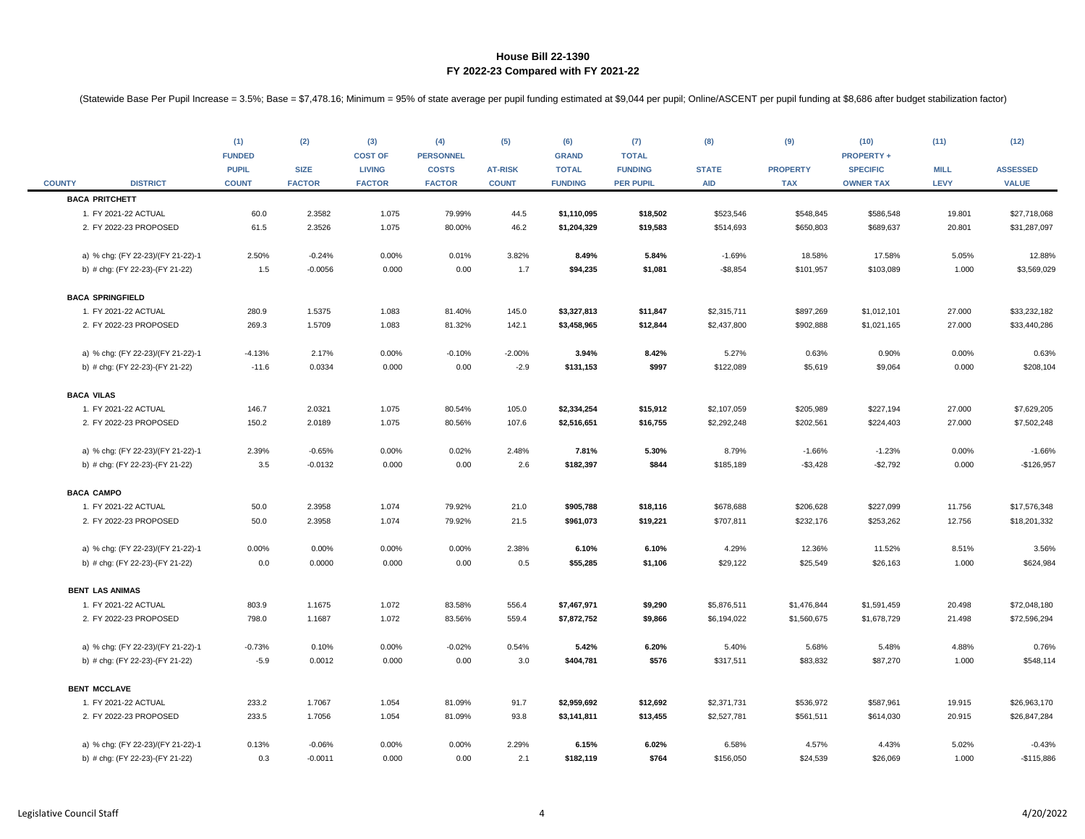| <b>COUNTY</b> | <b>DISTRICT</b>                   | (1)<br><b>FUNDED</b><br><b>PUPIL</b><br><b>COUNT</b> | (2)<br><b>SIZE</b><br><b>FACTOR</b> | (3)<br><b>COST OF</b><br><b>LIVING</b><br><b>FACTOR</b> | (4)<br><b>PERSONNEL</b><br><b>COSTS</b><br><b>FACTOR</b> | (5)<br><b>AT-RISK</b><br><b>COUNT</b> | (6)<br><b>GRAND</b><br><b>TOTAL</b><br><b>FUNDING</b> | (7)<br><b>TOTAL</b><br><b>FUNDING</b><br><b>PER PUPIL</b> | (8)<br><b>STATE</b><br><b>AID</b> | (9)<br><b>PROPERTY</b><br><b>TAX</b> | (10)<br><b>PROPERTY +</b><br><b>SPECIFIC</b><br><b>OWNER TAX</b> | (11)<br><b>MILL</b><br><b>LEVY</b> | (12)<br><b>ASSESSED</b><br><b>VALUE</b> |
|---------------|-----------------------------------|------------------------------------------------------|-------------------------------------|---------------------------------------------------------|----------------------------------------------------------|---------------------------------------|-------------------------------------------------------|-----------------------------------------------------------|-----------------------------------|--------------------------------------|------------------------------------------------------------------|------------------------------------|-----------------------------------------|
|               | <b>BACA PRITCHETT</b>             |                                                      |                                     |                                                         |                                                          |                                       |                                                       |                                                           |                                   |                                      |                                                                  |                                    |                                         |
|               | 1. FY 2021-22 ACTUAL              | 60.0                                                 | 2.3582                              | 1.075                                                   | 79.99%                                                   | 44.5                                  | \$1,110,095                                           | \$18,502                                                  | \$523,546                         | \$548,845                            | \$586,548                                                        | 19.801                             | \$27,718,068                            |
|               | 2. FY 2022-23 PROPOSED            | 61.5                                                 | 2.3526                              | 1.075                                                   | 80.00%                                                   | 46.2                                  | \$1,204,329                                           | \$19,583                                                  | \$514,693                         | \$650,803                            | \$689,637                                                        | 20.801                             | \$31,287,097                            |
|               | a) % chg: (FY 22-23)/(FY 21-22)-1 | 2.50%                                                | $-0.24%$                            | 0.00%                                                   | 0.01%                                                    | 3.82%                                 | 8.49%                                                 | 5.84%                                                     | $-1.69%$                          | 18.58%                               | 17.58%                                                           | 5.05%                              | 12.88%                                  |
|               | b) # chg: (FY 22-23)-(FY 21-22)   | 1.5                                                  | $-0.0056$                           | 0.000                                                   | 0.00                                                     | 1.7                                   | \$94,235                                              | \$1,081                                                   | $-$ \$8,854                       | \$101,957                            | \$103,089                                                        | 1.000                              | \$3,569,029                             |
|               | <b>BACA SPRINGFIELD</b>           |                                                      |                                     |                                                         |                                                          |                                       |                                                       |                                                           |                                   |                                      |                                                                  |                                    |                                         |
|               | 1. FY 2021-22 ACTUAL              | 280.9                                                | 1.5375                              | 1.083                                                   | 81.40%                                                   | 145.0                                 | \$3,327,813                                           | \$11,847                                                  | \$2,315,711                       | \$897,269                            | \$1,012,101                                                      | 27.000                             | \$33,232,182                            |
|               | 2. FY 2022-23 PROPOSED            | 269.3                                                | 1.5709                              | 1.083                                                   | 81.32%                                                   | 142.1                                 | \$3,458,965                                           | \$12,844                                                  | \$2,437,800                       | \$902,888                            | \$1,021,165                                                      | 27.000                             | \$33,440,286                            |
|               | a) % chg: (FY 22-23)/(FY 21-22)-1 | $-4.13%$                                             | 2.17%                               | 0.00%                                                   | $-0.10%$                                                 | $-2.00%$                              | 3.94%                                                 | 8.42%                                                     | 5.27%                             | 0.63%                                | 0.90%                                                            | 0.00%                              | 0.63%                                   |
|               | b) # chg: (FY 22-23)-(FY 21-22)   | $-11.6$                                              | 0.0334                              | 0.000                                                   | 0.00                                                     | $-2.9$                                | \$131,153                                             | \$997                                                     | \$122,089                         | \$5,619                              | \$9,064                                                          | 0.000                              | \$208,104                               |
|               | <b>BACA VILAS</b>                 |                                                      |                                     |                                                         |                                                          |                                       |                                                       |                                                           |                                   |                                      |                                                                  |                                    |                                         |
|               | 1. FY 2021-22 ACTUAL              | 146.7                                                | 2.0321                              | 1.075                                                   | 80.54%                                                   | 105.0                                 | \$2,334,254                                           | \$15,912                                                  | \$2,107,059                       | \$205,989                            | \$227,194                                                        | 27.000                             | \$7,629,205                             |
|               | 2. FY 2022-23 PROPOSED            | 150.2                                                | 2.0189                              | 1.075                                                   | 80.56%                                                   | 107.6                                 | \$2,516,651                                           | \$16,755                                                  | \$2,292,248                       | \$202,561                            | \$224,403                                                        | 27.000                             | \$7,502,248                             |
|               | a) % chg: (FY 22-23)/(FY 21-22)-1 | 2.39%                                                | $-0.65%$                            | 0.00%                                                   | 0.02%                                                    | 2.48%                                 | 7.81%                                                 | 5.30%                                                     | 8.79%                             | $-1.66%$                             | $-1.23%$                                                         | 0.00%                              | $-1.66%$                                |
|               | b) # chg: (FY 22-23)-(FY 21-22)   | $3.5\,$                                              | $-0.0132$                           | 0.000                                                   | 0.00                                                     | 2.6                                   | \$182,397                                             | \$844                                                     | \$185,189                         | $- $3,428$                           | $-$2,792$                                                        | 0.000                              | $-$126,957$                             |
|               | <b>BACA CAMPO</b>                 |                                                      |                                     |                                                         |                                                          |                                       |                                                       |                                                           |                                   |                                      |                                                                  |                                    |                                         |
|               | 1. FY 2021-22 ACTUAL              | 50.0                                                 | 2.3958                              | 1.074                                                   | 79.92%                                                   | 21.0                                  | \$905,788                                             | \$18,116                                                  | \$678,688                         | \$206,628                            | \$227,099                                                        | 11.756                             | \$17,576,348                            |
|               | 2. FY 2022-23 PROPOSED            | 50.0                                                 | 2.3958                              | 1.074                                                   | 79.92%                                                   | 21.5                                  | \$961,073                                             | \$19,221                                                  | \$707,811                         | \$232,176                            | \$253,262                                                        | 12.756                             | \$18,201,332                            |
|               | a) % chg: (FY 22-23)/(FY 21-22)-1 | 0.00%                                                | 0.00%                               | 0.00%                                                   | 0.00%                                                    | 2.38%                                 | 6.10%                                                 | 6.10%                                                     | 4.29%                             | 12.36%                               | 11.52%                                                           | 8.51%                              | 3.56%                                   |
|               | b) # chg: (FY 22-23)-(FY 21-22)   | 0.0                                                  | 0.0000                              | 0.000                                                   | 0.00                                                     | 0.5                                   | \$55,285                                              | \$1,106                                                   | \$29,122                          | \$25,549                             | \$26,163                                                         | 1.000                              | \$624,984                               |
|               | <b>BENT LAS ANIMAS</b>            |                                                      |                                     |                                                         |                                                          |                                       |                                                       |                                                           |                                   |                                      |                                                                  |                                    |                                         |
|               | 1. FY 2021-22 ACTUAL              | 803.9                                                | 1.1675                              | 1.072                                                   | 83.58%                                                   | 556.4                                 | \$7,467,971                                           | \$9,290                                                   | \$5,876,511                       | \$1,476,844                          | \$1,591,459                                                      | 20.498                             | \$72,048,180                            |
|               | 2. FY 2022-23 PROPOSED            | 798.0                                                | 1.1687                              | 1.072                                                   | 83.56%                                                   | 559.4                                 | \$7,872,752                                           | \$9,866                                                   | \$6,194,022                       | \$1,560,675                          | \$1,678,729                                                      | 21.498                             | \$72,596,294                            |
|               | a) % chg: (FY 22-23)/(FY 21-22)-1 | $-0.73%$                                             | 0.10%                               | 0.00%                                                   | $-0.02%$                                                 | 0.54%                                 | 5.42%                                                 | 6.20%                                                     | 5.40%                             | 5.68%                                | 5.48%                                                            | 4.88%                              | 0.76%                                   |
|               | b) # chg: (FY 22-23)-(FY 21-22)   | $-5.9$                                               | 0.0012                              | 0.000                                                   | 0.00                                                     | 3.0                                   | \$404,781                                             | \$576                                                     | \$317,511                         | \$83,832                             | \$87,270                                                         | 1.000                              | \$548,114                               |
|               | <b>BENT MCCLAVE</b>               |                                                      |                                     |                                                         |                                                          |                                       |                                                       |                                                           |                                   |                                      |                                                                  |                                    |                                         |
|               | 1. FY 2021-22 ACTUAL              | 233.2                                                | 1.7067                              | 1.054                                                   | 81.09%                                                   | 91.7                                  | \$2,959,692                                           | \$12,692                                                  | \$2,371,731                       | \$536,972                            | \$587,961                                                        | 19.915                             | \$26,963,170                            |
|               | 2. FY 2022-23 PROPOSED            | 233.5                                                | 1.7056                              | 1.054                                                   | 81.09%                                                   | 93.8                                  | \$3,141,811                                           | \$13,455                                                  | \$2,527,781                       | \$561,511                            | \$614,030                                                        | 20.915                             | \$26,847,284                            |
|               | a) % chg: (FY 22-23)/(FY 21-22)-1 | 0.13%                                                | $-0.06%$                            | 0.00%                                                   | 0.00%                                                    | 2.29%                                 | 6.15%                                                 | 6.02%                                                     | 6.58%                             | 4.57%                                | 4.43%                                                            | 5.02%                              | $-0.43%$                                |
|               | b) # chg: (FY 22-23)-(FY 21-22)   | 0.3                                                  | $-0.0011$                           | 0.000                                                   | 0.00                                                     | 2.1                                   | \$182,119                                             | \$764                                                     | \$156,050                         | \$24,539                             | \$26,069                                                         | 1.000                              | $-$115,886$                             |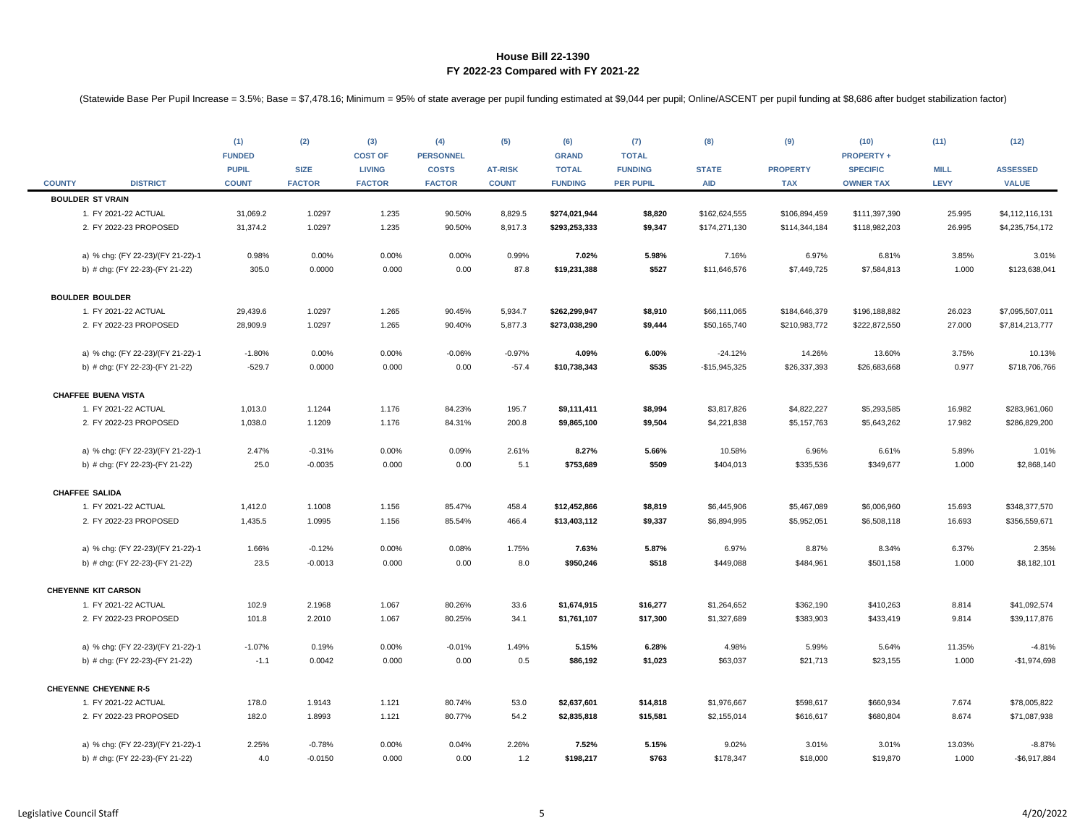|               |                                   | (1)<br><b>FUNDED</b><br><b>PUPIL</b> | (2)<br><b>SIZE</b> | (3)<br><b>COST OF</b><br><b>LIVING</b> | (4)<br><b>PERSONNEL</b><br><b>COSTS</b> | (5)<br><b>AT-RISK</b> | (6)<br><b>GRAND</b><br><b>TOTAL</b> | (7)<br><b>TOTAL</b><br><b>FUNDING</b> | (8)<br><b>STATE</b> | (9)<br><b>PROPERTY</b> | (10)<br><b>PROPERTY +</b><br><b>SPECIFIC</b> | (11)<br><b>MILL</b> | (12)<br><b>ASSESSED</b> |
|---------------|-----------------------------------|--------------------------------------|--------------------|----------------------------------------|-----------------------------------------|-----------------------|-------------------------------------|---------------------------------------|---------------------|------------------------|----------------------------------------------|---------------------|-------------------------|
| <b>COUNTY</b> | <b>DISTRICT</b>                   | <b>COUNT</b>                         | <b>FACTOR</b>      | <b>FACTOR</b>                          | <b>FACTOR</b>                           | <b>COUNT</b>          | <b>FUNDING</b>                      | <b>PER PUPIL</b>                      | <b>AID</b>          | <b>TAX</b>             | <b>OWNER TAX</b>                             | <b>LEVY</b>         | <b>VALUE</b>            |
|               | <b>BOULDER ST VRAIN</b>           |                                      |                    |                                        |                                         |                       |                                     |                                       |                     |                        |                                              |                     |                         |
|               | 1. FY 2021-22 ACTUAL              | 31,069.2                             | 1.0297             | 1.235                                  | 90.50%                                  | 8,829.5               | \$274,021,944                       | \$8,820                               | \$162,624,555       | \$106,894,459          | \$111,397,390                                | 25.995              | \$4,112,116,131         |
|               | 2. FY 2022-23 PROPOSED            | 31,374.2                             | 1.0297             | 1.235                                  | 90.50%                                  | 8,917.3               | \$293,253,333                       | \$9,347                               | \$174,271,130       | \$114,344,184          | \$118,982,203                                | 26.995              | \$4,235,754,172         |
|               | a) % chg: (FY 22-23)/(FY 21-22)-1 | 0.98%                                | 0.00%              | 0.00%                                  | 0.00%                                   | 0.99%                 | 7.02%                               | 5.98%                                 | 7.16%               | 6.97%                  | 6.81%                                        | 3.85%               | 3.01%                   |
|               | b) # chg: (FY 22-23)-(FY 21-22)   | 305.0                                | 0.0000             | 0.000                                  | 0.00                                    | 87.8                  | \$19,231,388                        | \$527                                 | \$11,646,576        | \$7,449,725            | \$7,584,813                                  | 1.000               | \$123,638,041           |
|               | <b>BOULDER BOULDER</b>            |                                      |                    |                                        |                                         |                       |                                     |                                       |                     |                        |                                              |                     |                         |
|               | 1. FY 2021-22 ACTUAL              | 29,439.6                             | 1.0297             | 1.265                                  | 90.45%                                  | 5,934.7               | \$262,299,947                       | \$8,910                               | \$66,111,065        | \$184,646,379          | \$196,188,882                                | 26.023              | \$7,095,507,011         |
|               | 2. FY 2022-23 PROPOSED            | 28,909.9                             | 1.0297             | 1.265                                  | 90.40%                                  | 5,877.3               | \$273,038,290                       | \$9,444                               | \$50,165,740        | \$210,983,772          | \$222,872,550                                | 27.000              | \$7,814,213,777         |
|               | a) % chg: (FY 22-23)/(FY 21-22)-1 | $-1.80%$                             | 0.00%              | 0.00%                                  | $-0.06%$                                | $-0.97%$              | 4.09%                               | 6.00%                                 | $-24.12%$           | 14.26%                 | 13.60%                                       | 3.75%               | 10.13%                  |
|               | b) # chg: (FY 22-23)-(FY 21-22)   | $-529.7$                             | 0.0000             | 0.000                                  | 0.00                                    | $-57.4$               | \$10,738,343                        | \$535                                 | $-$15,945,325$      | \$26,337,393           | \$26,683,668                                 | 0.977               | \$718,706,766           |
|               | <b>CHAFFEE BUENA VISTA</b>        |                                      |                    |                                        |                                         |                       |                                     |                                       |                     |                        |                                              |                     |                         |
|               | 1. FY 2021-22 ACTUAL              | 1,013.0                              | 1.1244             | 1.176                                  | 84.23%                                  | 195.7                 | \$9,111,411                         | \$8,994                               | \$3,817,826         | \$4,822,227            | \$5,293,585                                  | 16.982              | \$283,961,060           |
|               | 2. FY 2022-23 PROPOSED            | 1,038.0                              | 1.1209             | 1.176                                  | 84.31%                                  | 200.8                 | \$9,865,100                         | \$9,504                               | \$4,221,838         | \$5,157,763            | \$5,643,262                                  | 17.982              | \$286,829,200           |
|               | a) % chg: (FY 22-23)/(FY 21-22)-1 | 2.47%                                | $-0.31%$           | 0.00%                                  | 0.09%                                   | 2.61%                 | 8.27%                               | 5.66%                                 | 10.58%              | 6.96%                  | 6.61%                                        | 5.89%               | 1.01%                   |
|               | b) # chg: (FY 22-23)-(FY 21-22)   | 25.0                                 | $-0.0035$          | 0.000                                  | 0.00                                    | 5.1                   | \$753,689                           | \$509                                 | \$404,013           | \$335,536              | \$349,677                                    | 1.000               | \$2,868,140             |
|               | <b>CHAFFEE SALIDA</b>             |                                      |                    |                                        |                                         |                       |                                     |                                       |                     |                        |                                              |                     |                         |
|               | 1. FY 2021-22 ACTUAL              | 1,412.0                              | 1.1008             | 1.156                                  | 85.47%                                  | 458.4                 | \$12,452,866                        | \$8,819                               | \$6,445,906         | \$5,467,089            | \$6,006,960                                  | 15.693              | \$348,377,570           |
|               | 2. FY 2022-23 PROPOSED            | 1,435.5                              | 1.0995             | 1.156                                  | 85.54%                                  | 466.4                 | \$13,403,112                        | \$9,337                               | \$6,894,995         | \$5,952,051            | \$6,508,118                                  | 16.693              | \$356,559,671           |
|               | a) % chg: (FY 22-23)/(FY 21-22)-1 | 1.66%                                | $-0.12%$           | 0.00%                                  | 0.08%                                   | 1.75%                 | 7.63%                               | 5.87%                                 | 6.97%               | 8.87%                  | 8.34%                                        | 6.37%               | 2.35%                   |
|               | b) # chg: (FY 22-23)-(FY 21-22)   | 23.5                                 | $-0.0013$          | 0.000                                  | 0.00                                    | 8.0                   | \$950,246                           | \$518                                 | \$449,088           | \$484,961              | \$501,158                                    | 1.000               | \$8,182,101             |
|               | <b>CHEYENNE KIT CARSON</b>        |                                      |                    |                                        |                                         |                       |                                     |                                       |                     |                        |                                              |                     |                         |
|               | 1. FY 2021-22 ACTUAL              | 102.9                                | 2.1968             | 1.067                                  | 80.26%                                  | 33.6                  | \$1,674,915                         | \$16,277                              | \$1,264,652         | \$362,190              | \$410,263                                    | 8.814               | \$41,092,574            |
|               | 2. FY 2022-23 PROPOSED            | 101.8                                | 2.2010             | 1.067                                  | 80.25%                                  | 34.1                  | \$1,761,107                         | \$17,300                              | \$1,327,689         | \$383,903              | \$433,419                                    | 9.814               | \$39,117,876            |
|               | a) % chg: (FY 22-23)/(FY 21-22)-1 | $-1.07%$                             | 0.19%              | 0.00%                                  | $-0.01%$                                | 1.49%                 | 5.15%                               | 6.28%                                 | 4.98%               | 5.99%                  | 5.64%                                        | 11.35%              | $-4.81%$                |
|               | b) # chg: (FY 22-23)-(FY 21-22)   | $-1.1$                               | 0.0042             | 0.000                                  | 0.00                                    | 0.5                   | \$86,192                            | \$1,023                               | \$63,037            | \$21,713               | \$23,155                                     | 1.000               | $-$1,974,698$           |
|               | <b>CHEYENNE CHEYENNE R-5</b>      |                                      |                    |                                        |                                         |                       |                                     |                                       |                     |                        |                                              |                     |                         |
|               | 1. FY 2021-22 ACTUAL              | 178.0                                | 1.9143             | 1.121                                  | 80.74%                                  | 53.0                  | \$2,637,601                         | \$14,818                              | \$1,976,667         | \$598,617              | \$660,934                                    | 7.674               | \$78,005,822            |
|               | 2. FY 2022-23 PROPOSED            | 182.0                                | 1.8993             | 1.121                                  | 80.77%                                  | 54.2                  | \$2,835,818                         | \$15,581                              | \$2,155,014         | \$616,617              | \$680,804                                    | 8.674               | \$71,087,938            |
|               | a) % chg: (FY 22-23)/(FY 21-22)-1 | 2.25%                                | $-0.78%$           | 0.00%                                  | 0.04%                                   | 2.26%                 | 7.52%                               | 5.15%                                 | 9.02%               | 3.01%                  | 3.01%                                        | 13.03%              | $-8.87%$                |
|               | b) # chg: (FY 22-23)-(FY 21-22)   | 4.0                                  | $-0.0150$          | 0.000                                  | 0.00                                    | 1.2                   | \$198,217                           | \$763                                 | \$178,347           | \$18,000               | \$19,870                                     | 1.000               | $-$6,917,884$           |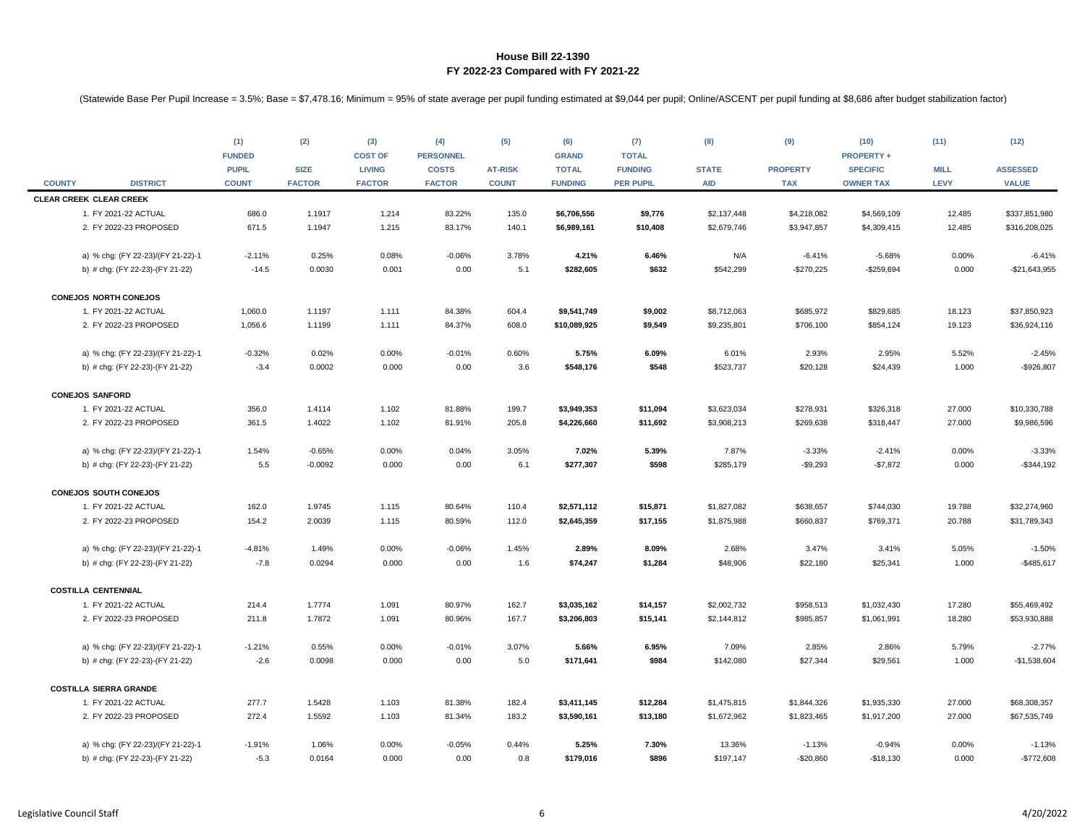|               |                                   | (1)           | (2)           | (3)            | (4)              | (5)            | (6)            | (7)              | (8)          | (9)             | (10)              | (11)        | (12)            |
|---------------|-----------------------------------|---------------|---------------|----------------|------------------|----------------|----------------|------------------|--------------|-----------------|-------------------|-------------|-----------------|
|               |                                   | <b>FUNDED</b> |               | <b>COST OF</b> | <b>PERSONNEL</b> |                | <b>GRAND</b>   | <b>TOTAL</b>     |              |                 | <b>PROPERTY +</b> |             |                 |
|               |                                   | <b>PUPIL</b>  | <b>SIZE</b>   | <b>LIVING</b>  | <b>COSTS</b>     | <b>AT-RISK</b> | <b>TOTAL</b>   | <b>FUNDING</b>   | <b>STATE</b> | <b>PROPERTY</b> | <b>SPECIFIC</b>   | <b>MILL</b> | <b>ASSESSED</b> |
| <b>COUNTY</b> | <b>DISTRICT</b>                   | <b>COUNT</b>  | <b>FACTOR</b> | <b>FACTOR</b>  | <b>FACTOR</b>    | <b>COUNT</b>   | <b>FUNDING</b> | <b>PER PUPIL</b> | <b>AID</b>   | <b>TAX</b>      | <b>OWNER TAX</b>  | <b>LEVY</b> | <b>VALUE</b>    |
|               | <b>CLEAR CREEK CLEAR CREEK</b>    |               |               |                |                  |                |                |                  |              |                 |                   |             |                 |
|               | 1. FY 2021-22 ACTUAL              | 686.0         | 1.1917        | 1.214          | 83.22%           | 135.0          | \$6,706,556    | \$9,776          | \$2,137,448  | \$4,218,082     | \$4,569,109       | 12.485      | \$337,851,980   |
|               | 2. FY 2022-23 PROPOSED            | 671.5         | 1.1947        | 1.215          | 83.17%           | 140.1          | \$6,989,161    | \$10,408         | \$2,679,746  | \$3,947,857     | \$4,309,415       | 12.485      | \$316,208,025   |
|               | a) % chg: (FY 22-23)/(FY 21-22)-1 | $-2.11%$      | 0.25%         | 0.08%          | $-0.06%$         | 3.78%          | 4.21%          | 6.46%            | N/A          | $-6.41%$        | $-5.68%$          | 0.00%       | $-6.41%$        |
|               | b) # chg: (FY 22-23)-(FY 21-22)   | $-14.5$       | 0.0030        | 0.001          | 0.00             | 5.1            | \$282,605      | \$632            | \$542,299    | $-$270,225$     | $-$ \$259,694     | 0.000       | $-$21,643,955$  |
|               | <b>CONEJOS NORTH CONEJOS</b>      |               |               |                |                  |                |                |                  |              |                 |                   |             |                 |
|               | 1. FY 2021-22 ACTUAL              | 1,060.0       | 1.1197        | 1.111          | 84.38%           | 604.4          | \$9,541,749    | \$9,002          | \$8,712,063  | \$685,972       | \$829,685         | 18.123      | \$37,850,923    |
|               | 2. FY 2022-23 PROPOSED            | 1,056.6       | 1.1199        | 1.111          | 84.37%           | 608.0          | \$10,089,925   | \$9,549          | \$9,235,801  | \$706,100       | \$854,124         | 19.123      | \$36,924,116    |
|               | a) % chg: (FY 22-23)/(FY 21-22)-1 | $-0.32%$      | 0.02%         | 0.00%          | $-0.01%$         | 0.60%          | 5.75%          | 6.09%            | 6.01%        | 2.93%           | 2.95%             | 5.52%       | $-2.45%$        |
|               | b) # chg: (FY 22-23)-(FY 21-22)   | $-3.4$        | 0.0002        | 0.000          | 0.00             | 3.6            | \$548,176      | \$548            | \$523,737    | \$20,128        | \$24,439          | 1.000       | $-$926,807$     |
|               |                                   |               |               |                |                  |                |                |                  |              |                 |                   |             |                 |
|               | <b>CONEJOS SANFORD</b>            |               |               |                |                  |                |                |                  |              |                 |                   |             |                 |
|               | 1. FY 2021-22 ACTUAL              | 356.0         | 1.4114        | 1.102          | 81.88%           | 199.7          | \$3,949,353    | \$11,094         | \$3,623,034  | \$278,931       | \$326,318         | 27.000      | \$10,330,788    |
|               | 2. FY 2022-23 PROPOSED            | 361.5         | 1.4022        | 1.102          | 81.91%           | 205.8          | \$4,226,660    | \$11,692         | \$3,908,213  | \$269,638       | \$318,447         | 27.000      | \$9,986,596     |
|               | a) % chg: (FY 22-23)/(FY 21-22)-1 | 1.54%         | $-0.65%$      | 0.00%          | 0.04%            | 3.05%          | 7.02%          | 5.39%            | 7.87%        | $-3.33%$        | $-2.41%$          | 0.00%       | $-3.33%$        |
|               | b) # chg: (FY 22-23)-(FY 21-22)   | 5.5           | $-0.0092$     | 0.000          | 0.00             | 6.1            | \$277,307      | \$598            | \$285,179    | $-$9,293$       | $-$7,872$         | 0.000       | $-$344,192$     |
|               | CONEJOS SOUTH CONEJOS             |               |               |                |                  |                |                |                  |              |                 |                   |             |                 |
|               | 1. FY 2021-22 ACTUAL              | 162.0         | 1.9745        | 1.115          | 80.64%           | 110.4          | \$2,571,112    | \$15,871         | \$1,827,082  | \$638,657       | \$744,030         | 19.788      | \$32,274,960    |
|               | 2. FY 2022-23 PROPOSED            | 154.2         | 2.0039        | 1.115          | 80.59%           | 112.0          | \$2,645,359    | \$17,155         | \$1,875,988  | \$660,837       | \$769,371         | 20.788      | \$31,789,343    |
|               |                                   |               |               |                |                  |                |                |                  |              |                 |                   |             |                 |
|               | a) % chg: (FY 22-23)/(FY 21-22)-1 | $-4.81%$      | 1.49%         | 0.00%          | $-0.06%$         | 1.45%          | 2.89%          | 8.09%            | 2.68%        | 3.47%           | 3.41%             | 5.05%       | $-1.50%$        |
|               | b) # chg: (FY 22-23)-(FY 21-22)   | $-7.8$        | 0.0294        | 0.000          | 0.00             | 1.6            | \$74,247       | \$1,284          | \$48,906     | \$22,180        | \$25,341          | 1.000       | $-$485,617$     |
|               | <b>COSTILLA CENTENNIAL</b>        |               |               |                |                  |                |                |                  |              |                 |                   |             |                 |
|               | 1. FY 2021-22 ACTUAL              | 214.4         | 1.7774        | 1.091          | 80.97%           | 162.7          | \$3,035,162    | \$14,157         | \$2,002,732  | \$958,513       | \$1,032,430       | 17.280      | \$55,469,492    |
|               | 2. FY 2022-23 PROPOSED            | 211.8         | 1.7872        | 1.091          | 80.96%           | 167.7          | \$3,206,803    | \$15,141         | \$2,144,812  | \$985,857       | \$1,061,991       | 18.280      | \$53,930,888    |
|               | a) % chg: (FY 22-23)/(FY 21-22)-1 | $-1.21%$      | 0.55%         | 0.00%          | $-0.01%$         | 3.07%          | 5.66%          | 6.95%            | 7.09%        | 2.85%           | 2.86%             | 5.79%       | $-2.77%$        |
|               | b) # chg: (FY 22-23)-(FY 21-22)   | $-2.6$        | 0.0098        | 0.000          | 0.00             | 5.0            | \$171,641      | \$984            | \$142,080    | \$27,344        | \$29,561          | 1.000       | $-$1,538,604$   |
|               |                                   |               |               |                |                  |                |                |                  |              |                 |                   |             |                 |
|               | <b>COSTILLA SIERRA GRANDE</b>     |               |               |                |                  |                |                |                  |              |                 |                   |             |                 |
|               | 1. FY 2021-22 ACTUAL              | 277.7         | 1.5428        | 1.103          | 81.38%           | 182.4          | \$3,411,145    | \$12,284         | \$1,475,815  | \$1,844,326     | \$1,935,330       | 27.000      | \$68,308,357    |
|               | 2. FY 2022-23 PROPOSED            | 272.4         | 1.5592        | 1.103          | 81.34%           | 183.2          | \$3,590,161    | \$13,180         | \$1,672,962  | \$1,823,465     | \$1,917,200       | 27.000      | \$67,535,749    |
|               | a) % chg: (FY 22-23)/(FY 21-22)-1 | $-1.91%$      | 1.06%         | 0.00%          | $-0.05%$         | 0.44%          | 5.25%          | 7.30%            | 13.36%       | $-1.13%$        | $-0.94%$          | 0.00%       | $-1.13%$        |
|               | b) # chg: (FY 22-23)-(FY 21-22)   | $-5.3$        | 0.0164        | 0.000          | 0.00             | 0.8            | \$179,016      | \$896            | \$197,147    | $-$20,860$      | $-$18,130$        | 0.000       | $-$772,608$     |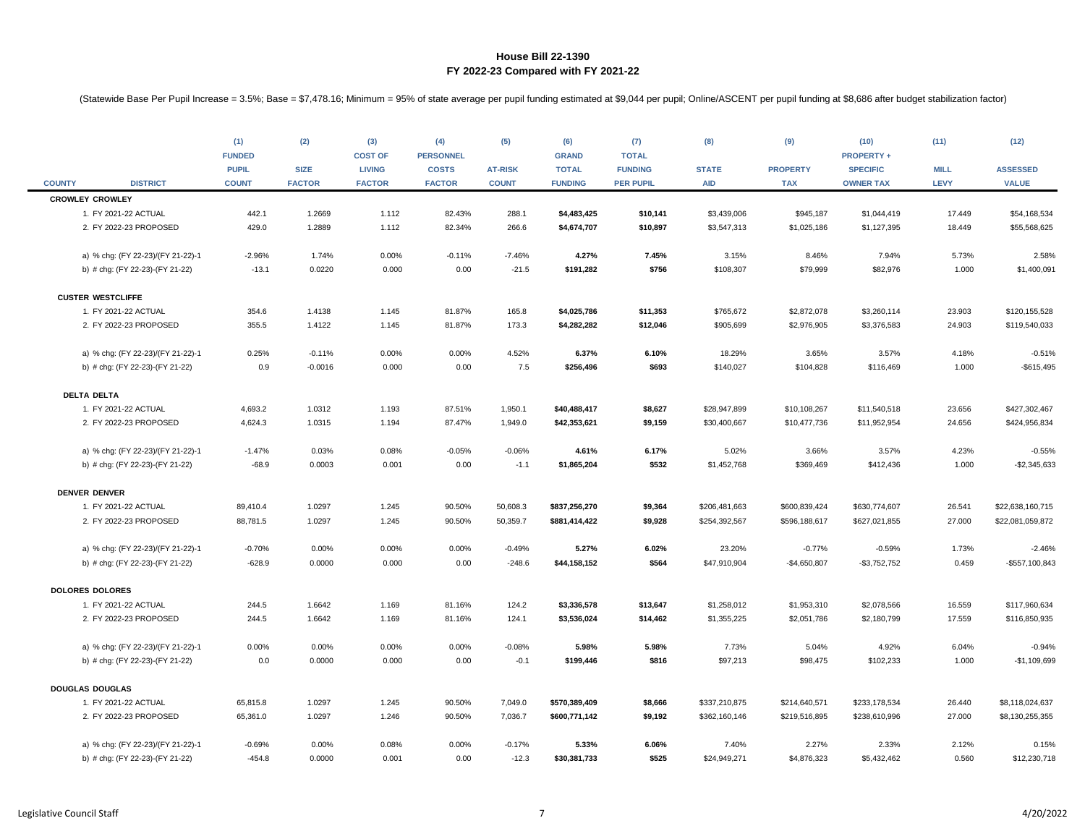|               |                                   | (1)<br><b>FUNDED</b><br><b>PUPIL</b> | (2)<br><b>SIZE</b> | (3)<br><b>COST OF</b><br><b>LIVING</b> | (4)<br><b>PERSONNEL</b><br><b>COSTS</b> | (5)<br><b>AT-RISK</b> | (6)<br><b>GRAND</b><br><b>TOTAL</b> | (7)<br><b>TOTAL</b><br><b>FUNDING</b> | (8)<br><b>STATE</b> | (9)<br><b>PROPERTY</b> | (10)<br><b>PROPERTY +</b><br><b>SPECIFIC</b> | (11)<br><b>MILL</b> | (12)<br><b>ASSESSED</b> |
|---------------|-----------------------------------|--------------------------------------|--------------------|----------------------------------------|-----------------------------------------|-----------------------|-------------------------------------|---------------------------------------|---------------------|------------------------|----------------------------------------------|---------------------|-------------------------|
| <b>COUNTY</b> | <b>DISTRICT</b>                   | <b>COUNT</b>                         | <b>FACTOR</b>      | <b>FACTOR</b>                          | <b>FACTOR</b>                           | <b>COUNT</b>          | <b>FUNDING</b>                      | <b>PER PUPIL</b>                      | <b>AID</b>          | <b>TAX</b>             | <b>OWNER TAX</b>                             | <b>LEVY</b>         | <b>VALUE</b>            |
|               | <b>CROWLEY CROWLEY</b>            |                                      |                    |                                        |                                         |                       |                                     |                                       |                     |                        |                                              |                     |                         |
|               | 1. FY 2021-22 ACTUAL              | 442.1                                | 1.2669             | 1.112                                  | 82.43%                                  | 288.1                 | \$4,483,425                         | \$10,141                              | \$3,439,006         | \$945,187              | \$1,044,419                                  | 17.449              | \$54,168,534            |
|               | 2. FY 2022-23 PROPOSED            | 429.0                                | 1.2889             | 1.112                                  | 82.34%                                  | 266.6                 | \$4,674,707                         | \$10,897                              | \$3,547,313         | \$1,025,186            | \$1,127,395                                  | 18.449              | \$55,568,625            |
|               | a) % chg: (FY 22-23)/(FY 21-22)-1 | $-2.96%$                             | 1.74%              | 0.00%                                  | $-0.11%$                                | $-7.46%$              | 4.27%                               | 7.45%                                 | 3.15%               | 8.46%                  | 7.94%                                        | 5.73%               | 2.58%                   |
|               | b) # chg: (FY 22-23)-(FY 21-22)   | $-13.1$                              | 0.0220             | 0.000                                  | 0.00                                    | $-21.5$               | \$191,282                           | \$756                                 | \$108,307           | \$79,999               | \$82,976                                     | 1.000               | \$1,400,091             |
|               | <b>CUSTER WESTCLIFFE</b>          |                                      |                    |                                        |                                         |                       |                                     |                                       |                     |                        |                                              |                     |                         |
|               | 1. FY 2021-22 ACTUAL              | 354.6                                | 1.4138             | 1.145                                  | 81.87%                                  | 165.8                 | \$4,025,786                         | \$11,353                              | \$765,672           | \$2,872,078            | \$3,260,114                                  | 23.903              | \$120,155,528           |
|               | 2. FY 2022-23 PROPOSED            | 355.5                                | 1.4122             | 1.145                                  | 81.87%                                  | 173.3                 | \$4,282,282                         | \$12,046                              | \$905,699           | \$2,976,905            | \$3,376,583                                  | 24.903              | \$119,540,033           |
|               | a) % chg: (FY 22-23)/(FY 21-22)-1 | 0.25%                                | $-0.11%$           | 0.00%                                  | 0.00%                                   | 4.52%                 | 6.37%                               | 6.10%                                 | 18.29%              | 3.65%                  | 3.57%                                        | 4.18%               | $-0.51%$                |
|               | b) # chg: (FY 22-23)-(FY 21-22)   | 0.9                                  | $-0.0016$          | 0.000                                  | 0.00                                    | 7.5                   | \$256,496                           | \$693                                 | \$140,027           | \$104,828              | \$116,469                                    | 1.000               | $-$615,495$             |
|               | <b>DELTA DELTA</b>                |                                      |                    |                                        |                                         |                       |                                     |                                       |                     |                        |                                              |                     |                         |
|               | 1. FY 2021-22 ACTUAL              | 4,693.2                              | 1.0312             | 1.193                                  | 87.51%                                  | 1,950.1               | \$40,488,417                        | \$8,627                               | \$28,947,899        | \$10,108,267           | \$11,540,518                                 | 23.656              | \$427,302,467           |
|               | 2. FY 2022-23 PROPOSED            | 4,624.3                              | 1.0315             | 1.194                                  | 87.47%                                  | 1,949.0               | \$42,353,621                        | \$9,159                               | \$30,400,667        | \$10,477,736           | \$11,952,954                                 | 24.656              | \$424,956,834           |
|               | a) % chg: (FY 22-23)/(FY 21-22)-1 | $-1.47%$                             | 0.03%              | 0.08%                                  | $-0.05%$                                | $-0.06%$              | 4.61%                               | 6.17%                                 | 5.02%               | 3.66%                  | 3.57%                                        | 4.23%               | $-0.55%$                |
|               | b) # chg: (FY 22-23)-(FY 21-22)   | $-68.9$                              | 0.0003             | 0.001                                  | 0.00                                    | $-1.1$                | \$1,865,204                         | \$532                                 | \$1,452,768         | \$369,469              | \$412,436                                    | 1.000               | $-$ \$2,345,633         |
|               | <b>DENVER DENVER</b>              |                                      |                    |                                        |                                         |                       |                                     |                                       |                     |                        |                                              |                     |                         |
|               | 1. FY 2021-22 ACTUAL              | 89,410.4                             | 1.0297             | 1.245                                  | 90.50%                                  | 50,608.3              | \$837,256,270                       | \$9,364                               | \$206,481,663       | \$600,839,424          | \$630,774,607                                | 26.541              | \$22,638,160,715        |
|               | 2. FY 2022-23 PROPOSED            | 88,781.5                             | 1.0297             | 1.245                                  | 90.50%                                  | 50,359.7              | \$881,414,422                       | \$9,928                               | \$254,392,567       | \$596,188,617          | \$627,021,855                                | 27.000              | \$22,081,059,872        |
|               | a) % chg: (FY 22-23)/(FY 21-22)-1 | $-0.70%$                             | 0.00%              | 0.00%                                  | 0.00%                                   | $-0.49%$              | 5.27%                               | 6.02%                                 | 23.20%              | $-0.77%$               | $-0.59%$                                     | 1.73%               | $-2.46%$                |
|               | b) # chg: (FY 22-23)-(FY 21-22)   | $-628.9$                             | 0.0000             | 0.000                                  | 0.00                                    | $-248.6$              | \$44,158,152                        | \$564                                 | \$47,910,904        | $-$4,650,807$          | $-$3,752,752$                                | 0.459               | -\$557,100,843          |
|               | <b>DOLORES DOLORES</b>            |                                      |                    |                                        |                                         |                       |                                     |                                       |                     |                        |                                              |                     |                         |
|               | 1. FY 2021-22 ACTUAL              | 244.5                                | 1.6642             | 1.169                                  | 81.16%                                  | 124.2                 | \$3,336,578                         | \$13,647                              | \$1,258,012         | \$1,953,310            | \$2,078,566                                  | 16.559              | \$117,960,634           |
|               | 2. FY 2022-23 PROPOSED            | 244.5                                | 1.6642             | 1.169                                  | 81.16%                                  | 124.1                 | \$3,536,024                         | \$14,462                              | \$1,355,225         | \$2,051,786            | \$2,180,799                                  | 17.559              | \$116,850,935           |
|               | a) % chg: (FY 22-23)/(FY 21-22)-1 | 0.00%                                | 0.00%              | 0.00%                                  | 0.00%                                   | $-0.08%$              | 5.98%                               | 5.98%                                 | 7.73%               | 5.04%                  | 4.92%                                        | 6.04%               | $-0.94%$                |
|               | b) # chg: (FY 22-23)-(FY 21-22)   | 0.0                                  | 0.0000             | 0.000                                  | 0.00                                    | $-0.1$                | \$199,446                           | \$816                                 | \$97,213            | \$98,475               | \$102,233                                    | 1.000               | $-$1,109,699$           |
|               | <b>DOUGLAS DOUGLAS</b>            |                                      |                    |                                        |                                         |                       |                                     |                                       |                     |                        |                                              |                     |                         |
|               | 1. FY 2021-22 ACTUAL              | 65,815.8                             | 1.0297             | 1.245                                  | 90.50%                                  | 7,049.0               | \$570,389,409                       | \$8,666                               | \$337,210,875       | \$214,640,571          | \$233,178,534                                | 26.440              | \$8,118,024,637         |
|               | 2. FY 2022-23 PROPOSED            | 65,361.0                             | 1.0297             | 1.246                                  | 90.50%                                  | 7,036.7               | \$600,771,142                       | \$9,192                               | \$362,160,146       | \$219,516,895          | \$238,610,996                                | 27.000              | \$8,130,255,355         |
|               | a) % chg: (FY 22-23)/(FY 21-22)-1 | $-0.69%$                             | 0.00%              | 0.08%                                  | 0.00%                                   | $-0.17%$              | 5.33%                               | 6.06%                                 | 7.40%               | 2.27%                  | 2.33%                                        | 2.12%               | 0.15%                   |
|               | b) # chg: (FY 22-23)-(FY 21-22)   | $-454.8$                             | 0.0000             | 0.001                                  | 0.00                                    | $-12.3$               | \$30,381,733                        | \$525                                 | \$24,949,271        | \$4,876,323            | \$5,432,462                                  | 0.560               | \$12,230,718            |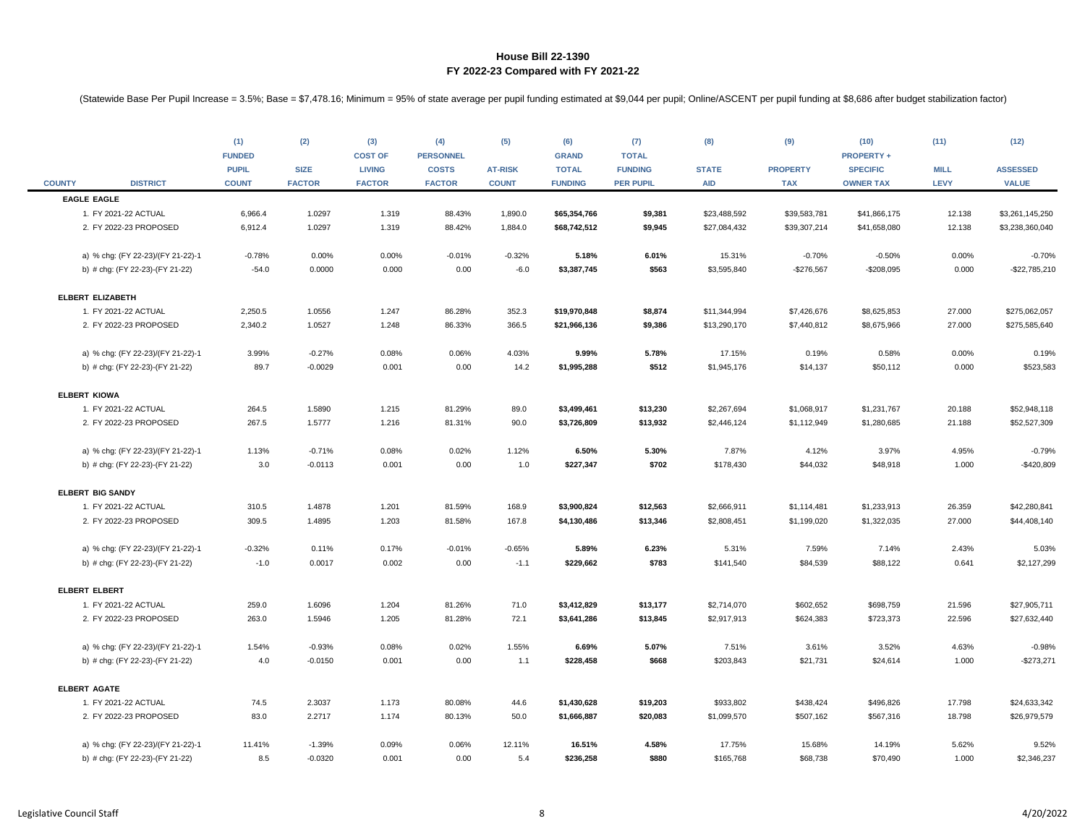|               |                                   | (1)<br><b>FUNDED</b><br><b>PUPIL</b> | (2)<br><b>SIZE</b> | (3)<br><b>COST OF</b><br><b>LIVING</b> | (4)<br><b>PERSONNEL</b><br><b>COSTS</b> | (5)<br><b>AT-RISK</b> | (6)<br><b>GRAND</b><br><b>TOTAL</b> | (7)<br><b>TOTAL</b><br><b>FUNDING</b> | (8)<br><b>STATE</b> | (9)<br><b>PROPERTY</b> | (10)<br><b>PROPERTY +</b><br><b>SPECIFIC</b> | (11)<br><b>MILL</b> | (12)<br><b>ASSESSED</b> |
|---------------|-----------------------------------|--------------------------------------|--------------------|----------------------------------------|-----------------------------------------|-----------------------|-------------------------------------|---------------------------------------|---------------------|------------------------|----------------------------------------------|---------------------|-------------------------|
| <b>COUNTY</b> | <b>DISTRICT</b>                   | <b>COUNT</b>                         | <b>FACTOR</b>      | <b>FACTOR</b>                          | <b>FACTOR</b>                           | <b>COUNT</b>          | <b>FUNDING</b>                      | <b>PER PUPIL</b>                      | <b>AID</b>          | <b>TAX</b>             | <b>OWNER TAX</b>                             | <b>LEVY</b>         | <b>VALUE</b>            |
|               | <b>EAGLE EAGLE</b>                |                                      |                    |                                        |                                         |                       |                                     |                                       |                     |                        |                                              |                     |                         |
|               | 1. FY 2021-22 ACTUAL              | 6,966.4                              | 1.0297             | 1.319                                  | 88.43%                                  | 1,890.0               | \$65,354,766                        | \$9,381                               | \$23,488,592        | \$39,583,781           | \$41,866,175                                 | 12.138              | \$3,261,145,250         |
|               | 2. FY 2022-23 PROPOSED            | 6,912.4                              | 1.0297             | 1.319                                  | 88.42%                                  | 1,884.0               | \$68,742,512                        | \$9,945                               | \$27,084,432        | \$39,307,214           | \$41,658,080                                 | 12.138              | \$3,238,360,040         |
|               | a) % chg: (FY 22-23)/(FY 21-22)-1 | $-0.78%$                             | 0.00%              | 0.00%                                  | $-0.01%$                                | $-0.32%$              | 5.18%                               | 6.01%                                 | 15.31%              | $-0.70%$               | $-0.50%$                                     | 0.00%               | $-0.70%$                |
|               | b) # chg: (FY 22-23)-(FY 21-22)   | $-54.0$                              | 0.0000             | 0.000                                  | 0.00                                    | $-6.0$                | \$3,387,745                         | \$563                                 | \$3,595,840         | $-$276,567$            | $-$208,095$                                  | 0.000               | $-$22,785,210$          |
|               | <b>ELBERT ELIZABETH</b>           |                                      |                    |                                        |                                         |                       |                                     |                                       |                     |                        |                                              |                     |                         |
|               | 1. FY 2021-22 ACTUAL              | 2,250.5                              | 1.0556             | 1.247                                  | 86.28%                                  | 352.3                 | \$19,970,848                        | \$8,874                               | \$11,344,994        | \$7,426,676            | \$8,625,853                                  | 27.000              | \$275,062,057           |
|               | 2. FY 2022-23 PROPOSED            | 2,340.2                              | 1.0527             | 1.248                                  | 86.33%                                  | 366.5                 | \$21,966,136                        | \$9,386                               | \$13,290,170        | \$7,440,812            | \$8,675,966                                  | 27.000              | \$275,585,640           |
|               | a) % chg: (FY 22-23)/(FY 21-22)-1 | 3.99%                                | $-0.27%$           | 0.08%                                  | 0.06%                                   | 4.03%                 | 9.99%                               | 5.78%                                 | 17.15%              | 0.19%                  | 0.58%                                        | 0.00%               | 0.19%                   |
|               | b) # chg: (FY 22-23)-(FY 21-22)   | 89.7                                 | $-0.0029$          | 0.001                                  | 0.00                                    | 14.2                  | \$1,995,288                         | \$512                                 | \$1,945,176         | \$14,137               | \$50,112                                     | 0.000               | \$523,583               |
|               | <b>ELBERT KIOWA</b>               |                                      |                    |                                        |                                         |                       |                                     |                                       |                     |                        |                                              |                     |                         |
|               | 1. FY 2021-22 ACTUAL              | 264.5                                | 1.5890             | 1.215                                  | 81.29%                                  | 89.0                  | \$3,499,461                         | \$13,230                              | \$2,267,694         | \$1,068,917            | \$1,231,767                                  | 20.188              | \$52,948,118            |
|               | 2. FY 2022-23 PROPOSED            | 267.5                                | 1.5777             | 1.216                                  | 81.31%                                  | 90.0                  | \$3,726,809                         | \$13,932                              | \$2,446,124         | \$1,112,949            | \$1,280,685                                  | 21.188              | \$52,527,309            |
|               | a) % chg: (FY 22-23)/(FY 21-22)-1 | 1.13%                                | $-0.71%$           | 0.08%                                  | 0.02%                                   | 1.12%                 | 6.50%                               | 5.30%                                 | 7.87%               | 4.12%                  | 3.97%                                        | 4.95%               | $-0.79%$                |
|               | b) # chg: (FY 22-23)-(FY 21-22)   | 3.0                                  | $-0.0113$          | 0.001                                  | 0.00                                    | 1.0                   | \$227,347                           | \$702                                 | \$178,430           | \$44,032               | \$48,918                                     | 1.000               | $-$420,809$             |
|               | <b>ELBERT BIG SANDY</b>           |                                      |                    |                                        |                                         |                       |                                     |                                       |                     |                        |                                              |                     |                         |
|               | 1. FY 2021-22 ACTUAL              | 310.5                                | 1.4878             | 1.201                                  | 81.59%                                  | 168.9                 | \$3,900,824                         | \$12,563                              | \$2,666,911         | \$1,114,481            | \$1,233,913                                  | 26.359              | \$42,280,841            |
|               | 2. FY 2022-23 PROPOSED            | 309.5                                | 1.4895             | 1.203                                  | 81.58%                                  | 167.8                 | \$4,130,486                         | \$13,346                              | \$2,808,451         | \$1,199,020            | \$1,322,035                                  | 27.000              | \$44,408,140            |
|               | a) % chg: (FY 22-23)/(FY 21-22)-1 | $-0.32%$                             | 0.11%              | 0.17%                                  | $-0.01%$                                | $-0.65%$              | 5.89%                               | 6.23%                                 | 5.31%               | 7.59%                  | 7.14%                                        | 2.43%               | 5.03%                   |
|               | b) # chg: (FY 22-23)-(FY 21-22)   | $-1.0$                               | 0.0017             | 0.002                                  | 0.00                                    | $-1.1$                | \$229,662                           | \$783                                 | \$141,540           | \$84,539               | \$88,122                                     | 0.641               | \$2,127,299             |
|               | <b>ELBERT ELBERT</b>              |                                      |                    |                                        |                                         |                       |                                     |                                       |                     |                        |                                              |                     |                         |
|               | 1. FY 2021-22 ACTUAL              | 259.0                                | 1.6096             | 1.204                                  | 81.26%                                  | 71.0                  | \$3,412,829                         | \$13,177                              | \$2,714,070         | \$602,652              | \$698,759                                    | 21.596              | \$27,905,711            |
|               | 2. FY 2022-23 PROPOSED            | 263.0                                | 1.5946             | 1.205                                  | 81.28%                                  | 72.1                  | \$3,641,286                         | \$13,845                              | \$2,917,913         | \$624,383              | \$723,373                                    | 22.596              | \$27,632,440            |
|               | a) % chg: (FY 22-23)/(FY 21-22)-1 | 1.54%                                | $-0.93%$           | 0.08%                                  | 0.02%                                   | 1.55%                 | 6.69%                               | 5.07%                                 | 7.51%               | 3.61%                  | 3.52%                                        | 4.63%               | $-0.98%$                |
|               | b) # chg: (FY 22-23)-(FY 21-22)   | 4.0                                  | $-0.0150$          | 0.001                                  | 0.00                                    | 1.1                   | \$228,458                           | \$668                                 | \$203,843           | \$21,731               | \$24,614                                     | 1.000               | $-$273,271$             |
|               | <b>ELBERT AGATE</b>               |                                      |                    |                                        |                                         |                       |                                     |                                       |                     |                        |                                              |                     |                         |
|               | 1. FY 2021-22 ACTUAL              | 74.5                                 | 2.3037             | 1.173                                  | 80.08%                                  | 44.6                  | \$1,430,628                         | \$19,203                              | \$933,802           | \$438,424              | \$496,826                                    | 17.798              | \$24,633,342            |
|               | 2. FY 2022-23 PROPOSED            | 83.0                                 | 2.2717             | 1.174                                  | 80.13%                                  | 50.0                  | \$1,666,887                         | \$20,083                              | \$1,099,570         | \$507,162              | \$567,316                                    | 18.798              | \$26,979,579            |
|               | a) % chg: (FY 22-23)/(FY 21-22)-1 | 11.41%                               | $-1.39%$           | 0.09%                                  | 0.06%                                   | 12.11%                | 16.51%                              | 4.58%                                 | 17.75%              | 15.68%                 | 14.19%                                       | 5.62%               | 9.52%                   |
|               | b) # chg: (FY 22-23)-(FY 21-22)   | 8.5                                  | $-0.0320$          | 0.001                                  | 0.00                                    | 5.4                   | \$236,258                           | \$880                                 | \$165,768           | \$68,738               | \$70,490                                     | 1.000               | \$2,346,237             |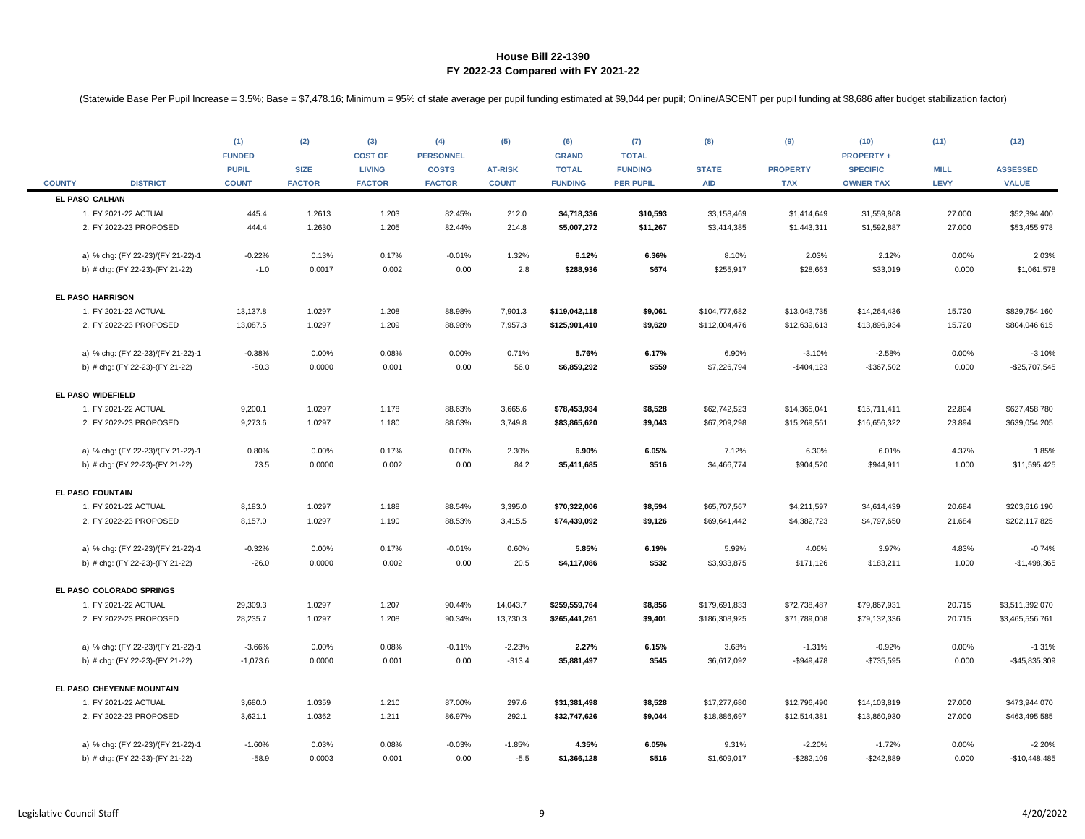|               |                                   | (1)<br><b>FUNDED</b><br><b>PUPIL</b> | (2)<br><b>SIZE</b> | (3)<br><b>COST OF</b><br><b>LIVING</b> | (4)<br><b>PERSONNEL</b><br><b>COSTS</b> | (5)<br><b>AT-RISK</b> | (6)<br><b>GRAND</b><br><b>TOTAL</b> | (7)<br><b>TOTAL</b><br><b>FUNDING</b> | (8)<br><b>STATE</b> | (9)<br><b>PROPERTY</b> | (10)<br><b>PROPERTY +</b><br><b>SPECIFIC</b> | (11)<br><b>MILL</b> | (12)<br><b>ASSESSED</b> |
|---------------|-----------------------------------|--------------------------------------|--------------------|----------------------------------------|-----------------------------------------|-----------------------|-------------------------------------|---------------------------------------|---------------------|------------------------|----------------------------------------------|---------------------|-------------------------|
| <b>COUNTY</b> | <b>DISTRICT</b>                   | <b>COUNT</b>                         | <b>FACTOR</b>      | <b>FACTOR</b>                          | <b>FACTOR</b>                           | <b>COUNT</b>          | <b>FUNDING</b>                      | <b>PER PUPIL</b>                      | <b>AID</b>          | <b>TAX</b>             | <b>OWNER TAX</b>                             | LEVY                | <b>VALUE</b>            |
|               | EL PASO CALHAN                    |                                      |                    |                                        |                                         |                       |                                     |                                       |                     |                        |                                              |                     |                         |
|               | 1. FY 2021-22 ACTUAL              | 445.4                                | 1.2613             | 1.203                                  | 82.45%                                  | 212.0                 | \$4,718,336                         | \$10,593                              | \$3,158,469         | \$1,414,649            | \$1,559,868                                  | 27.000              | \$52,394,400            |
|               | 2. FY 2022-23 PROPOSED            | 444.4                                | 1.2630             | 1.205                                  | 82.44%                                  | 214.8                 | \$5,007,272                         | \$11,267                              | \$3,414,385         | \$1,443,311            | \$1,592,887                                  | 27.000              | \$53,455,978            |
|               | a) % chg: (FY 22-23)/(FY 21-22)-1 | $-0.22%$                             | 0.13%              | 0.17%                                  | $-0.01%$                                | 1.32%                 | 6.12%                               | 6.36%                                 | 8.10%               | 2.03%                  | 2.12%                                        | 0.00%               | 2.03%                   |
|               | b) # chg: (FY 22-23)-(FY 21-22)   | $-1.0$                               | 0.0017             | 0.002                                  | 0.00                                    | 2.8                   | \$288,936                           | \$674                                 | \$255,917           | \$28,663               | \$33,019                                     | 0.000               | \$1,061,578             |
|               | <b>EL PASO HARRISON</b>           |                                      |                    |                                        |                                         |                       |                                     |                                       |                     |                        |                                              |                     |                         |
|               | 1. FY 2021-22 ACTUAL              | 13,137.8                             | 1.0297             | 1.208                                  | 88.98%                                  | 7,901.3               | \$119,042,118                       | \$9,061                               | \$104,777,682       | \$13,043,735           | \$14,264,436                                 | 15.720              | \$829,754,160           |
|               | 2. FY 2022-23 PROPOSED            | 13,087.5                             | 1.0297             | 1.209                                  | 88.98%                                  | 7,957.3               | \$125,901,410                       | \$9,620                               | \$112,004,476       | \$12,639,613           | \$13,896,934                                 | 15.720              | \$804,046,615           |
|               | a) % chg: (FY 22-23)/(FY 21-22)-1 | $-0.38%$                             | 0.00%              | 0.08%                                  | 0.00%                                   | 0.71%                 | 5.76%                               | 6.17%                                 | 6.90%               | $-3.10%$               | $-2.58%$                                     | 0.00%               | $-3.10%$                |
|               | b) # chg: (FY 22-23)-(FY 21-22)   | $-50.3$                              | 0.0000             | 0.001                                  | 0.00                                    | 56.0                  | \$6,859,292                         | \$559                                 | \$7,226,794         | $-$404,123$            | $-$367,502$                                  | 0.000               | $-$25,707,545$          |
|               | EL PASO WIDEFIELD                 |                                      |                    |                                        |                                         |                       |                                     |                                       |                     |                        |                                              |                     |                         |
|               | 1. FY 2021-22 ACTUAL              | 9,200.1                              | 1.0297             | 1.178                                  | 88.63%                                  | 3,665.6               | \$78,453,934                        | \$8,528                               | \$62,742,523        | \$14,365,041           | \$15,711,411                                 | 22.894              | \$627,458,780           |
|               | 2. FY 2022-23 PROPOSED            | 9,273.6                              | 1.0297             | 1.180                                  | 88.63%                                  | 3,749.8               | \$83,865,620                        | \$9,043                               | \$67,209,298        | \$15,269,561           | \$16,656,322                                 | 23.894              | \$639,054,205           |
|               | a) % chg: (FY 22-23)/(FY 21-22)-1 | 0.80%                                | 0.00%              | 0.17%                                  | 0.00%                                   | 2.30%                 | 6.90%                               | 6.05%                                 | 7.12%               | 6.30%                  | 6.01%                                        | 4.37%               | 1.85%                   |
|               | b) # chg: (FY 22-23)-(FY 21-22)   | 73.5                                 | 0.0000             | 0.002                                  | 0.00                                    | 84.2                  | \$5,411,685                         | \$516                                 | \$4,466,774         | \$904,520              | \$944,911                                    | 1.000               | \$11,595,425            |
|               | EL PASO FOUNTAIN                  |                                      |                    |                                        |                                         |                       |                                     |                                       |                     |                        |                                              |                     |                         |
|               | 1. FY 2021-22 ACTUAL              | 8,183.0                              | 1.0297             | 1.188                                  | 88.54%                                  | 3,395.0               | \$70,322,006                        | \$8,594                               | \$65,707,567        | \$4,211,597            | \$4,614,439                                  | 20.684              | \$203,616,190           |
|               | 2. FY 2022-23 PROPOSED            | 8,157.0                              | 1.0297             | 1.190                                  | 88.53%                                  | 3,415.5               | \$74,439,092                        | \$9,126                               | \$69,641,442        | \$4,382,723            | \$4,797,650                                  | 21.684              | \$202,117,825           |
|               | a) % chg: (FY 22-23)/(FY 21-22)-1 | $-0.32%$                             | 0.00%              | 0.17%                                  | $-0.01%$                                | 0.60%                 | 5.85%                               | 6.19%                                 | 5.99%               | 4.06%                  | 3.97%                                        | 4.83%               | $-0.74%$                |
|               | b) # chg: (FY 22-23)-(FY 21-22)   | $-26.0$                              | 0.0000             | 0.002                                  | 0.00                                    | 20.5                  | \$4,117,086                         | \$532                                 | \$3,933,875         | \$171,126              | \$183,211                                    | 1.000               | $-$1,498,365$           |
|               | EL PASO COLORADO SPRINGS          |                                      |                    |                                        |                                         |                       |                                     |                                       |                     |                        |                                              |                     |                         |
|               | 1. FY 2021-22 ACTUAL              | 29,309.3                             | 1.0297             | 1.207                                  | 90.44%                                  | 14,043.7              | \$259,559,764                       | \$8,856                               | \$179,691,833       | \$72,738,487           | \$79,867,931                                 | 20.715              | \$3,511,392,070         |
|               | 2. FY 2022-23 PROPOSED            | 28,235.7                             | 1.0297             | 1.208                                  | 90.34%                                  | 13,730.3              | \$265,441,261                       | \$9,401                               | \$186,308,925       | \$71,789,008           | \$79,132,336                                 | 20.715              | \$3,465,556,761         |
|               | a) % chg: (FY 22-23)/(FY 21-22)-1 | $-3.66%$                             | 0.00%              | 0.08%                                  | $-0.11%$                                | $-2.23%$              | 2.27%                               | 6.15%                                 | 3.68%               | $-1.31%$               | $-0.92%$                                     | 0.00%               | $-1.31%$                |
|               | b) # chg: (FY 22-23)-(FY 21-22)   | $-1,073.6$                           | 0.0000             | 0.001                                  | 0.00                                    | $-313.4$              | \$5,881,497                         | \$545                                 | \$6,617,092         | $-$949,478$            | $-$735,595$                                  | 0.000               | $-$45,835,309$          |
|               | EL PASO CHEYENNE MOUNTAIN         |                                      |                    |                                        |                                         |                       |                                     |                                       |                     |                        |                                              |                     |                         |
|               | 1. FY 2021-22 ACTUAL              | 3,680.0                              | 1.0359             | 1.210                                  | 87.00%                                  | 297.6                 | \$31,381,498                        | \$8,528                               | \$17,277,680        | \$12,796,490           | \$14,103,819                                 | 27.000              | \$473,944,070           |
|               | 2. FY 2022-23 PROPOSED            | 3,621.1                              | 1.0362             | 1.211                                  | 86.97%                                  | 292.1                 | \$32,747,626                        | \$9,044                               | \$18,886,697        | \$12,514,381           | \$13,860,930                                 | 27.000              | \$463,495,585           |
|               | a) % chg: (FY 22-23)/(FY 21-22)-1 | $-1.60%$                             | 0.03%              | 0.08%                                  | $-0.03%$                                | $-1.85%$              | 4.35%                               | 6.05%                                 | 9.31%               | $-2.20%$               | $-1.72%$                                     | 0.00%               | $-2.20%$                |
|               | b) # chg: (FY 22-23)-(FY 21-22)   | $-58.9$                              | 0.0003             | 0.001                                  | 0.00                                    | $-5.5$                | \$1,366,128                         | \$516                                 | \$1,609,017         | $-$ \$282,109          | $-$242,889$                                  | 0.000               | $-$10,448,485$          |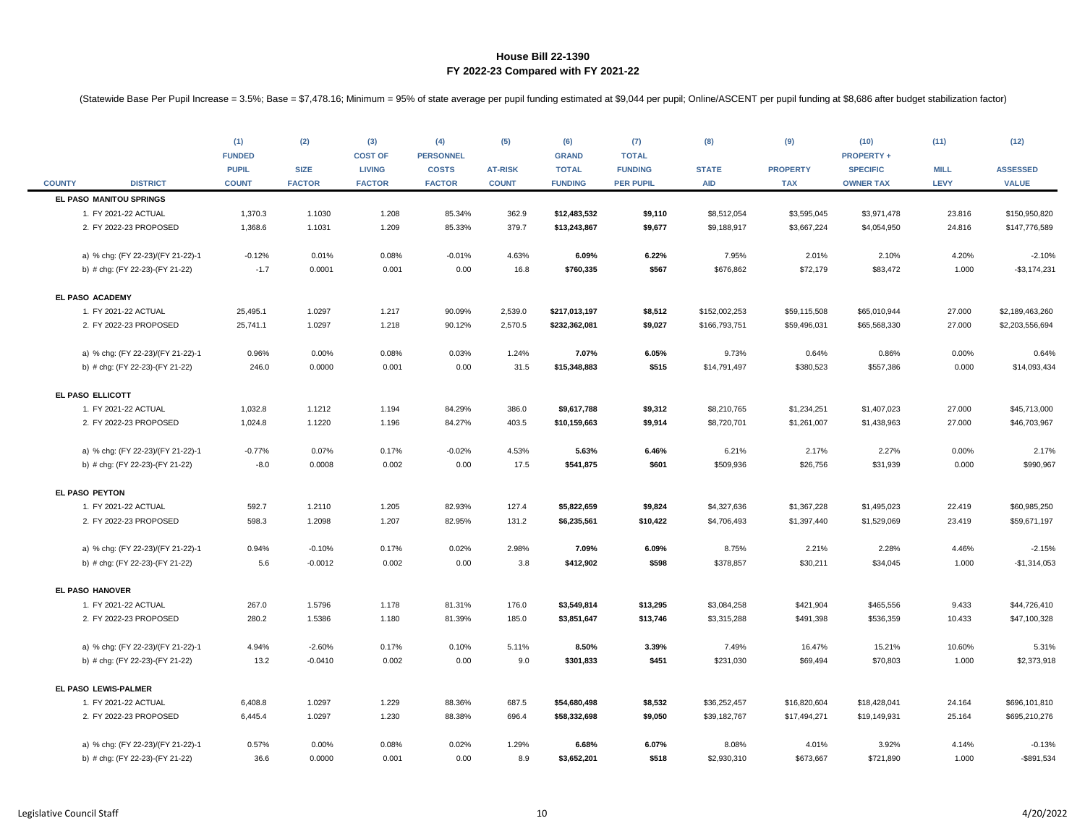|               |                                   | (1)<br><b>FUNDED</b>         | (2)                          | (3)<br><b>COST OF</b>          | (4)<br><b>PERSONNEL</b>       | (5)                            | (6)<br><b>GRAND</b>            | (7)<br><b>TOTAL</b>                | (8)                        | (9)                           | (10)<br><b>PROPERTY +</b>           | (11)                       | (12)                            |
|---------------|-----------------------------------|------------------------------|------------------------------|--------------------------------|-------------------------------|--------------------------------|--------------------------------|------------------------------------|----------------------------|-------------------------------|-------------------------------------|----------------------------|---------------------------------|
| <b>COUNTY</b> | <b>DISTRICT</b>                   | <b>PUPIL</b><br><b>COUNT</b> | <b>SIZE</b><br><b>FACTOR</b> | <b>LIVING</b><br><b>FACTOR</b> | <b>COSTS</b><br><b>FACTOR</b> | <b>AT-RISK</b><br><b>COUNT</b> | <b>TOTAL</b><br><b>FUNDING</b> | <b>FUNDING</b><br><b>PER PUPIL</b> | <b>STATE</b><br><b>AID</b> | <b>PROPERTY</b><br><b>TAX</b> | <b>SPECIFIC</b><br><b>OWNER TAX</b> | <b>MILL</b><br><b>LEVY</b> | <b>ASSESSED</b><br><b>VALUE</b> |
|               | EL PASO MANITOU SPRINGS           |                              |                              |                                |                               |                                |                                |                                    |                            |                               |                                     |                            |                                 |
|               | 1. FY 2021-22 ACTUAL              | 1,370.3                      | 1.1030                       | 1.208                          | 85.34%                        | 362.9                          | \$12,483,532                   | \$9,110                            | \$8,512,054                | \$3,595,045                   | \$3,971,478                         | 23.816                     | \$150,950,820                   |
|               | 2. FY 2022-23 PROPOSED            | 1,368.6                      | 1.1031                       | 1.209                          | 85.33%                        | 379.7                          | \$13,243,867                   | \$9,677                            | \$9,188,917                | \$3,667,224                   | \$4,054,950                         | 24.816                     | \$147,776,589                   |
|               | a) % chg: (FY 22-23)/(FY 21-22)-1 | $-0.12%$                     | 0.01%                        | 0.08%                          | $-0.01%$                      | 4.63%                          | 6.09%                          | 6.22%                              | 7.95%                      | 2.01%                         | 2.10%                               | 4.20%                      | $-2.10%$                        |
|               | b) # chg: (FY 22-23)-(FY 21-22)   | $-1.7$                       | 0.0001                       | 0.001                          | 0.00                          | 16.8                           | \$760,335                      | \$567                              | \$676,862                  | \$72,179                      | \$83,472                            | 1.000                      | $-$ \$3,174,231                 |
|               | EL PASO ACADEMY                   |                              |                              |                                |                               |                                |                                |                                    |                            |                               |                                     |                            |                                 |
|               | 1. FY 2021-22 ACTUAL              | 25,495.1                     | 1.0297                       | 1.217                          | 90.09%                        | 2,539.0                        | \$217,013,197                  | \$8,512                            | \$152,002,253              | \$59,115,508                  | \$65,010,944                        | 27.000                     | \$2,189,463,260                 |
|               | 2. FY 2022-23 PROPOSED            | 25,741.1                     | 1.0297                       | 1.218                          | 90.12%                        | 2,570.5                        | \$232,362,081                  | \$9,027                            | \$166,793,751              | \$59,496,031                  | \$65,568,330                        | 27.000                     | \$2,203,556,694                 |
|               | a) % chg: (FY 22-23)/(FY 21-22)-1 | 0.96%                        | 0.00%                        | 0.08%                          | 0.03%                         | 1.24%                          | 7.07%                          | 6.05%                              | 9.73%                      | 0.64%                         | 0.86%                               | 0.00%                      | 0.64%                           |
|               | b) # chg: (FY 22-23)-(FY 21-22)   | 246.0                        | 0.0000                       | 0.001                          | 0.00                          | 31.5                           | \$15,348,883                   | \$515                              | \$14,791,497               | \$380,523                     | \$557,386                           | 0.000                      | \$14,093,434                    |
|               | EL PASO ELLICOTT                  |                              |                              |                                |                               |                                |                                |                                    |                            |                               |                                     |                            |                                 |
|               | 1. FY 2021-22 ACTUAL              | 1,032.8                      | 1.1212                       | 1.194                          | 84.29%                        | 386.0                          | \$9,617,788                    | \$9,312                            | \$8,210,765                | \$1,234,251                   | \$1,407,023                         | 27.000                     | \$45,713,000                    |
|               | 2. FY 2022-23 PROPOSED            | 1,024.8                      | 1.1220                       | 1.196                          | 84.27%                        | 403.5                          | \$10,159,663                   | \$9,914                            | \$8,720,701                | \$1,261,007                   | \$1,438,963                         | 27.000                     | \$46,703,967                    |
|               | a) % chg: (FY 22-23)/(FY 21-22)-1 | $-0.77%$                     | 0.07%                        | 0.17%                          | $-0.02%$                      | 4.53%                          | 5.63%                          | 6.46%                              | 6.21%                      | 2.17%                         | 2.27%                               | 0.00%                      | 2.17%                           |
|               | b) # chg: (FY 22-23)-(FY 21-22)   | $-8.0$                       | 0.0008                       | 0.002                          | 0.00                          | 17.5                           | \$541,875                      | \$601                              | \$509,936                  | \$26,756                      | \$31,939                            | 0.000                      | \$990,967                       |
|               | EL PASO PEYTON                    |                              |                              |                                |                               |                                |                                |                                    |                            |                               |                                     |                            |                                 |
|               | 1. FY 2021-22 ACTUAL              | 592.7                        | 1.2110                       | 1.205                          | 82.93%                        | 127.4                          | \$5,822,659                    | \$9,824                            | \$4,327,636                | \$1,367,228                   | \$1,495,023                         | 22.419                     | \$60,985,250                    |
|               | 2. FY 2022-23 PROPOSED            | 598.3                        | 1.2098                       | 1.207                          | 82.95%                        | 131.2                          | \$6,235,561                    | \$10,422                           | \$4,706,493                | \$1,397,440                   | \$1,529,069                         | 23.419                     | \$59,671,197                    |
|               | a) % chg: (FY 22-23)/(FY 21-22)-1 | 0.94%                        | $-0.10%$                     | 0.17%                          | 0.02%                         | 2.98%                          | 7.09%                          | 6.09%                              | 8.75%                      | 2.21%                         | 2.28%                               | 4.46%                      | $-2.15%$                        |
|               | b) # chg: (FY 22-23)-(FY 21-22)   | 5.6                          | $-0.0012$                    | 0.002                          | 0.00                          | 3.8                            | \$412,902                      | \$598                              | \$378,857                  | \$30,211                      | \$34,045                            | 1.000                      | $-$1,314,053$                   |
|               | EL PASO HANOVER                   |                              |                              |                                |                               |                                |                                |                                    |                            |                               |                                     |                            |                                 |
|               | 1. FY 2021-22 ACTUAL              | 267.0                        | 1.5796                       | 1.178                          | 81.31%                        | 176.0                          | \$3,549,814                    | \$13,295                           | \$3,084,258                | \$421,904                     | \$465,556                           | 9.433                      | \$44,726,410                    |
|               | 2. FY 2022-23 PROPOSED            | 280.2                        | 1.5386                       | 1.180                          | 81.39%                        | 185.0                          | \$3,851,647                    | \$13,746                           | \$3,315,288                | \$491,398                     | \$536,359                           | 10.433                     | \$47,100,328                    |
|               | a) % chg: (FY 22-23)/(FY 21-22)-1 | 4.94%                        | $-2.60%$                     | 0.17%                          | 0.10%                         | 5.11%                          | 8.50%                          | 3.39%                              | 7.49%                      | 16.47%                        | 15.21%                              | 10.60%                     | 5.31%                           |
|               | b) # chg: (FY 22-23)-(FY 21-22)   | 13.2                         | $-0.0410$                    | 0.002                          | 0.00                          | 9.0                            | \$301,833                      | \$451                              | \$231,030                  | \$69,494                      | \$70,803                            | 1.000                      | \$2,373,918                     |
|               | EL PASO LEWIS-PALMER              |                              |                              |                                |                               |                                |                                |                                    |                            |                               |                                     |                            |                                 |
|               | 1. FY 2021-22 ACTUAL              | 6,408.8                      | 1.0297                       | 1.229                          | 88.36%                        | 687.5                          | \$54,680,498                   | \$8,532                            | \$36,252,457               | \$16,820,604                  | \$18,428,041                        | 24.164                     | \$696,101,810                   |
|               | 2. FY 2022-23 PROPOSED            | 6,445.4                      | 1.0297                       | 1.230                          | 88.38%                        | 696.4                          | \$58,332,698                   | \$9,050                            | \$39,182,767               | \$17,494,271                  | \$19,149,931                        | 25.164                     | \$695,210,276                   |
|               | a) % chg: (FY 22-23)/(FY 21-22)-1 | 0.57%                        | 0.00%                        | 0.08%                          | 0.02%                         | 1.29%                          | 6.68%                          | 6.07%                              | 8.08%                      | 4.01%                         | 3.92%                               | 4.14%                      | $-0.13%$                        |
|               | b) # chg: (FY 22-23)-(FY 21-22)   | 36.6                         | 0.0000                       | 0.001                          | 0.00                          | 8.9                            | \$3,652,201                    | \$518                              | \$2,930,310                | \$673,667                     | \$721,890                           | 1.000                      | $-$891,534$                     |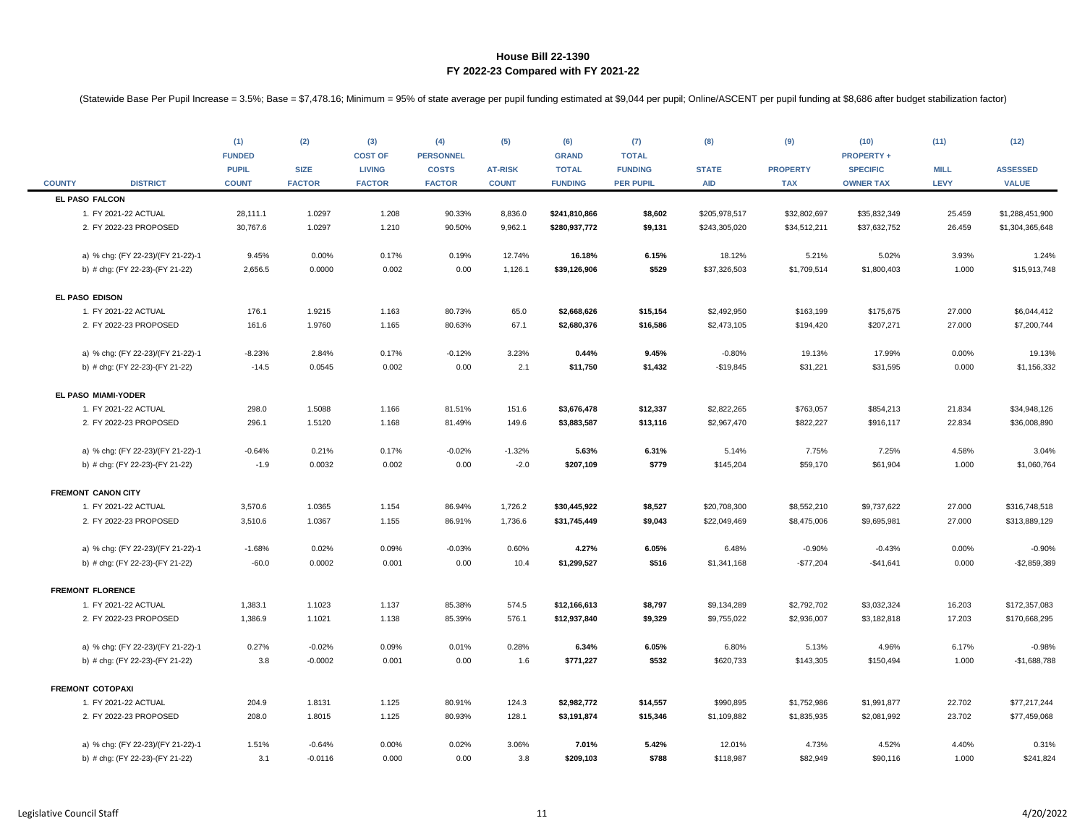|               |                                   | (1)<br><b>FUNDED</b><br><b>PUPIL</b> | (2)<br><b>SIZE</b> | (3)<br><b>COST OF</b><br><b>LIVING</b> | (4)<br><b>PERSONNEL</b><br><b>COSTS</b> | (5)<br><b>AT-RISK</b> | (6)<br><b>GRAND</b><br><b>TOTAL</b> | (7)<br><b>TOTAL</b><br><b>FUNDING</b> | (8)<br><b>STATE</b> | (9)<br><b>PROPERTY</b> | (10)<br><b>PROPERTY +</b><br><b>SPECIFIC</b> | (11)<br><b>MILL</b> | (12)<br><b>ASSESSED</b> |
|---------------|-----------------------------------|--------------------------------------|--------------------|----------------------------------------|-----------------------------------------|-----------------------|-------------------------------------|---------------------------------------|---------------------|------------------------|----------------------------------------------|---------------------|-------------------------|
| <b>COUNTY</b> | <b>DISTRICT</b>                   | <b>COUNT</b>                         | <b>FACTOR</b>      | <b>FACTOR</b>                          | <b>FACTOR</b>                           | <b>COUNT</b>          | <b>FUNDING</b>                      | <b>PER PUPIL</b>                      | <b>AID</b>          | <b>TAX</b>             | <b>OWNER TAX</b>                             | <b>LEVY</b>         | <b>VALUE</b>            |
|               | EL PASO FALCON                    |                                      |                    |                                        |                                         |                       |                                     |                                       |                     |                        |                                              |                     |                         |
|               | 1. FY 2021-22 ACTUAL              | 28,111.1                             | 1.0297             | 1.208                                  | 90.33%                                  | 8,836.0               | \$241,810,866                       | \$8,602                               | \$205,978,517       | \$32,802,697           | \$35,832,349                                 | 25.459              | \$1,288,451,900         |
|               | 2. FY 2022-23 PROPOSED            | 30,767.6                             | 1.0297             | 1.210                                  | 90.50%                                  | 9,962.1               | \$280,937,772                       | \$9,131                               | \$243,305,020       | \$34,512,211           | \$37,632,752                                 | 26.459              | \$1,304,365,648         |
|               | a) % chg: (FY 22-23)/(FY 21-22)-1 | 9.45%                                | 0.00%              | 0.17%                                  | 0.19%                                   | 12.74%                | 16.18%                              | 6.15%                                 | 18.12%              | 5.21%                  | 5.02%                                        | 3.93%               | 1.24%                   |
|               | b) # chg: (FY 22-23)-(FY 21-22)   | 2,656.5                              | 0.0000             | 0.002                                  | 0.00                                    | 1,126.1               | \$39,126,906                        | \$529                                 | \$37,326,503        | \$1,709,514            | \$1,800,403                                  | 1.000               | \$15,913,748            |
|               | EL PASO EDISON                    |                                      |                    |                                        |                                         |                       |                                     |                                       |                     |                        |                                              |                     |                         |
|               | 1. FY 2021-22 ACTUAL              | 176.1                                | 1.9215             | 1.163                                  | 80.73%                                  | 65.0                  | \$2,668,626                         | \$15,154                              | \$2,492,950         | \$163,199              | \$175,675                                    | 27.000              | \$6,044,412             |
|               | 2. FY 2022-23 PROPOSED            | 161.6                                | 1.9760             | 1.165                                  | 80.63%                                  | 67.1                  | \$2,680,376                         | \$16,586                              | \$2,473,105         | \$194,420              | \$207,271                                    | 27.000              | \$7,200,744             |
|               | a) % chg: (FY 22-23)/(FY 21-22)-1 | $-8.23%$                             | 2.84%              | 0.17%                                  | $-0.12%$                                | 3.23%                 | 0.44%                               | 9.45%                                 | $-0.80%$            | 19.13%                 | 17.99%                                       | 0.00%               | 19.13%                  |
|               | b) # chg: (FY 22-23)-(FY 21-22)   | $-14.5$                              | 0.0545             | 0.002                                  | 0.00                                    | 2.1                   | \$11,750                            | \$1,432                               | $-$19,845$          | \$31,221               | \$31,595                                     | 0.000               | \$1,156,332             |
|               | EL PASO MIAMI-YODER               |                                      |                    |                                        |                                         |                       |                                     |                                       |                     |                        |                                              |                     |                         |
|               | 1. FY 2021-22 ACTUAL              | 298.0                                | 1.5088             | 1.166                                  | 81.51%                                  | 151.6                 | \$3,676,478                         | \$12,337                              | \$2,822,265         | \$763,057              | \$854,213                                    | 21.834              | \$34,948,126            |
|               | 2. FY 2022-23 PROPOSED            | 296.1                                | 1.5120             | 1.168                                  | 81.49%                                  | 149.6                 | \$3,883,587                         | \$13,116                              | \$2,967,470         | \$822,227              | \$916,117                                    | 22.834              | \$36,008,890            |
|               | a) % chg: (FY 22-23)/(FY 21-22)-1 | $-0.64%$                             | 0.21%              | 0.17%                                  | $-0.02%$                                | $-1.32%$              | 5.63%                               | 6.31%                                 | 5.14%               | 7.75%                  | 7.25%                                        | 4.58%               | 3.04%                   |
|               | b) # chg: (FY 22-23)-(FY 21-22)   | $-1.9$                               | 0.0032             | 0.002                                  | 0.00                                    | $-2.0$                | \$207,109                           | \$779                                 | \$145,204           | \$59,170               | \$61,904                                     | 1.000               | \$1,060,764             |
|               | <b>FREMONT CANON CITY</b>         |                                      |                    |                                        |                                         |                       |                                     |                                       |                     |                        |                                              |                     |                         |
|               | 1. FY 2021-22 ACTUAL              | 3,570.6                              | 1.0365             | 1.154                                  | 86.94%                                  | 1,726.2               | \$30,445,922                        | \$8,527                               | \$20,708,300        | \$8,552,210            | \$9,737,622                                  | 27.000              | \$316,748,518           |
|               | 2. FY 2022-23 PROPOSED            | 3,510.6                              | 1.0367             | 1.155                                  | 86.91%                                  | 1,736.6               | \$31,745,449                        | \$9,043                               | \$22,049,469        | \$8,475,006            | \$9,695,981                                  | 27.000              | \$313,889,129           |
|               | a) % chg: (FY 22-23)/(FY 21-22)-1 | $-1.68%$                             | 0.02%              | 0.09%                                  | $-0.03%$                                | 0.60%                 | 4.27%                               | 6.05%                                 | 6.48%               | $-0.90%$               | $-0.43%$                                     | 0.00%               | $-0.90%$                |
|               | b) # chg: (FY 22-23)-(FY 21-22)   | $-60.0$                              | 0.0002             | 0.001                                  | 0.00                                    | 10.4                  | \$1,299,527                         | \$516                                 | \$1,341,168         | $-$77,204$             | $-$41,641$                                   | 0.000               | $-$2,859,389$           |
|               | <b>FREMONT FLORENCE</b>           |                                      |                    |                                        |                                         |                       |                                     |                                       |                     |                        |                                              |                     |                         |
|               | 1. FY 2021-22 ACTUAL              | 1,383.1                              | 1.1023             | 1.137                                  | 85.38%                                  | 574.5                 | \$12,166,613                        | \$8,797                               | \$9,134,289         | \$2,792,702            | \$3,032,324                                  | 16.203              | \$172,357,083           |
|               | 2. FY 2022-23 PROPOSED            | 1,386.9                              | 1.1021             | 1.138                                  | 85.39%                                  | 576.1                 | \$12,937,840                        | \$9,329                               | \$9,755,022         | \$2,936,007            | \$3,182,818                                  | 17.203              | \$170,668,295           |
|               | a) % chg: (FY 22-23)/(FY 21-22)-1 | 0.27%                                | $-0.02%$           | 0.09%                                  | 0.01%                                   | 0.28%                 | 6.34%                               | 6.05%                                 | 6.80%               | 5.13%                  | 4.96%                                        | 6.17%               | $-0.98%$                |
|               | b) # chg: (FY 22-23)-(FY 21-22)   | 3.8                                  | $-0.0002$          | 0.001                                  | 0.00                                    | 1.6                   | \$771,227                           | \$532                                 | \$620,733           | \$143,305              | \$150,494                                    | 1.000               | $-$1,688,788$           |
|               | <b>FREMONT COTOPAXI</b>           |                                      |                    |                                        |                                         |                       |                                     |                                       |                     |                        |                                              |                     |                         |
|               | 1. FY 2021-22 ACTUAL              | 204.9                                | 1.8131             | 1.125                                  | 80.91%                                  | 124.3                 | \$2,982,772                         | \$14,557                              | \$990,895           | \$1,752,986            | \$1,991,877                                  | 22.702              | \$77,217,244            |
|               | 2. FY 2022-23 PROPOSED            | 208.0                                | 1.8015             | 1.125                                  | 80.93%                                  | 128.1                 | \$3,191,874                         | \$15,346                              | \$1,109,882         | \$1,835,935            | \$2,081,992                                  | 23.702              | \$77,459,068            |
|               | a) % chg: (FY 22-23)/(FY 21-22)-1 | 1.51%                                | $-0.64%$           | 0.00%                                  | 0.02%                                   | 3.06%                 | 7.01%                               | 5.42%                                 | 12.01%              | 4.73%                  | 4.52%                                        | 4.40%               | 0.31%                   |
|               | b) # chg: (FY 22-23)-(FY 21-22)   | 3.1                                  | $-0.0116$          | 0.000                                  | 0.00                                    | 3.8                   | \$209,103                           | \$788                                 | \$118,987           | \$82,949               | \$90,116                                     | 1.000               | \$241,824               |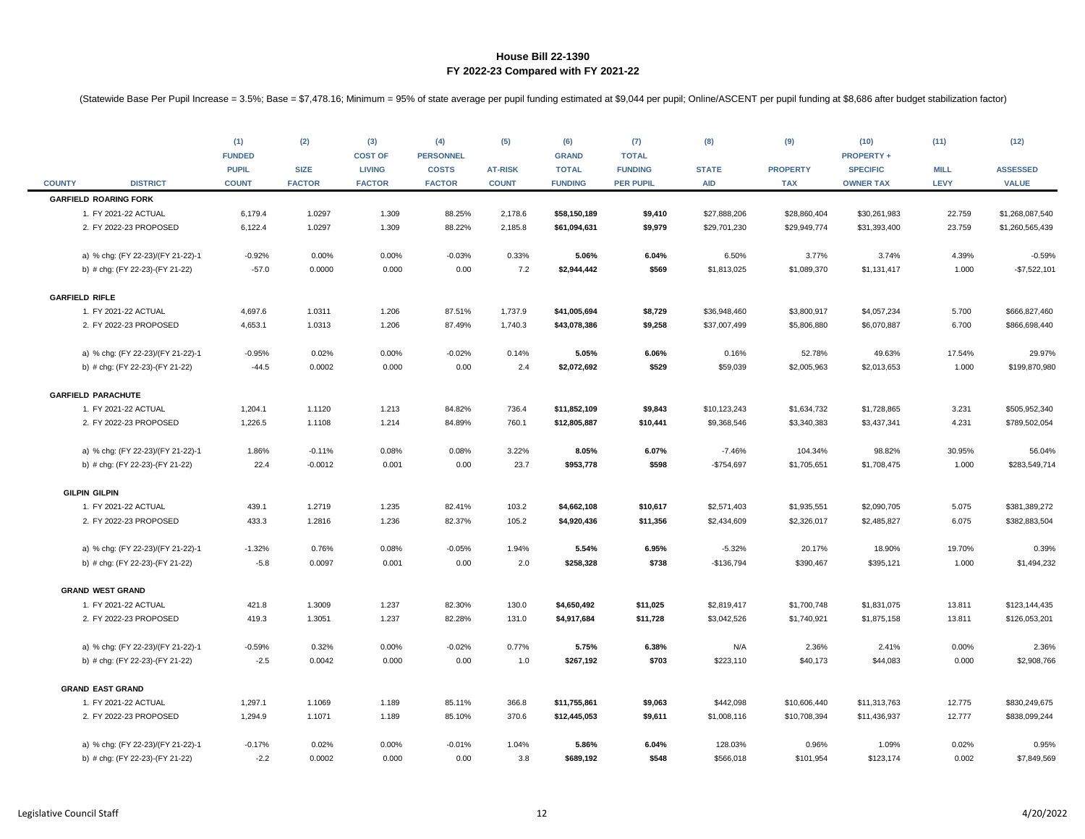|               |                                   | (1)<br><b>FUNDED</b><br><b>PUPIL</b> | (2)<br><b>SIZE</b> | (3)<br><b>COST OF</b><br><b>LIVING</b> | (4)<br><b>PERSONNEL</b><br><b>COSTS</b> | (5)<br><b>AT-RISK</b> | (6)<br><b>GRAND</b><br><b>TOTAL</b> | (7)<br><b>TOTAL</b><br><b>FUNDING</b> | (8)<br><b>STATE</b> | (9)<br><b>PROPERTY</b> | (10)<br><b>PROPERTY +</b><br><b>SPECIFIC</b> | (11)<br><b>MILL</b> | (12)<br><b>ASSESSED</b> |
|---------------|-----------------------------------|--------------------------------------|--------------------|----------------------------------------|-----------------------------------------|-----------------------|-------------------------------------|---------------------------------------|---------------------|------------------------|----------------------------------------------|---------------------|-------------------------|
| <b>COUNTY</b> | <b>DISTRICT</b>                   | <b>COUNT</b>                         | <b>FACTOR</b>      | <b>FACTOR</b>                          | <b>FACTOR</b>                           | <b>COUNT</b>          | <b>FUNDING</b>                      | <b>PER PUPIL</b>                      | <b>AID</b>          | <b>TAX</b>             | <b>OWNER TAX</b>                             | <b>LEVY</b>         | <b>VALUE</b>            |
|               | <b>GARFIELD ROARING FORK</b>      |                                      |                    |                                        |                                         |                       |                                     |                                       |                     |                        |                                              |                     |                         |
|               | 1. FY 2021-22 ACTUAL              | 6,179.4                              | 1.0297             | 1.309                                  | 88.25%                                  | 2,178.6               | \$58,150,189                        | \$9,410                               | \$27,888,206        | \$28,860,404           | \$30,261,983                                 | 22.759              | \$1,268,087,540         |
|               | 2. FY 2022-23 PROPOSED            | 6,122.4                              | 1.0297             | 1.309                                  | 88.22%                                  | 2,185.8               | \$61,094,631                        | \$9,979                               | \$29,701,230        | \$29,949,774           | \$31,393,400                                 | 23.759              | \$1,260,565,439         |
|               | a) % chg: (FY 22-23)/(FY 21-22)-1 | $-0.92%$                             | 0.00%              | 0.00%                                  | $-0.03%$                                | 0.33%                 | 5.06%                               | 6.04%                                 | 6.50%               | 3.77%                  | 3.74%                                        | 4.39%               | $-0.59%$                |
|               | b) # chg: (FY 22-23)-(FY 21-22)   | $-57.0$                              | 0.0000             | 0.000                                  | 0.00                                    | 7.2                   | \$2,944,442                         | \$569                                 | \$1,813,025         | \$1,089,370            | \$1,131,417                                  | 1.000               | $-$7,522,101$           |
|               | <b>GARFIELD RIFLE</b>             |                                      |                    |                                        |                                         |                       |                                     |                                       |                     |                        |                                              |                     |                         |
|               | 1. FY 2021-22 ACTUAL              | 4,697.6                              | 1.0311             | 1.206                                  | 87.51%                                  | 1,737.9               | \$41,005,694                        | \$8,729                               | \$36,948,460        | \$3,800,917            | \$4,057,234                                  | 5.700               | \$666,827,460           |
|               | 2. FY 2022-23 PROPOSED            | 4,653.1                              | 1.0313             | 1.206                                  | 87.49%                                  | 1,740.3               | \$43,078,386                        | \$9,258                               | \$37,007,499        | \$5,806,880            | \$6,070,887                                  | 6.700               | \$866,698,440           |
|               | a) % chg: (FY 22-23)/(FY 21-22)-1 | $-0.95%$                             | 0.02%              | 0.00%                                  | $-0.02%$                                | 0.14%                 | 5.05%                               | 6.06%                                 | 0.16%               | 52.78%                 | 49.63%                                       | 17.54%              | 29.97%                  |
|               | b) # chg: (FY 22-23)-(FY 21-22)   | $-44.5$                              | 0.0002             | 0.000                                  | 0.00                                    | 2.4                   | \$2,072,692                         | \$529                                 | \$59,039            | \$2,005,963            | \$2,013,653                                  | 1.000               | \$199,870,980           |
|               | <b>GARFIELD PARACHUTE</b>         |                                      |                    |                                        |                                         |                       |                                     |                                       |                     |                        |                                              |                     |                         |
|               | 1. FY 2021-22 ACTUAL              | 1,204.1                              | 1.1120             | 1.213                                  | 84.82%                                  | 736.4                 | \$11,852,109                        | \$9,843                               | \$10,123,243        | \$1,634,732            | \$1,728,865                                  | 3.231               | \$505,952,340           |
|               | 2. FY 2022-23 PROPOSED            | 1,226.5                              | 1.1108             | 1.214                                  | 84.89%                                  | 760.1                 | \$12,805,887                        | \$10,441                              | \$9,368,546         | \$3,340,383            | \$3,437,341                                  | 4.231               | \$789,502,054           |
|               | a) % chg: (FY 22-23)/(FY 21-22)-1 | 1.86%                                | $-0.11%$           | 0.08%                                  | 0.08%                                   | 3.22%                 | 8.05%                               | 6.07%                                 | $-7.46%$            | 104.34%                | 98.82%                                       | 30.95%              | 56.04%                  |
|               | b) # chg: (FY 22-23)-(FY 21-22)   | 22.4                                 | $-0.0012$          | 0.001                                  | 0.00                                    | 23.7                  | \$953,778                           | \$598                                 | $-$754,697$         | \$1,705,651            | \$1,708,475                                  | 1.000               | \$283,549,714           |
|               | <b>GILPIN GILPIN</b>              |                                      |                    |                                        |                                         |                       |                                     |                                       |                     |                        |                                              |                     |                         |
|               | 1. FY 2021-22 ACTUAL              | 439.1                                | 1.2719             | 1.235                                  | 82.41%                                  | 103.2                 | \$4,662,108                         | \$10,617                              | \$2,571,403         | \$1,935,551            | \$2,090,705                                  | 5.075               | \$381,389,272           |
|               | 2. FY 2022-23 PROPOSED            | 433.3                                | 1.2816             | 1.236                                  | 82.37%                                  | 105.2                 | \$4,920,436                         | \$11,356                              | \$2,434,609         | \$2,326,017            | \$2,485,827                                  | 6.075               | \$382,883,504           |
|               | a) % chg: (FY 22-23)/(FY 21-22)-1 | $-1.32%$                             | 0.76%              | 0.08%                                  | $-0.05%$                                | 1.94%                 | 5.54%                               | 6.95%                                 | $-5.32%$            | 20.17%                 | 18.90%                                       | 19.70%              | 0.39%                   |
|               | b) # chg: (FY 22-23)-(FY 21-22)   | $-5.8$                               | 0.0097             | 0.001                                  | 0.00                                    | 2.0                   | \$258,328                           | \$738                                 | $-$136,794$         | \$390,467              | \$395,121                                    | 1.000               | \$1,494,232             |
|               | <b>GRAND WEST GRAND</b>           |                                      |                    |                                        |                                         |                       |                                     |                                       |                     |                        |                                              |                     |                         |
|               | 1. FY 2021-22 ACTUAL              | 421.8                                | 1.3009             | 1.237                                  | 82.30%                                  | 130.0                 | \$4,650,492                         | \$11,025                              | \$2,819,417         | \$1,700,748            | \$1,831,075                                  | 13.811              | \$123,144,435           |
|               | 2. FY 2022-23 PROPOSED            | 419.3                                | 1.3051             | 1.237                                  | 82.28%                                  | 131.0                 | \$4,917,684                         | \$11,728                              | \$3,042,526         | \$1,740,921            | \$1,875,158                                  | 13.811              | \$126,053,201           |
|               | a) % chg: (FY 22-23)/(FY 21-22)-1 | $-0.59%$                             | 0.32%              | 0.00%                                  | $-0.02%$                                | 0.77%                 | 5.75%                               | 6.38%                                 | N/A                 | 2.36%                  | 2.41%                                        | 0.00%               | 2.36%                   |
|               | b) # chg: (FY 22-23)-(FY 21-22)   | $-2.5$                               | 0.0042             | 0.000                                  | 0.00                                    | 1.0                   | \$267,192                           | \$703                                 | \$223,110           | \$40,173               | \$44,083                                     | 0.000               | \$2,908,766             |
|               | <b>GRAND EAST GRAND</b>           |                                      |                    |                                        |                                         |                       |                                     |                                       |                     |                        |                                              |                     |                         |
|               | 1. FY 2021-22 ACTUAL              | 1,297.1                              | 1.1069             | 1.189                                  | 85.11%                                  | 366.8                 | \$11,755,861                        | \$9,063                               | \$442,098           | \$10,606,440           | \$11,313,763                                 | 12.775              | \$830,249,675           |
|               | 2. FY 2022-23 PROPOSED            | 1,294.9                              | 1.1071             | 1.189                                  | 85.10%                                  | 370.6                 | \$12,445,053                        | \$9,611                               | \$1,008,116         | \$10,708,394           | \$11,436,937                                 | 12.777              | \$838,099,244           |
|               | a) % chg: (FY 22-23)/(FY 21-22)-1 | $-0.17%$                             | 0.02%              | 0.00%                                  | $-0.01%$                                | 1.04%                 | 5.86%                               | 6.04%                                 | 128.03%             | 0.96%                  | 1.09%                                        | 0.02%               | 0.95%                   |
|               | b) # chg: (FY 22-23)-(FY 21-22)   | $-2.2$                               | 0.0002             | 0.000                                  | 0.00                                    | 3.8                   | \$689,192                           | \$548                                 | \$566,018           | \$101,954              | \$123,174                                    | 0.002               | \$7,849,569             |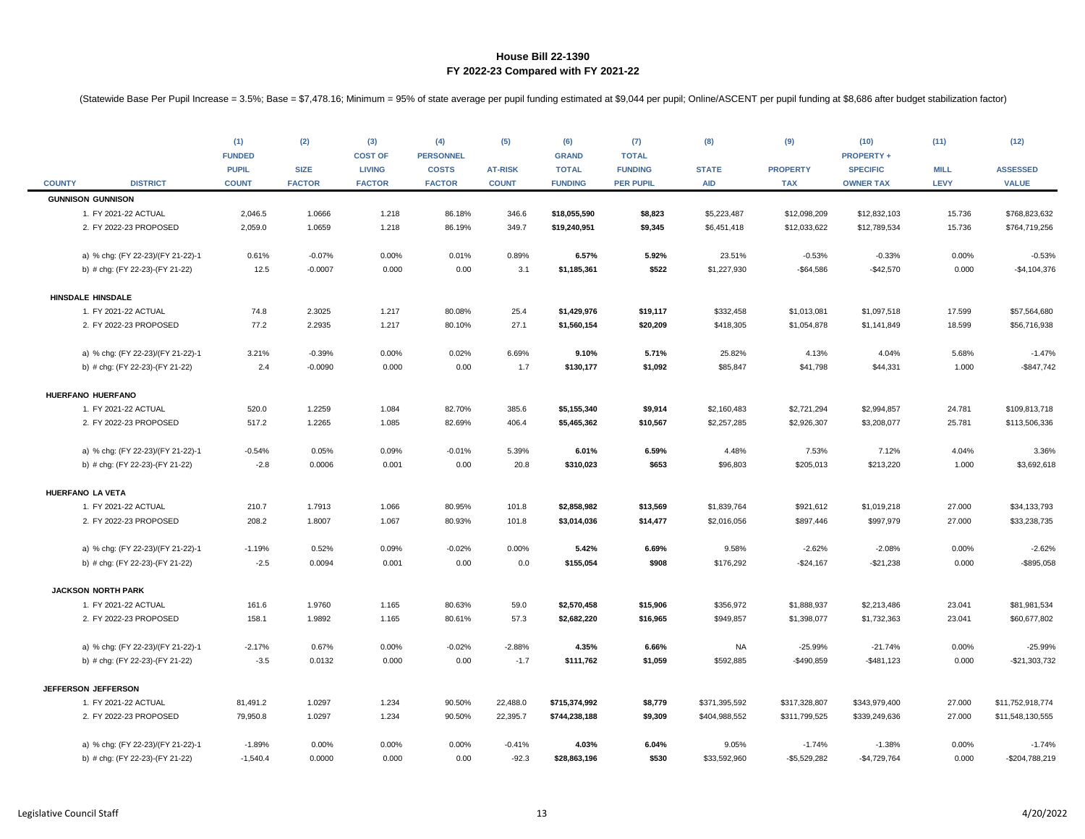|               |                                   | (1)<br><b>FUNDED</b><br><b>PUPIL</b> | (2)<br><b>SIZE</b> | (3)<br><b>COST OF</b><br><b>LIVING</b> | (4)<br><b>PERSONNEL</b><br><b>COSTS</b> | (5)<br><b>AT-RISK</b> | (6)<br><b>GRAND</b><br><b>TOTAL</b> | (7)<br><b>TOTAL</b><br><b>FUNDING</b> | (8)<br><b>STATE</b> | (9)<br><b>PROPERTY</b> | (10)<br><b>PROPERTY +</b><br><b>SPECIFIC</b> | (11)<br><b>MILL</b> | (12)<br><b>ASSESSED</b> |
|---------------|-----------------------------------|--------------------------------------|--------------------|----------------------------------------|-----------------------------------------|-----------------------|-------------------------------------|---------------------------------------|---------------------|------------------------|----------------------------------------------|---------------------|-------------------------|
| <b>COUNTY</b> | <b>DISTRICT</b>                   | <b>COUNT</b>                         | <b>FACTOR</b>      | <b>FACTOR</b>                          | <b>FACTOR</b>                           | <b>COUNT</b>          | <b>FUNDING</b>                      | <b>PER PUPIL</b>                      | <b>AID</b>          | <b>TAX</b>             | <b>OWNER TAX</b>                             | LEVY                | <b>VALUE</b>            |
|               | <b>GUNNISON GUNNISON</b>          |                                      |                    |                                        |                                         |                       |                                     |                                       |                     |                        |                                              |                     |                         |
|               | 1. FY 2021-22 ACTUAL              | 2,046.5                              | 1.0666             | 1.218                                  | 86.18%                                  | 346.6                 | \$18,055,590                        | \$8,823                               | \$5,223,487         | \$12,098,209           | \$12,832,103                                 | 15.736              | \$768,823,632           |
|               | 2. FY 2022-23 PROPOSED            | 2,059.0                              | 1.0659             | 1.218                                  | 86.19%                                  | 349.7                 | \$19,240,951                        | \$9,345                               | \$6,451,418         | \$12,033,622           | \$12,789,534                                 | 15.736              | \$764,719,256           |
|               | a) % chg: (FY 22-23)/(FY 21-22)-1 | 0.61%                                | $-0.07%$           | 0.00%                                  | 0.01%                                   | 0.89%                 | 6.57%                               | 5.92%                                 | 23.51%              | $-0.53%$               | $-0.33%$                                     | 0.00%               | $-0.53%$                |
|               | b) # chg: (FY 22-23)-(FY 21-22)   | 12.5                                 | $-0.0007$          | 0.000                                  | 0.00                                    | 3.1                   | \$1,185,361                         | \$522                                 | \$1,227,930         | $-$64,586$             | $-$42,570$                                   | 0.000               | $-$4,104,376$           |
|               | HINSDALE HINSDALE                 |                                      |                    |                                        |                                         |                       |                                     |                                       |                     |                        |                                              |                     |                         |
|               | 1. FY 2021-22 ACTUAL              | 74.8                                 | 2.3025             | 1.217                                  | 80.08%                                  | 25.4                  | \$1,429,976                         | \$19,117                              | \$332,458           | \$1,013,081            | \$1,097,518                                  | 17.599              | \$57,564,680            |
|               | 2. FY 2022-23 PROPOSED            | 77.2                                 | 2.2935             | 1.217                                  | 80.10%                                  | 27.1                  | \$1,560,154                         | \$20,209                              | \$418,305           | \$1,054,878            | \$1,141,849                                  | 18.599              | \$56,716,938            |
|               | a) % chg: (FY 22-23)/(FY 21-22)-1 | 3.21%                                | $-0.39%$           | 0.00%                                  | 0.02%                                   | 6.69%                 | 9.10%                               | 5.71%                                 | 25.82%              | 4.13%                  | 4.04%                                        | 5.68%               | $-1.47%$                |
|               | b) # chg: (FY 22-23)-(FY 21-22)   | 2.4                                  | $-0.0090$          | 0.000                                  | 0.00                                    | 1.7                   | \$130,177                           | \$1,092                               | \$85,847            | \$41,798               | \$44,331                                     | 1.000               | $-$847,742$             |
|               |                                   |                                      |                    |                                        |                                         |                       |                                     |                                       |                     |                        |                                              |                     |                         |
|               | HUERFANO HUERFANO                 |                                      |                    |                                        |                                         |                       |                                     |                                       |                     |                        |                                              |                     |                         |
|               | 1. FY 2021-22 ACTUAL              | 520.0                                | 1.2259             | 1.084                                  | 82.70%                                  | 385.6                 | \$5,155,340                         | \$9,914                               | \$2,160,483         | \$2,721,294            | \$2,994,857                                  | 24.781              | \$109,813,718           |
|               | 2. FY 2022-23 PROPOSED            | 517.2                                | 1.2265             | 1.085                                  | 82.69%                                  | 406.4                 | \$5,465,362                         | \$10,567                              | \$2,257,285         | \$2,926,307            | \$3,208,077                                  | 25.781              | \$113,506,336           |
|               | a) % chg: (FY 22-23)/(FY 21-22)-1 | $-0.54%$                             | 0.05%              | 0.09%                                  | $-0.01%$                                | 5.39%                 | 6.01%                               | 6.59%                                 | 4.48%               | 7.53%                  | 7.12%                                        | 4.04%               | 3.36%                   |
|               | b) # chg: (FY 22-23)-(FY 21-22)   | $-2.8$                               | 0.0006             | 0.001                                  | 0.00                                    | 20.8                  | \$310,023                           | \$653                                 | \$96,803            | \$205,013              | \$213,220                                    | 1.000               | \$3,692,618             |
|               | HUERFANO LA VETA                  |                                      |                    |                                        |                                         |                       |                                     |                                       |                     |                        |                                              |                     |                         |
|               | 1. FY 2021-22 ACTUAL              | 210.7                                | 1.7913             | 1.066                                  | 80.95%                                  | 101.8                 | \$2,858,982                         | \$13,569                              | \$1,839,764         | \$921,612              | \$1,019,218                                  | 27.000              | \$34,133,793            |
|               | 2. FY 2022-23 PROPOSED            | 208.2                                | 1.8007             | 1.067                                  | 80.93%                                  | 101.8                 | \$3,014,036                         | \$14,477                              | \$2,016,056         | \$897,446              | \$997,979                                    | 27.000              | \$33,238,735            |
|               | a) % chg: (FY 22-23)/(FY 21-22)-1 | $-1.19%$                             | 0.52%              | 0.09%                                  | $-0.02%$                                | 0.00%                 | 5.42%                               | 6.69%                                 | 9.58%               | $-2.62%$               | $-2.08%$                                     | 0.00%               | $-2.62%$                |
|               | b) # chg: (FY 22-23)-(FY 21-22)   | $-2.5$                               | 0.0094             | 0.001                                  | 0.00                                    | 0.0                   | \$155,054                           | \$908                                 | \$176,292           | $-$24,167$             | $-$21,238$                                   | 0.000               | $-$ \$895,058           |
|               | <b>JACKSON NORTH PARK</b>         |                                      |                    |                                        |                                         |                       |                                     |                                       |                     |                        |                                              |                     |                         |
|               | 1. FY 2021-22 ACTUAL              | 161.6                                | 1.9760             | 1.165                                  | 80.63%                                  | 59.0                  | \$2,570,458                         | \$15,906                              | \$356,972           | \$1,888,937            | \$2,213,486                                  | 23.041              | \$81,981,534            |
|               | 2. FY 2022-23 PROPOSED            | 158.1                                | 1.9892             | 1.165                                  | 80.61%                                  | 57.3                  | \$2,682,220                         | \$16,965                              | \$949,857           | \$1,398,077            | \$1,732,363                                  | 23.041              | \$60,677,802            |
|               | a) % chg: (FY 22-23)/(FY 21-22)-1 | $-2.17%$                             | 0.67%              | 0.00%                                  | $-0.02%$                                | $-2.88%$              | 4.35%                               | 6.66%                                 | NA                  | $-25.99%$              | $-21.74%$                                    | 0.00%               | $-25.99%$               |
|               | b) # chg: (FY 22-23)-(FY 21-22)   | $-3.5$                               | 0.0132             | 0.000                                  | 0.00                                    | $-1.7$                | \$111,762                           | \$1,059                               | \$592,885           | $-$490,859$            | $-$481,123$                                  | 0.000               | $-$21,303,732$          |
|               | JEFFERSON JEFFERSON               |                                      |                    |                                        |                                         |                       |                                     |                                       |                     |                        |                                              |                     |                         |
|               | 1. FY 2021-22 ACTUAL              | 81,491.2                             | 1.0297             | 1.234                                  | 90.50%                                  | 22,488.0              | \$715,374,992                       | \$8,779                               | \$371,395,592       | \$317,328,807          | \$343,979,400                                | 27.000              | \$11,752,918,774        |
|               | 2. FY 2022-23 PROPOSED            | 79,950.8                             | 1.0297             | 1.234                                  | 90.50%                                  | 22,395.7              | \$744,238,188                       | \$9,309                               | \$404,988,552       | \$311,799,525          | \$339,249,636                                | 27.000              | \$11,548,130,555        |
|               | a) % chg: (FY 22-23)/(FY 21-22)-1 | $-1.89%$                             | 0.00%              | 0.00%                                  | 0.00%                                   | $-0.41%$              | 4.03%                               | 6.04%                                 | 9.05%               | $-1.74%$               | $-1.38%$                                     | 0.00%               | $-1.74%$                |
|               | b) # chg: (FY 22-23)-(FY 21-22)   | $-1,540.4$                           | 0.0000             | 0.000                                  | 0.00                                    | $-92.3$               | \$28,863,196                        | \$530                                 | \$33,592,960        | $-$5,529,282$          | $-$4,729,764$                                | 0.000               | -\$204,788,219          |
|               |                                   |                                      |                    |                                        |                                         |                       |                                     |                                       |                     |                        |                                              |                     |                         |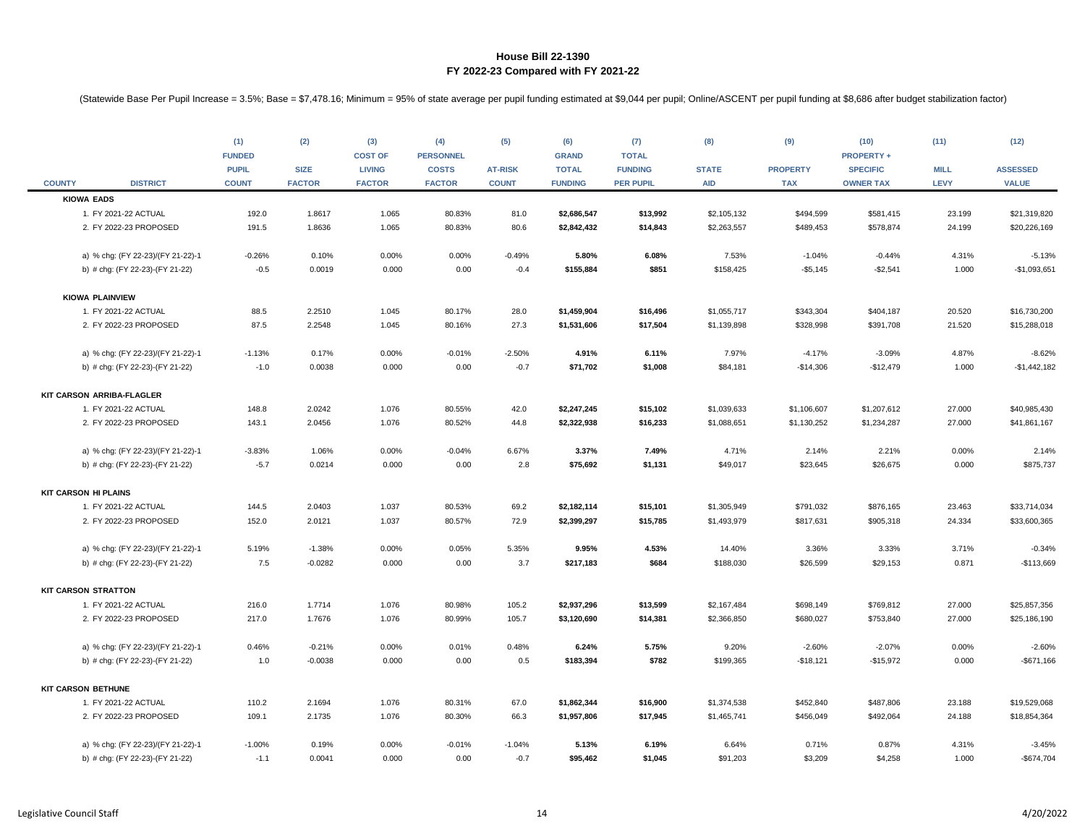|               |                                   | (1)<br><b>FUNDED</b> | (2)           | (3)<br><b>COST OF</b> | (4)<br><b>PERSONNEL</b> | (5)            | (6)<br><b>GRAND</b> | (7)<br><b>TOTAL</b> | (8)          | (9)             | (10)<br><b>PROPERTY +</b> | (11)        | (12)            |
|---------------|-----------------------------------|----------------------|---------------|-----------------------|-------------------------|----------------|---------------------|---------------------|--------------|-----------------|---------------------------|-------------|-----------------|
|               |                                   | <b>PUPIL</b>         | <b>SIZE</b>   | <b>LIVING</b>         | <b>COSTS</b>            | <b>AT-RISK</b> | <b>TOTAL</b>        | <b>FUNDING</b>      | <b>STATE</b> | <b>PROPERTY</b> | <b>SPECIFIC</b>           | <b>MILL</b> | <b>ASSESSED</b> |
| <b>COUNTY</b> | <b>DISTRICT</b>                   | <b>COUNT</b>         | <b>FACTOR</b> | <b>FACTOR</b>         | <b>FACTOR</b>           | <b>COUNT</b>   | <b>FUNDING</b>      | <b>PER PUPIL</b>    | <b>AID</b>   | <b>TAX</b>      | <b>OWNER TAX</b>          | LEVY        | <b>VALUE</b>    |
|               | <b>KIOWA EADS</b>                 |                      |               |                       |                         |                |                     |                     |              |                 |                           |             |                 |
|               | 1. FY 2021-22 ACTUAL              | 192.0                | 1.8617        | 1.065                 | 80.83%                  | 81.0           | \$2,686,547         | \$13,992            | \$2,105,132  | \$494,599       | \$581,415                 | 23.199      | \$21,319,820    |
|               | 2. FY 2022-23 PROPOSED            | 191.5                | 1.8636        | 1.065                 | 80.83%                  | 80.6           | \$2,842,432         | \$14,843            | \$2,263,557  | \$489,453       | \$578,874                 | 24.199      | \$20,226,169    |
|               | a) % chg: (FY 22-23)/(FY 21-22)-1 | $-0.26%$             | 0.10%         | 0.00%                 | 0.00%                   | $-0.49%$       | 5.80%               | 6.08%               | 7.53%        | $-1.04%$        | $-0.44%$                  | 4.31%       | $-5.13%$        |
|               | b) # chg: (FY 22-23)-(FY 21-22)   | $-0.5$               | 0.0019        | 0.000                 | 0.00                    | $-0.4$         | \$155,884           | \$851               | \$158,425    | $-$5,145$       | $-$2,541$                 | 1.000       | $-$1,093,651$   |
|               | <b>KIOWA PLAINVIEW</b>            |                      |               |                       |                         |                |                     |                     |              |                 |                           |             |                 |
|               | 1. FY 2021-22 ACTUAL              | 88.5                 | 2.2510        | 1.045                 | 80.17%                  | 28.0           | \$1,459,904         | \$16,496            | \$1,055,717  | \$343,304       | \$404,187                 | 20.520      | \$16,730,200    |
|               | 2. FY 2022-23 PROPOSED            | 87.5                 | 2.2548        | 1.045                 | 80.16%                  | 27.3           | \$1,531,606         | \$17,504            | \$1,139,898  | \$328,998       | \$391,708                 | 21.520      | \$15,288,018    |
|               | a) % chg: (FY 22-23)/(FY 21-22)-1 | $-1.13%$             | 0.17%         | 0.00%                 | $-0.01%$                | $-2.50%$       | 4.91%               | 6.11%               | 7.97%        | $-4.17%$        | $-3.09%$                  | 4.87%       | $-8.62%$        |
|               | b) # chg: (FY 22-23)-(FY 21-22)   | $-1.0$               | 0.0038        | 0.000                 | 0.00                    | $-0.7$         | \$71,702            | \$1,008             | \$84,181     | $-$14,306$      | $-$12,479$                | 1.000       | $-$1,442,182$   |
|               | KIT CARSON ARRIBA-FLAGLER         |                      |               |                       |                         |                |                     |                     |              |                 |                           |             |                 |
|               | 1. FY 2021-22 ACTUAL              | 148.8                | 2.0242        | 1.076                 | 80.55%                  | 42.0           | \$2,247,245         | \$15,102            | \$1,039,633  | \$1,106,607     | \$1,207,612               | 27.000      | \$40,985,430    |
|               | 2. FY 2022-23 PROPOSED            | 143.1                | 2.0456        | 1.076                 | 80.52%                  | 44.8           | \$2,322,938         | \$16,233            | \$1,088,651  | \$1,130,252     | \$1,234,287               | 27.000      | \$41,861,167    |
|               | a) % chg: (FY 22-23)/(FY 21-22)-1 | $-3.83%$             | 1.06%         | 0.00%                 | $-0.04%$                | 6.67%          | 3.37%               | 7.49%               | 4.71%        | 2.14%           | 2.21%                     | 0.00%       | 2.14%           |
|               | b) # chg: (FY 22-23)-(FY 21-22)   | $-5.7$               | 0.0214        | 0.000                 | 0.00                    | 2.8            | \$75,692            | \$1,131             | \$49,017     | \$23,645        | \$26,675                  | 0.000       | \$875,737       |
|               | <b>KIT CARSON HI PLAINS</b>       |                      |               |                       |                         |                |                     |                     |              |                 |                           |             |                 |
|               | 1. FY 2021-22 ACTUAL              | 144.5                | 2.0403        | 1.037                 | 80.53%                  | 69.2           | \$2,182,114         | \$15,101            | \$1,305,949  | \$791,032       | \$876,165                 | 23.463      | \$33,714,034    |
|               | 2. FY 2022-23 PROPOSED            | 152.0                | 2.0121        | 1.037                 | 80.57%                  | 72.9           | \$2,399,297         | \$15,785            | \$1,493,979  | \$817,631       | \$905,318                 | 24.334      | \$33,600,365    |
|               | a) % chg: (FY 22-23)/(FY 21-22)-1 | 5.19%                | $-1.38%$      | 0.00%                 | 0.05%                   | 5.35%          | 9.95%               | 4.53%               | 14.40%       | 3.36%           | 3.33%                     | 3.71%       | $-0.34%$        |
|               | b) # chg: (FY 22-23)-(FY 21-22)   | 7.5                  | $-0.0282$     | 0.000                 | 0.00                    | 3.7            | \$217,183           | \$684               | \$188,030    | \$26,599        | \$29,153                  | 0.871       | $-$113,669$     |
|               | <b>KIT CARSON STRATTON</b>        |                      |               |                       |                         |                |                     |                     |              |                 |                           |             |                 |
|               | 1. FY 2021-22 ACTUAL              | 216.0                | 1.7714        | 1.076                 | 80.98%                  | 105.2          | \$2,937,296         | \$13,599            | \$2,167,484  | \$698,149       | \$769,812                 | 27.000      | \$25,857,356    |
|               | 2. FY 2022-23 PROPOSED            | 217.0                | 1.7676        | 1.076                 | 80.99%                  | 105.7          | \$3,120,690         | \$14,381            | \$2,366,850  | \$680,027       | \$753,840                 | 27.000      | \$25,186,190    |
|               | a) % chg: (FY 22-23)/(FY 21-22)-1 | 0.46%                | $-0.21%$      | 0.00%                 | 0.01%                   | 0.48%          | 6.24%               | 5.75%               | 9.20%        | $-2.60%$        | $-2.07%$                  | 0.00%       | $-2.60%$        |
|               | b) # chg: (FY 22-23)-(FY 21-22)   | 1.0                  | $-0.0038$     | 0.000                 | 0.00                    | 0.5            | \$183,394           | \$782               | \$199,365    | $-$18,121$      | $-$15,972$                | 0.000       | $-$671,166$     |
|               | <b>KIT CARSON BETHUNE</b>         |                      |               |                       |                         |                |                     |                     |              |                 |                           |             |                 |
|               | 1. FY 2021-22 ACTUAL              | 110.2                | 2.1694        | 1.076                 | 80.31%                  | 67.0           | \$1,862,344         | \$16,900            | \$1,374,538  | \$452,840       | \$487,806                 | 23.188      | \$19,529,068    |
|               | 2. FY 2022-23 PROPOSED            | 109.1                | 2.1735        | 1.076                 | 80.30%                  | 66.3           | \$1,957,806         | \$17,945            | \$1,465,741  | \$456,049       | \$492,064                 | 24.188      | \$18,854,364    |
|               | a) % chg: (FY 22-23)/(FY 21-22)-1 | $-1.00%$             | 0.19%         | 0.00%                 | $-0.01%$                | $-1.04%$       | 5.13%               | 6.19%               | 6.64%        | 0.71%           | 0.87%                     | 4.31%       | $-3.45%$        |
|               | b) # chg: (FY 22-23)-(FY 21-22)   | $-1.1$               | 0.0041        | 0.000                 | 0.00                    | $-0.7$         | \$95,462            | \$1,045             | \$91,203     | \$3,209         | \$4,258                   | 1.000       | $-$674,704$     |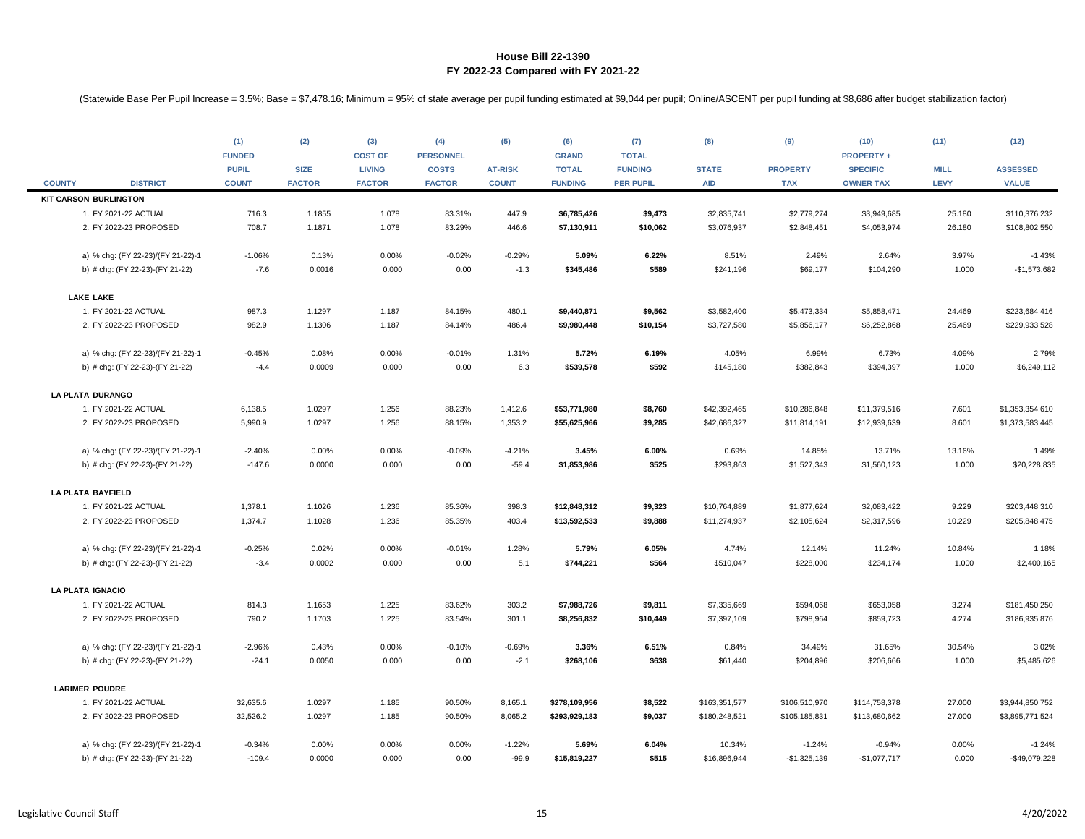|               |                                   | (1)<br><b>FUNDED</b>         | (2)                          | (3)<br><b>COST OF</b>          | (4)<br><b>PERSONNEL</b>       | (5)                            | (6)<br><b>GRAND</b>            | (7)<br><b>TOTAL</b>                | (8)                        | (9)                           | (10)<br><b>PROPERTY +</b>           | (11)                | (12)                            |
|---------------|-----------------------------------|------------------------------|------------------------------|--------------------------------|-------------------------------|--------------------------------|--------------------------------|------------------------------------|----------------------------|-------------------------------|-------------------------------------|---------------------|---------------------------------|
| <b>COUNTY</b> | <b>DISTRICT</b>                   | <b>PUPIL</b><br><b>COUNT</b> | <b>SIZE</b><br><b>FACTOR</b> | <b>LIVING</b><br><b>FACTOR</b> | <b>COSTS</b><br><b>FACTOR</b> | <b>AT-RISK</b><br><b>COUNT</b> | <b>TOTAL</b><br><b>FUNDING</b> | <b>FUNDING</b><br><b>PER PUPIL</b> | <b>STATE</b><br><b>AID</b> | <b>PROPERTY</b><br><b>TAX</b> | <b>SPECIFIC</b><br><b>OWNER TAX</b> | <b>MILL</b><br>LEVY | <b>ASSESSED</b><br><b>VALUE</b> |
|               | <b>KIT CARSON BURLINGTON</b>      |                              |                              |                                |                               |                                |                                |                                    |                            |                               |                                     |                     |                                 |
|               | 1. FY 2021-22 ACTUAL              | 716.3                        | 1.1855                       | 1.078                          | 83.31%                        | 447.9                          | \$6,785,426                    | \$9,473                            | \$2,835,741                | \$2,779,274                   | \$3,949,685                         | 25.180              | \$110,376,232                   |
|               | 2. FY 2022-23 PROPOSED            | 708.7                        | 1.1871                       | 1.078                          | 83.29%                        | 446.6                          | \$7,130,911                    | \$10,062                           | \$3,076,937                | \$2,848,451                   | \$4,053,974                         | 26.180              | \$108,802,550                   |
|               | a) % chg: (FY 22-23)/(FY 21-22)-1 | $-1.06%$                     | 0.13%                        | 0.00%                          | $-0.02%$                      | $-0.29%$                       | 5.09%                          | 6.22%                              | 8.51%                      | 2.49%                         | 2.64%                               | 3.97%               | $-1.43%$                        |
|               | b) # chg: (FY 22-23)-(FY 21-22)   | $-7.6$                       | 0.0016                       | 0.000                          | 0.00                          | $-1.3$                         | \$345,486                      | \$589                              | \$241,196                  | \$69,177                      | \$104,290                           | 1.000               | $-$1,573,682$                   |
|               | <b>LAKE LAKE</b>                  |                              |                              |                                |                               |                                |                                |                                    |                            |                               |                                     |                     |                                 |
|               | 1. FY 2021-22 ACTUAL              | 987.3                        | 1.1297                       | 1.187                          | 84.15%                        | 480.1                          | \$9,440,871                    | \$9,562                            | \$3,582,400                | \$5,473,334                   | \$5,858,471                         | 24.469              | \$223,684,416                   |
|               | 2. FY 2022-23 PROPOSED            | 982.9                        | 1.1306                       | 1.187                          | 84.14%                        | 486.4                          | \$9,980,448                    | \$10,154                           | \$3,727,580                | \$5,856,177                   | \$6,252,868                         | 25.469              | \$229,933,528                   |
|               | a) % chg: (FY 22-23)/(FY 21-22)-1 | $-0.45%$                     | 0.08%                        | 0.00%                          | $-0.01%$                      | 1.31%                          | 5.72%                          | 6.19%                              | 4.05%                      | 6.99%                         | 6.73%                               | 4.09%               | 2.79%                           |
|               | b) # chg: (FY 22-23)-(FY 21-22)   | $-4.4$                       | 0.0009                       | 0.000                          | 0.00                          | 6.3                            | \$539,578                      | \$592                              | \$145,180                  | \$382,843                     | \$394,397                           | 1.000               | \$6,249,112                     |
|               | LA PLATA DURANGO                  |                              |                              |                                |                               |                                |                                |                                    |                            |                               |                                     |                     |                                 |
|               | 1. FY 2021-22 ACTUAL              | 6,138.5                      | 1.0297                       | 1.256                          | 88.23%                        | 1,412.6                        | \$53,771,980                   | \$8,760                            | \$42,392,465               | \$10,286,848                  | \$11,379,516                        | 7.601               | \$1,353,354,610                 |
|               | 2. FY 2022-23 PROPOSED            | 5,990.9                      | 1.0297                       | 1.256                          | 88.15%                        | 1,353.2                        | \$55,625,966                   | \$9,285                            | \$42,686,327               | \$11,814,191                  | \$12,939,639                        | 8.601               | \$1,373,583,445                 |
|               | a) % chg: (FY 22-23)/(FY 21-22)-1 | $-2.40%$                     | 0.00%                        | 0.00%                          | $-0.09%$                      | $-4.21%$                       | 3.45%                          | 6.00%                              | 0.69%                      | 14.85%                        | 13.71%                              | 13.16%              | 1.49%                           |
|               | b) # chg: (FY 22-23)-(FY 21-22)   | $-147.6$                     | 0.0000                       | 0.000                          | 0.00                          | $-59.4$                        | \$1,853,986                    | \$525                              | \$293,863                  | \$1,527,343                   | \$1,560,123                         | 1.000               | \$20,228,835                    |
|               | <b>LA PLATA BAYFIELD</b>          |                              |                              |                                |                               |                                |                                |                                    |                            |                               |                                     |                     |                                 |
|               | 1. FY 2021-22 ACTUAL              | 1,378.1                      | 1.1026                       | 1.236                          | 85.36%                        | 398.3                          | \$12,848,312                   | \$9,323                            | \$10,764,889               | \$1,877,624                   | \$2,083,422                         | 9.229               | \$203,448,310                   |
|               | 2. FY 2022-23 PROPOSED            | 1,374.7                      | 1.1028                       | 1.236                          | 85.35%                        | 403.4                          | \$13,592,533                   | \$9,888                            | \$11,274,937               | \$2,105,624                   | \$2,317,596                         | 10.229              | \$205,848,475                   |
|               | a) % chg: (FY 22-23)/(FY 21-22)-1 | $-0.25%$                     | 0.02%                        | 0.00%                          | $-0.01%$                      | 1.28%                          | 5.79%                          | 6.05%                              | 4.74%                      | 12.14%                        | 11.24%                              | 10.84%              | 1.18%                           |
|               | b) # chg: (FY 22-23)-(FY 21-22)   | $-3.4$                       | 0.0002                       | 0.000                          | 0.00                          | 5.1                            | \$744,221                      | \$564                              | \$510,047                  | \$228,000                     | \$234,174                           | 1.000               | \$2,400,165                     |
|               | <b>LA PLATA IGNACIO</b>           |                              |                              |                                |                               |                                |                                |                                    |                            |                               |                                     |                     |                                 |
|               | 1. FY 2021-22 ACTUAL              | 814.3                        | 1.1653                       | 1.225                          | 83.62%                        | 303.2                          | \$7,988,726                    | \$9,811                            | \$7,335,669                | \$594,068                     | \$653,058                           | 3.274               | \$181,450,250                   |
|               | 2. FY 2022-23 PROPOSED            | 790.2                        | 1.1703                       | 1.225                          | 83.54%                        | 301.1                          | \$8,256,832                    | \$10,449                           | \$7,397,109                | \$798,964                     | \$859,723                           | 4.274               | \$186,935,876                   |
|               | a) % chg: (FY 22-23)/(FY 21-22)-1 | $-2.96%$                     | 0.43%                        | 0.00%                          | $-0.10%$                      | $-0.69%$                       | 3.36%                          | 6.51%                              | 0.84%                      | 34.49%                        | 31.65%                              | 30.54%              | 3.02%                           |
|               | b) # chg: (FY 22-23)-(FY 21-22)   | $-24.1$                      | 0.0050                       | 0.000                          | 0.00                          | $-2.1$                         | \$268,106                      | \$638                              | \$61,440                   | \$204,896                     | \$206,666                           | 1.000               | \$5,485,626                     |
|               | <b>LARIMER POUDRE</b>             |                              |                              |                                |                               |                                |                                |                                    |                            |                               |                                     |                     |                                 |
|               | 1. FY 2021-22 ACTUAL              | 32,635.6                     | 1.0297                       | 1.185                          | 90.50%                        | 8,165.1                        | \$278,109,956                  | \$8,522                            | \$163,351,577              | \$106,510,970                 | \$114,758,378                       | 27.000              | \$3,944,850,752                 |
|               | 2. FY 2022-23 PROPOSED            | 32,526.2                     | 1.0297                       | 1.185                          | 90.50%                        | 8,065.2                        | \$293,929,183                  | \$9,037                            | \$180,248,521              | \$105,185,831                 | \$113,680,662                       | 27.000              | \$3,895,771,524                 |
|               | a) % chg: (FY 22-23)/(FY 21-22)-1 | $-0.34%$                     | 0.00%                        | 0.00%                          | 0.00%                         | $-1.22%$                       | 5.69%                          | 6.04%                              | 10.34%                     | $-1.24%$                      | $-0.94%$                            | 0.00%               | $-1.24%$                        |
|               | b) # chg: (FY 22-23)-(FY 21-22)   | $-109.4$                     | 0.0000                       | 0.000                          | 0.00                          | $-99.9$                        | \$15,819,227                   | \$515                              | \$16,896,944               | $-$1,325,139$                 | $-$1,077,717$                       | 0.000               | -\$49,079,228                   |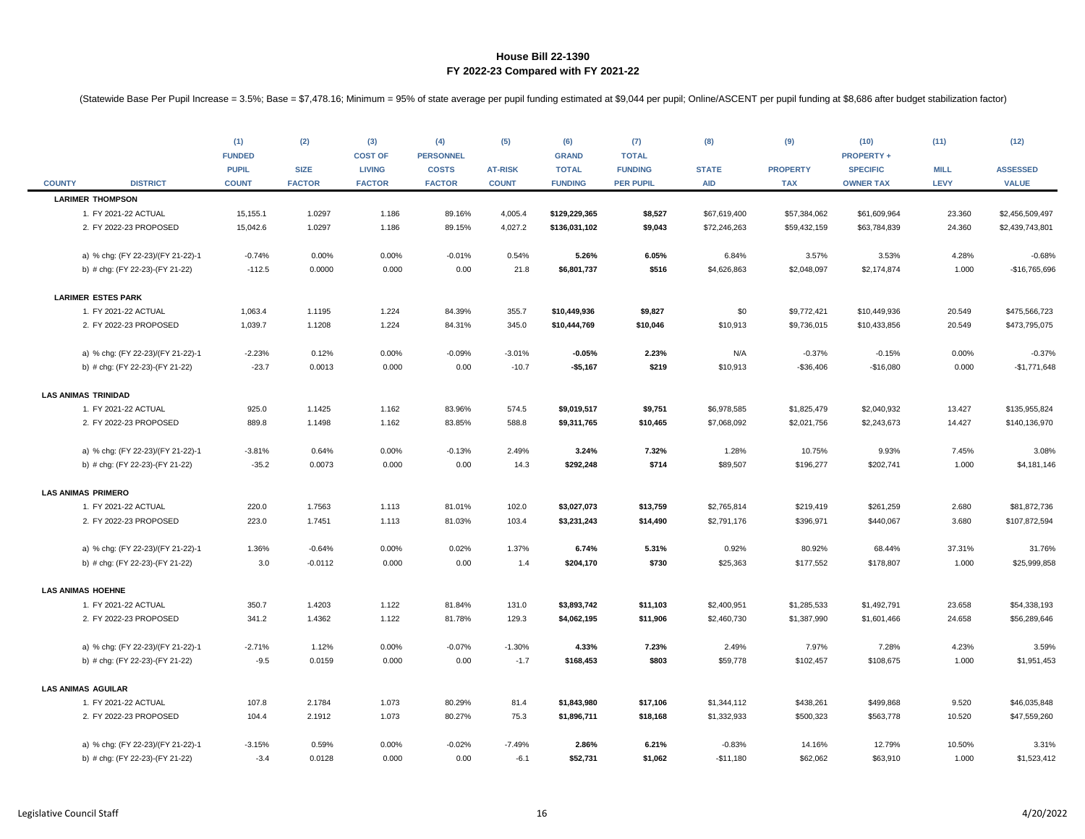|               |                                   | (1)           | (2)           | (3)            | (4)              | (5)            | (6)            | (7)              | (8)          | (9)             | (10)              | (11)        | (12)            |
|---------------|-----------------------------------|---------------|---------------|----------------|------------------|----------------|----------------|------------------|--------------|-----------------|-------------------|-------------|-----------------|
|               |                                   | <b>FUNDED</b> |               | <b>COST OF</b> | <b>PERSONNEL</b> |                | <b>GRAND</b>   | <b>TOTAL</b>     |              |                 | <b>PROPERTY +</b> |             |                 |
|               |                                   | <b>PUPIL</b>  | <b>SIZE</b>   | <b>LIVING</b>  | <b>COSTS</b>     | <b>AT-RISK</b> | <b>TOTAL</b>   | <b>FUNDING</b>   | <b>STATE</b> | <b>PROPERTY</b> | <b>SPECIFIC</b>   | <b>MILL</b> | <b>ASSESSED</b> |
| <b>COUNTY</b> | <b>DISTRICT</b>                   | <b>COUNT</b>  | <b>FACTOR</b> | <b>FACTOR</b>  | <b>FACTOR</b>    | <b>COUNT</b>   | <b>FUNDING</b> | <b>PER PUPIL</b> | <b>AID</b>   | <b>TAX</b>      | <b>OWNER TAX</b>  | <b>LEVY</b> | <b>VALUE</b>    |
|               | <b>LARIMER THOMPSON</b>           |               |               |                |                  |                |                |                  |              |                 |                   |             |                 |
|               | 1. FY 2021-22 ACTUAL              | 15,155.1      | 1.0297        | 1.186          | 89.16%           | 4,005.4        | \$129,229,365  | \$8,527          | \$67,619,400 | \$57,384,062    | \$61,609,964      | 23.360      | \$2,456,509,497 |
|               | 2. FY 2022-23 PROPOSED            | 15,042.6      | 1.0297        | 1.186          | 89.15%           | 4,027.2        | \$136,031,102  | \$9,043          | \$72,246,263 | \$59,432,159    | \$63,784,839      | 24.360      | \$2,439,743,801 |
|               | a) % chg: (FY 22-23)/(FY 21-22)-1 | $-0.74%$      | 0.00%         | 0.00%          | $-0.01%$         | 0.54%          | 5.26%          | 6.05%            | 6.84%        | 3.57%           | 3.53%             | 4.28%       | $-0.68%$        |
|               | b) # chg: (FY 22-23)-(FY 21-22)   | $-112.5$      | 0.0000        | 0.000          | 0.00             | 21.8           | \$6,801,737    | \$516            | \$4,626,863  | \$2,048,097     | \$2,174,874       | 1.000       | -\$16,765,696   |
|               | <b>LARIMER ESTES PARK</b>         |               |               |                |                  |                |                |                  |              |                 |                   |             |                 |
|               | 1. FY 2021-22 ACTUAL              | 1,063.4       | 1.1195        | 1.224          | 84.39%           | 355.7          | \$10,449,936   | \$9,827          | \$0          | \$9,772,421     | \$10,449,936      | 20.549      | \$475,566,723   |
|               | 2. FY 2022-23 PROPOSED            | 1,039.7       | 1.1208        | 1.224          | 84.31%           | 345.0          | \$10,444,769   | \$10,046         | \$10,913     | \$9,736,015     | \$10,433,856      | 20.549      | \$473,795,075   |
|               | a) % chg: (FY 22-23)/(FY 21-22)-1 | $-2.23%$      | 0.12%         | 0.00%          | $-0.09%$         | $-3.01%$       | $-0.05%$       | 2.23%            | N/A          | $-0.37%$        | $-0.15%$          | 0.00%       | $-0.37%$        |
|               | b) # chg: (FY 22-23)-(FY 21-22)   | $-23.7$       | 0.0013        | 0.000          | 0.00             | $-10.7$        | $-$5,167$      | \$219            | \$10,913     | $-$36,406$      | $-$16,080$        | 0.000       | $-$1,771,648$   |
|               |                                   |               |               |                |                  |                |                |                  |              |                 |                   |             |                 |
|               | <b>LAS ANIMAS TRINIDAD</b>        |               |               |                |                  |                |                |                  |              |                 |                   |             |                 |
|               | 1. FY 2021-22 ACTUAL              | 925.0         | 1.1425        | 1.162          | 83.96%           | 574.5          | \$9,019,517    | \$9,751          | \$6,978,585  | \$1,825,479     | \$2,040,932       | 13.427      | \$135,955,824   |
|               | 2. FY 2022-23 PROPOSED            | 889.8         | 1.1498        | 1.162          | 83.85%           | 588.8          | \$9,311,765    | \$10,465         | \$7,068,092  | \$2,021,756     | \$2,243,673       | 14.427      | \$140,136,970   |
|               | a) % chg: (FY 22-23)/(FY 21-22)-1 | $-3.81%$      | 0.64%         | 0.00%          | $-0.13%$         | 2.49%          | 3.24%          | 7.32%            | 1.28%        | 10.75%          | 9.93%             | 7.45%       | 3.08%           |
|               | b) # chg: (FY 22-23)-(FY 21-22)   | $-35.2$       | 0.0073        | 0.000          | 0.00             | 14.3           | \$292,248      | \$714            | \$89,507     | \$196,277       | \$202,741         | 1.000       | \$4,181,146     |
|               | <b>LAS ANIMAS PRIMERO</b>         |               |               |                |                  |                |                |                  |              |                 |                   |             |                 |
|               | 1. FY 2021-22 ACTUAL              | 220.0         | 1.7563        | 1.113          | 81.01%           | 102.0          | \$3,027,073    | \$13,759         | \$2,765,814  | \$219,419       | \$261,259         | 2.680       | \$81,872,736    |
|               | 2. FY 2022-23 PROPOSED            | 223.0         | 1.7451        | 1.113          | 81.03%           | 103.4          | \$3,231,243    | \$14,490         | \$2,791,176  | \$396,971       | \$440,067         | 3.680       | \$107,872,594   |
|               | a) % chg: (FY 22-23)/(FY 21-22)-1 | 1.36%         | $-0.64%$      | 0.00%          | 0.02%            | 1.37%          | 6.74%          | 5.31%            | 0.92%        | 80.92%          | 68.44%            | 37.31%      | 31.76%          |
|               | b) # chg: (FY 22-23)-(FY 21-22)   | 3.0           | $-0.0112$     | 0.000          | 0.00             | 1.4            | \$204,170      | \$730            | \$25,363     | \$177,552       | \$178,807         | 1.000       | \$25,999,858    |
|               |                                   |               |               |                |                  |                |                |                  |              |                 |                   |             |                 |
|               | <b>LAS ANIMAS HOEHNE</b>          |               |               |                |                  |                |                |                  |              |                 |                   |             |                 |
|               | 1. FY 2021-22 ACTUAL              | 350.7         | 1.4203        | 1.122          | 81.84%           | 131.0          | \$3,893,742    | \$11,103         | \$2,400,951  | \$1,285,533     | \$1,492,791       | 23.658      | \$54,338,193    |
|               | 2. FY 2022-23 PROPOSED            | 341.2         | 1.4362        | 1.122          | 81.78%           | 129.3          | \$4,062,195    | \$11,906         | \$2,460,730  | \$1,387,990     | \$1,601,466       | 24.658      | \$56,289,646    |
|               | a) % chg: (FY 22-23)/(FY 21-22)-1 | $-2.71%$      | 1.12%         | 0.00%          | $-0.07%$         | $-1.30%$       | 4.33%          | 7.23%            | 2.49%        | 7.97%           | 7.28%             | 4.23%       | 3.59%           |
|               | b) # chg: (FY 22-23)-(FY 21-22)   | $-9.5$        | 0.0159        | 0.000          | 0.00             | $-1.7$         | \$168,453      | \$803            | \$59,778     | \$102,457       | \$108,675         | 1.000       | \$1,951,453     |
|               | <b>LAS ANIMAS AGUILAR</b>         |               |               |                |                  |                |                |                  |              |                 |                   |             |                 |
|               | 1. FY 2021-22 ACTUAL              | 107.8         | 2.1784        | 1.073          | 80.29%           | 81.4           | \$1,843,980    | \$17,106         | \$1,344,112  | \$438,261       | \$499,868         | 9.520       | \$46,035,848    |
|               | 2. FY 2022-23 PROPOSED            | 104.4         | 2.1912        | 1.073          | 80.27%           | 75.3           | \$1,896,711    | \$18,168         | \$1,332,933  | \$500,323       | \$563,778         | 10.520      | \$47,559,260    |
|               |                                   |               |               |                |                  |                |                |                  |              |                 |                   |             |                 |
|               | a) % chg: (FY 22-23)/(FY 21-22)-1 | $-3.15%$      | 0.59%         | 0.00%          | $-0.02%$         | $-7.49%$       | 2.86%          | 6.21%            | $-0.83%$     | 14.16%          | 12.79%            | 10.50%      | 3.31%           |
|               | b) # chg: (FY 22-23)-(FY 21-22)   | $-3.4$        | 0.0128        | 0.000          | 0.00             | $-6.1$         | \$52,731       | \$1,062          | $-$11,180$   | \$62,062        | \$63,910          | 1.000       | \$1,523,412     |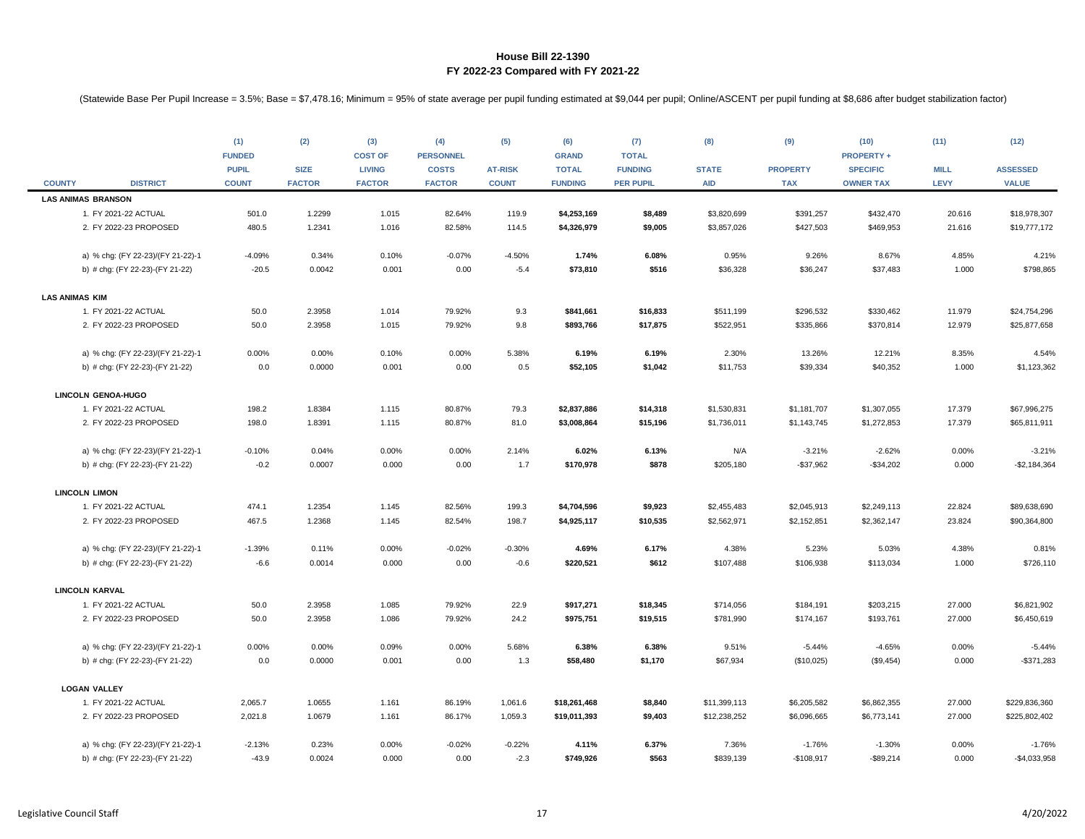|                       |                                   | (1)<br><b>FUNDED</b>         | (2)                          | (3)<br><b>COST OF</b>          | (4)<br><b>PERSONNEL</b>       | (5)                            | (6)<br><b>GRAND</b>            | (7)<br><b>TOTAL</b>                | (8)                        | (9)                           | (10)<br><b>PROPERTY +</b>           | (11)                       | (12)                            |
|-----------------------|-----------------------------------|------------------------------|------------------------------|--------------------------------|-------------------------------|--------------------------------|--------------------------------|------------------------------------|----------------------------|-------------------------------|-------------------------------------|----------------------------|---------------------------------|
| <b>COUNTY</b>         | <b>DISTRICT</b>                   | <b>PUPIL</b><br><b>COUNT</b> | <b>SIZE</b><br><b>FACTOR</b> | <b>LIVING</b><br><b>FACTOR</b> | <b>COSTS</b><br><b>FACTOR</b> | <b>AT-RISK</b><br><b>COUNT</b> | <b>TOTAL</b><br><b>FUNDING</b> | <b>FUNDING</b><br><b>PER PUPIL</b> | <b>STATE</b><br><b>AID</b> | <b>PROPERTY</b><br><b>TAX</b> | <b>SPECIFIC</b><br><b>OWNER TAX</b> | <b>MILL</b><br><b>LEVY</b> | <b>ASSESSED</b><br><b>VALUE</b> |
|                       | <b>LAS ANIMAS BRANSON</b>         |                              |                              |                                |                               |                                |                                |                                    |                            |                               |                                     |                            |                                 |
|                       | 1. FY 2021-22 ACTUAL              | 501.0                        | 1.2299                       | 1.015                          | 82.64%                        | 119.9                          | \$4,253,169                    | \$8,489                            | \$3,820,699                | \$391,257                     | \$432,470                           | 20.616                     | \$18,978,307                    |
|                       | 2. FY 2022-23 PROPOSED            | 480.5                        | 1.2341                       | 1.016                          | 82.58%                        | 114.5                          | \$4,326,979                    | \$9,005                            | \$3,857,026                | \$427,503                     | \$469,953                           | 21.616                     | \$19,777,172                    |
|                       | a) % chg: (FY 22-23)/(FY 21-22)-1 | $-4.09%$                     | 0.34%                        | 0.10%                          | $-0.07%$                      | $-4.50%$                       | 1.74%                          | 6.08%                              | 0.95%                      | 9.26%                         | 8.67%                               | 4.85%                      | 4.21%                           |
|                       | b) # chg: (FY 22-23)-(FY 21-22)   | $-20.5$                      | 0.0042                       | 0.001                          | 0.00                          | $-5.4$                         | \$73,810                       | \$516                              | \$36,328                   | \$36,247                      | \$37,483                            | 1.000                      | \$798,865                       |
| <b>LAS ANIMAS KIM</b> |                                   |                              |                              |                                |                               |                                |                                |                                    |                            |                               |                                     |                            |                                 |
|                       | 1. FY 2021-22 ACTUAL              | 50.0                         | 2.3958                       | 1.014                          | 79.92%                        | 9.3                            | \$841,661                      | \$16,833                           | \$511,199                  | \$296,532                     | \$330,462                           | 11.979                     | \$24,754,296                    |
|                       | 2. FY 2022-23 PROPOSED            | 50.0                         | 2.3958                       | 1.015                          | 79.92%                        | 9.8                            | \$893,766                      | \$17,875                           | \$522,951                  | \$335,866                     | \$370,814                           | 12.979                     | \$25,877,658                    |
|                       | a) % chg: (FY 22-23)/(FY 21-22)-1 | 0.00%                        | 0.00%                        | 0.10%                          | 0.00%                         | 5.38%                          | 6.19%                          | 6.19%                              | 2.30%                      | 13.26%                        | 12.21%                              | 8.35%                      | 4.54%                           |
|                       | b) # chg: (FY 22-23)-(FY 21-22)   | 0.0                          | 0.0000                       | 0.001                          | 0.00                          | 0.5                            | \$52,105                       | \$1,042                            | \$11,753                   | \$39,334                      | \$40,352                            | 1.000                      | \$1,123,362                     |
|                       | LINCOLN GENOA-HUGO                |                              |                              |                                |                               |                                |                                |                                    |                            |                               |                                     |                            |                                 |
|                       | 1. FY 2021-22 ACTUAL              | 198.2                        | 1.8384                       | 1.115                          | 80.87%                        | 79.3                           | \$2,837,886                    | \$14,318                           | \$1,530,831                | \$1,181,707                   | \$1,307,055                         | 17.379                     | \$67,996,275                    |
|                       | 2. FY 2022-23 PROPOSED            | 198.0                        | 1.8391                       | 1.115                          | 80.87%                        | 81.0                           | \$3,008,864                    | \$15,196                           | \$1,736,011                | \$1,143,745                   | \$1,272,853                         | 17.379                     | \$65,811,911                    |
|                       | a) % chg: (FY 22-23)/(FY 21-22)-1 | $-0.10%$                     | 0.04%                        | 0.00%                          | 0.00%                         | 2.14%                          | 6.02%                          | 6.13%                              | N/A                        | $-3.21%$                      | $-2.62%$                            | 0.00%                      | $-3.21%$                        |
|                       | b) # chg: (FY 22-23)-(FY 21-22)   | $-0.2$                       | 0.0007                       | 0.000                          | 0.00                          | 1.7                            | \$170,978                      | \$878                              | \$205,180                  | $-$37,962$                    | $-$34,202$                          | 0.000                      | $-$2,184,364$                   |
|                       | <b>LINCOLN LIMON</b>              |                              |                              |                                |                               |                                |                                |                                    |                            |                               |                                     |                            |                                 |
|                       | 1. FY 2021-22 ACTUAL              | 474.1                        | 1.2354                       | 1.145                          | 82.56%                        | 199.3                          | \$4,704,596                    | \$9,923                            | \$2,455,483                | \$2,045,913                   | \$2,249,113                         | 22.824                     | \$89,638,690                    |
|                       | 2. FY 2022-23 PROPOSED            | 467.5                        | 1.2368                       | 1.145                          | 82.54%                        | 198.7                          | \$4,925,117                    | \$10,535                           | \$2,562,971                | \$2,152,851                   | \$2,362,147                         | 23.824                     | \$90,364,800                    |
|                       | a) % chg: (FY 22-23)/(FY 21-22)-1 | $-1.39%$                     | 0.11%                        | 0.00%                          | $-0.02%$                      | $-0.30%$                       | 4.69%                          | 6.17%                              | 4.38%                      | 5.23%                         | 5.03%                               | 4.38%                      | 0.81%                           |
|                       | b) # chg: (FY 22-23)-(FY 21-22)   | $-6.6$                       | 0.0014                       | 0.000                          | 0.00                          | $-0.6$                         | \$220,521                      | \$612                              | \$107,488                  | \$106,938                     | \$113,034                           | 1.000                      | \$726,110                       |
|                       | <b>LINCOLN KARVAL</b>             |                              |                              |                                |                               |                                |                                |                                    |                            |                               |                                     |                            |                                 |
|                       | 1. FY 2021-22 ACTUAL              | 50.0                         | 2.3958                       | 1.085                          | 79.92%                        | 22.9                           | \$917,271                      | \$18,345                           | \$714,056                  | \$184,191                     | \$203,215                           | 27.000                     | \$6,821,902                     |
|                       | 2. FY 2022-23 PROPOSED            | 50.0                         | 2.3958                       | 1.086                          | 79.92%                        | 24.2                           | \$975,751                      | \$19,515                           | \$781,990                  | \$174,167                     | \$193,761                           | 27.000                     | \$6,450,619                     |
|                       | a) % chg: (FY 22-23)/(FY 21-22)-1 | 0.00%                        | 0.00%                        | 0.09%                          | 0.00%                         | 5.68%                          | 6.38%                          | 6.38%                              | 9.51%                      | $-5.44%$                      | $-4.65%$                            | 0.00%                      | $-5.44%$                        |
|                       | b) # chg: (FY 22-23)-(FY 21-22)   | 0.0                          | 0.0000                       | 0.001                          | 0.00                          | 1.3                            | \$58,480                       | \$1,170                            | \$67,934                   | (\$10,025)                    | (\$9,454)                           | 0.000                      | $-$ \$371,283                   |
|                       | <b>LOGAN VALLEY</b>               |                              |                              |                                |                               |                                |                                |                                    |                            |                               |                                     |                            |                                 |
|                       | 1. FY 2021-22 ACTUAL              | 2,065.7                      | 1.0655                       | 1.161                          | 86.19%                        | 1,061.6                        | \$18,261,468                   | \$8,840                            | \$11,399,113               | \$6,205,582                   | \$6,862,355                         | 27.000                     | \$229,836,360                   |
|                       | 2. FY 2022-23 PROPOSED            | 2,021.8                      | 1.0679                       | 1.161                          | 86.17%                        | 1,059.3                        | \$19,011,393                   | \$9,403                            | \$12,238,252               | \$6,096,665                   | \$6,773,141                         | 27.000                     | \$225,802,402                   |
|                       | a) % chg: (FY 22-23)/(FY 21-22)-1 | $-2.13%$                     | 0.23%                        | 0.00%                          | $-0.02%$                      | $-0.22%$                       | 4.11%                          | 6.37%                              | 7.36%                      | $-1.76%$                      | $-1.30%$                            | 0.00%                      | $-1.76%$                        |
|                       | b) # chg: (FY 22-23)-(FY 21-22)   | $-43.9$                      | 0.0024                       | 0.000                          | 0.00                          | $-2.3$                         | \$749,926                      | \$563                              | \$839,139                  | $-$108,917$                   | $-$89,214$                          | 0.000                      | $-$4,033,958$                   |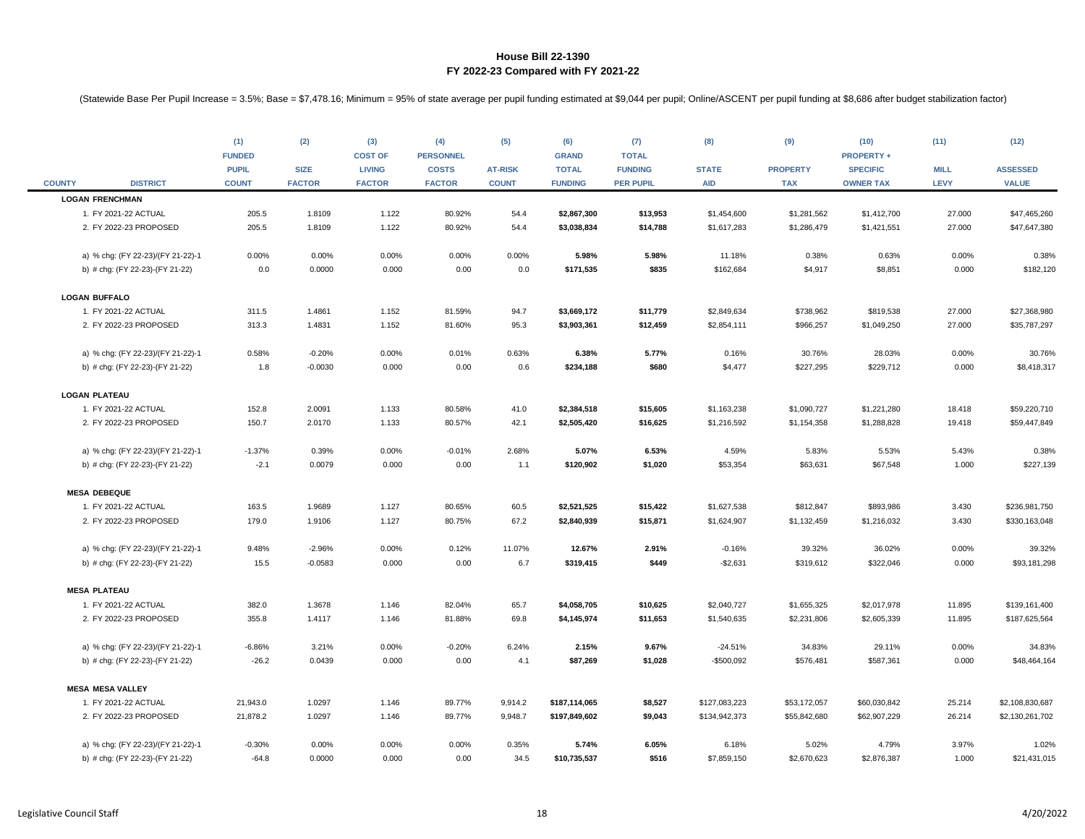|               |                                   | (1)<br><b>FUNDED</b><br><b>PUPIL</b> | (2)<br><b>SIZE</b> | (3)<br><b>COST OF</b><br><b>LIVING</b> | (4)<br><b>PERSONNEL</b><br><b>COSTS</b> | (5)<br><b>AT-RISK</b> | (6)<br><b>GRAND</b><br><b>TOTAL</b> | (7)<br><b>TOTAL</b><br><b>FUNDING</b> | (8)<br><b>STATE</b> | (9)<br><b>PROPERTY</b> | (10)<br><b>PROPERTY +</b><br><b>SPECIFIC</b> | (11)<br><b>MILL</b> | (12)<br><b>ASSESSED</b> |
|---------------|-----------------------------------|--------------------------------------|--------------------|----------------------------------------|-----------------------------------------|-----------------------|-------------------------------------|---------------------------------------|---------------------|------------------------|----------------------------------------------|---------------------|-------------------------|
| <b>COUNTY</b> | <b>DISTRICT</b>                   | <b>COUNT</b>                         | <b>FACTOR</b>      | <b>FACTOR</b>                          | <b>FACTOR</b>                           | <b>COUNT</b>          | <b>FUNDING</b>                      | <b>PER PUPIL</b>                      | <b>AID</b>          | <b>TAX</b>             | <b>OWNER TAX</b>                             | <b>LEVY</b>         | <b>VALUE</b>            |
|               | <b>LOGAN FRENCHMAN</b>            |                                      |                    |                                        |                                         |                       |                                     |                                       |                     |                        |                                              |                     |                         |
|               | 1. FY 2021-22 ACTUAL              | 205.5                                | 1.8109             | 1.122                                  | 80.92%                                  | 54.4                  | \$2,867,300                         | \$13,953                              | \$1,454,600         | \$1,281,562            | \$1,412,700                                  | 27.000              | \$47,465,260            |
|               | 2. FY 2022-23 PROPOSED            | 205.5                                | 1.8109             | 1.122                                  | 80.92%                                  | 54.4                  | \$3,038,834                         | \$14,788                              | \$1,617,283         | \$1,286,479            | \$1,421,551                                  | 27.000              | \$47,647,380            |
|               | a) % chg: (FY 22-23)/(FY 21-22)-1 | 0.00%                                | 0.00%              | 0.00%                                  | 0.00%                                   | 0.00%                 | 5.98%                               | 5.98%                                 | 11.18%              | 0.38%                  | 0.63%                                        | 0.00%               | 0.38%                   |
|               | b) # chg: (FY 22-23)-(FY 21-22)   | 0.0                                  | 0.0000             | 0.000                                  | 0.00                                    | 0.0                   | \$171,535                           | \$835                                 | \$162,684           | \$4,917                | \$8,851                                      | 0.000               | \$182,120               |
|               | <b>LOGAN BUFFALO</b>              |                                      |                    |                                        |                                         |                       |                                     |                                       |                     |                        |                                              |                     |                         |
|               | 1. FY 2021-22 ACTUAL              | 311.5                                | 1.4861             | 1.152                                  | 81.59%                                  | 94.7                  | \$3,669,172                         | \$11,779                              | \$2,849,634         | \$738,962              | \$819,538                                    | 27.000              | \$27,368,980            |
|               | 2. FY 2022-23 PROPOSED            | 313.3                                | 1.4831             | 1.152                                  | 81.60%                                  | 95.3                  | \$3,903,361                         | \$12,459                              | \$2,854,111         | \$966,257              | \$1,049,250                                  | 27.000              | \$35,787,297            |
|               | a) % chg: (FY 22-23)/(FY 21-22)-1 | 0.58%                                | $-0.20%$           | 0.00%                                  | 0.01%                                   | 0.63%                 | 6.38%                               | 5.77%                                 | 0.16%               | 30.76%                 | 28.03%                                       | 0.00%               | 30.76%                  |
|               | b) # chg: (FY 22-23)-(FY 21-22)   | 1.8                                  | $-0.0030$          | 0.000                                  | 0.00                                    | 0.6                   | \$234,188                           | \$680                                 | \$4,477             | \$227,295              | \$229,712                                    | 0.000               | \$8,418,317             |
|               | <b>LOGAN PLATEAU</b>              |                                      |                    |                                        |                                         |                       |                                     |                                       |                     |                        |                                              |                     |                         |
|               | 1. FY 2021-22 ACTUAL              | 152.8                                | 2.0091             | 1.133                                  | 80.58%                                  | 41.0                  | \$2,384,518                         | \$15,605                              | \$1,163,238         | \$1,090,727            | \$1,221,280                                  | 18.418              | \$59,220,710            |
|               | 2. FY 2022-23 PROPOSED            | 150.7                                | 2.0170             | 1.133                                  | 80.57%                                  | 42.1                  | \$2,505,420                         | \$16,625                              | \$1,216,592         | \$1,154,358            | \$1,288,828                                  | 19.418              | \$59,447,849            |
|               | a) % chg: (FY 22-23)/(FY 21-22)-1 | $-1.37%$                             | 0.39%              | 0.00%                                  | $-0.01%$                                | 2.68%                 | 5.07%                               | 6.53%                                 | 4.59%               | 5.83%                  | 5.53%                                        | 5.43%               | 0.38%                   |
|               | b) # chg: (FY 22-23)-(FY 21-22)   | $-2.1$                               | 0.0079             | 0.000                                  | 0.00                                    | 1.1                   | \$120,902                           | \$1,020                               | \$53,354            | \$63,631               | \$67,548                                     | 1.000               | \$227,139               |
|               | <b>MESA DEBEQUE</b>               |                                      |                    |                                        |                                         |                       |                                     |                                       |                     |                        |                                              |                     |                         |
|               | 1. FY 2021-22 ACTUAL              | 163.5                                | 1.9689             | 1.127                                  | 80.65%                                  | 60.5                  | \$2,521,525                         | \$15,422                              | \$1,627,538         | \$812,847              | \$893,986                                    | 3.430               | \$236,981,750           |
|               | 2. FY 2022-23 PROPOSED            | 179.0                                | 1.9106             | 1.127                                  | 80.75%                                  | 67.2                  | \$2,840,939                         | \$15,871                              | \$1,624,907         | \$1,132,459            | \$1,216,032                                  | 3.430               | \$330,163,048           |
|               | a) % chg: (FY 22-23)/(FY 21-22)-1 | 9.48%                                | $-2.96%$           | 0.00%                                  | 0.12%                                   | 11.07%                | 12.67%                              | 2.91%                                 | $-0.16%$            | 39.32%                 | 36.02%                                       | 0.00%               | 39.32%                  |
|               | b) # chg: (FY 22-23)-(FY 21-22)   | 15.5                                 | $-0.0583$          | 0.000                                  | 0.00                                    | 6.7                   | \$319,415                           | \$449                                 | $-$2,631$           | \$319,612              | \$322,046                                    | 0.000               | \$93,181,298            |
|               | <b>MESA PLATEAU</b>               |                                      |                    |                                        |                                         |                       |                                     |                                       |                     |                        |                                              |                     |                         |
|               | 1. FY 2021-22 ACTUAL              | 382.0                                | 1.3678             | 1.146                                  | 82.04%                                  | 65.7                  | \$4,058,705                         | \$10,625                              | \$2,040,727         | \$1,655,325            | \$2,017,978                                  | 11.895              | \$139,161,400           |
|               | 2. FY 2022-23 PROPOSED            | 355.8                                | 1.4117             | 1.146                                  | 81.88%                                  | 69.8                  | \$4,145,974                         | \$11,653                              | \$1,540,635         | \$2,231,806            | \$2,605,339                                  | 11.895              | \$187,625,564           |
|               | a) % chg: (FY 22-23)/(FY 21-22)-1 | $-6.86%$                             | 3.21%              | 0.00%                                  | $-0.20%$                                | 6.24%                 | 2.15%                               | 9.67%                                 | $-24.51%$           | 34.83%                 | 29.11%                                       | 0.00%               | 34.83%                  |
|               | b) # chg: (FY 22-23)-(FY 21-22)   | $-26.2$                              | 0.0439             | 0.000                                  | 0.00                                    | 4.1                   | \$87,269                            | \$1,028                               | -\$500,092          | \$576,481              | \$587,361                                    | 0.000               | \$48,464,164            |
|               | <b>MESA MESA VALLEY</b>           |                                      |                    |                                        |                                         |                       |                                     |                                       |                     |                        |                                              |                     |                         |
|               | 1. FY 2021-22 ACTUAL              | 21,943.0                             | 1.0297             | 1.146                                  | 89.77%                                  | 9,914.2               | \$187,114,065                       | \$8,527                               | \$127,083,223       | \$53,172,057           | \$60,030,842                                 | 25.214              | \$2,108,830,687         |
|               | 2. FY 2022-23 PROPOSED            | 21,878.2                             | 1.0297             | 1.146                                  | 89.77%                                  | 9,948.7               | \$197,849,602                       | \$9,043                               | \$134,942,373       | \$55,842,680           | \$62,907,229                                 | 26.214              | \$2,130,261,702         |
|               | a) % chg: (FY 22-23)/(FY 21-22)-1 | $-0.30%$                             | 0.00%              | 0.00%                                  | 0.00%                                   | 0.35%                 | 5.74%                               | 6.05%                                 | 6.18%               | 5.02%                  | 4.79%                                        | 3.97%               | 1.02%                   |
|               | b) # chg: (FY 22-23)-(FY 21-22)   | $-64.8$                              | 0.0000             | 0.000                                  | 0.00                                    | 34.5                  | \$10,735,537                        | \$516                                 | \$7,859,150         | \$2,670,623            | \$2,876,387                                  | 1.000               | \$21,431,015            |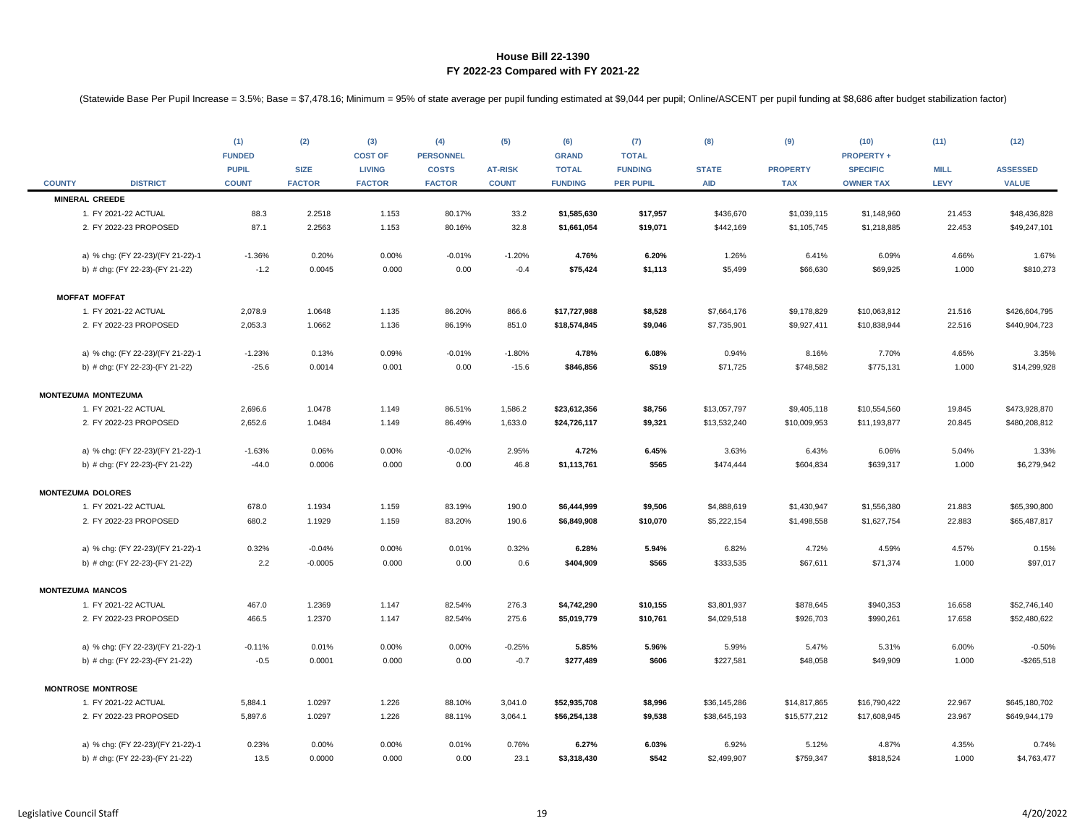|               |                                   | (1)<br><b>FUNDED</b><br><b>PUPIL</b> | (2)<br><b>SIZE</b> | (3)<br><b>COST OF</b><br><b>LIVING</b> | (4)<br><b>PERSONNEL</b><br><b>COSTS</b> | (5)<br><b>AT-RISK</b> | (6)<br><b>GRAND</b><br><b>TOTAL</b> | (7)<br><b>TOTAL</b><br><b>FUNDING</b> | (8)<br><b>STATE</b> | (9)<br><b>PROPERTY</b> | (10)<br><b>PROPERTY +</b><br><b>SPECIFIC</b> | (11)<br><b>MILL</b> | (12)<br><b>ASSESSED</b> |
|---------------|-----------------------------------|--------------------------------------|--------------------|----------------------------------------|-----------------------------------------|-----------------------|-------------------------------------|---------------------------------------|---------------------|------------------------|----------------------------------------------|---------------------|-------------------------|
| <b>COUNTY</b> | <b>DISTRICT</b>                   | <b>COUNT</b>                         | <b>FACTOR</b>      | <b>FACTOR</b>                          | <b>FACTOR</b>                           | <b>COUNT</b>          | <b>FUNDING</b>                      | <b>PER PUPIL</b>                      | <b>AID</b>          | <b>TAX</b>             | <b>OWNER TAX</b>                             | LEVY                | <b>VALUE</b>            |
|               | <b>MINERAL CREEDE</b>             |                                      |                    |                                        |                                         |                       |                                     |                                       |                     |                        |                                              |                     |                         |
|               | 1. FY 2021-22 ACTUAL              | 88.3                                 | 2.2518             | 1.153                                  | 80.17%                                  | 33.2                  | \$1,585,630                         | \$17,957                              | \$436,670           | \$1,039,115            | \$1,148,960                                  | 21.453              | \$48,436,828            |
|               | 2. FY 2022-23 PROPOSED            | 87.1                                 | 2.2563             | 1.153                                  | 80.16%                                  | 32.8                  | \$1,661,054                         | \$19,071                              | \$442,169           | \$1,105,745            | \$1,218,885                                  | 22.453              | \$49,247,101            |
|               | a) % chg: (FY 22-23)/(FY 21-22)-1 | $-1.36%$                             | 0.20%              | 0.00%                                  | $-0.01%$                                | $-1.20%$              | 4.76%                               | 6.20%                                 | 1.26%               | 6.41%                  | 6.09%                                        | 4.66%               | 1.67%                   |
|               | b) # chg: (FY 22-23)-(FY 21-22)   | $-1.2$                               | 0.0045             | 0.000                                  | 0.00                                    | $-0.4$                | \$75,424                            | \$1,113                               | \$5,499             | \$66,630               | \$69,925                                     | 1.000               | \$810,273               |
|               | <b>MOFFAT MOFFAT</b>              |                                      |                    |                                        |                                         |                       |                                     |                                       |                     |                        |                                              |                     |                         |
|               | 1. FY 2021-22 ACTUAL              | 2,078.9                              | 1.0648             | 1.135                                  | 86.20%                                  | 866.6                 | \$17,727,988                        | \$8,528                               | \$7,664,176         | \$9,178,829            | \$10,063,812                                 | 21.516              | \$426,604,795           |
|               | 2. FY 2022-23 PROPOSED            | 2,053.3                              | 1.0662             | 1.136                                  | 86.19%                                  | 851.0                 | \$18,574,845                        | \$9,046                               | \$7,735,901         | \$9,927,411            | \$10,838,944                                 | 22.516              | \$440,904,723           |
|               | a) % chg: (FY 22-23)/(FY 21-22)-1 | $-1.23%$                             | 0.13%              | 0.09%                                  | $-0.01%$                                | $-1.80%$              | 4.78%                               | 6.08%                                 | 0.94%               | 8.16%                  | 7.70%                                        | 4.65%               | 3.35%                   |
|               | b) # chg: (FY 22-23)-(FY 21-22)   | $-25.6$                              | 0.0014             | 0.001                                  | 0.00                                    | $-15.6$               | \$846,856                           | \$519                                 | \$71,725            | \$748,582              | \$775,131                                    | 1.000               | \$14,299,928            |
|               | <b>MONTEZUMA MONTEZUMA</b>        |                                      |                    |                                        |                                         |                       |                                     |                                       |                     |                        |                                              |                     |                         |
|               | 1. FY 2021-22 ACTUAL              | 2,696.6                              | 1.0478             | 1.149                                  | 86.51%                                  | 1,586.2               | \$23,612,356                        | \$8,756                               | \$13,057,797        | \$9,405,118            | \$10,554,560                                 | 19.845              | \$473,928,870           |
|               | 2. FY 2022-23 PROPOSED            | 2,652.6                              | 1.0484             | 1.149                                  | 86.49%                                  | 1,633.0               | \$24,726,117                        | \$9,321                               | \$13,532,240        | \$10,009,953           | \$11,193,877                                 | 20.845              | \$480,208,812           |
|               | a) % chg: (FY 22-23)/(FY 21-22)-1 | $-1.63%$                             | 0.06%              | 0.00%                                  | $-0.02%$                                | 2.95%                 | 4.72%                               | 6.45%                                 | 3.63%               | 6.43%                  | 6.06%                                        | 5.04%               | 1.33%                   |
|               | b) # chg: (FY 22-23)-(FY 21-22)   | $-44.0$                              | 0.0006             | 0.000                                  | 0.00                                    | 46.8                  | \$1,113,761                         | \$565                                 | \$474,444           | \$604,834              | \$639,317                                    | 1.000               | \$6,279,942             |
|               | <b>MONTEZUMA DOLORES</b>          |                                      |                    |                                        |                                         |                       |                                     |                                       |                     |                        |                                              |                     |                         |
|               | 1. FY 2021-22 ACTUAL              | 678.0                                | 1.1934             | 1.159                                  | 83.19%                                  | 190.0                 | \$6,444,999                         | \$9,506                               | \$4,888,619         | \$1,430,947            | \$1,556,380                                  | 21.883              | \$65,390,800            |
|               | 2. FY 2022-23 PROPOSED            | 680.2                                | 1.1929             | 1.159                                  | 83.20%                                  | 190.6                 | \$6,849,908                         | \$10,070                              | \$5,222,154         | \$1,498,558            | \$1,627,754                                  | 22.883              | \$65,487,817            |
|               | a) % chg: (FY 22-23)/(FY 21-22)-1 | 0.32%                                | $-0.04%$           | 0.00%                                  | 0.01%                                   | 0.32%                 | 6.28%                               | 5.94%                                 | 6.82%               | 4.72%                  | 4.59%                                        | 4.57%               | 0.15%                   |
|               | b) # chg: (FY 22-23)-(FY 21-22)   | 2.2                                  | $-0.0005$          | 0.000                                  | 0.00                                    | 0.6                   | \$404,909                           | \$565                                 | \$333,535           | \$67,611               | \$71,374                                     | 1.000               | \$97,017                |
|               | <b>MONTEZUMA MANCOS</b>           |                                      |                    |                                        |                                         |                       |                                     |                                       |                     |                        |                                              |                     |                         |
|               | 1. FY 2021-22 ACTUAL              | 467.0                                | 1.2369             | 1.147                                  | 82.54%                                  | 276.3                 | \$4,742,290                         | \$10,155                              | \$3,801,937         | \$878,645              | \$940,353                                    | 16.658              | \$52,746,140            |
|               | 2. FY 2022-23 PROPOSED            | 466.5                                | 1.2370             | 1.147                                  | 82.54%                                  | 275.6                 | \$5,019,779                         | \$10,761                              | \$4,029,518         | \$926,703              | \$990,261                                    | 17.658              | \$52,480,622            |
|               | a) % chg: (FY 22-23)/(FY 21-22)-1 | $-0.11%$                             | 0.01%              | 0.00%                                  | 0.00%                                   | $-0.25%$              | 5.85%                               | 5.96%                                 | 5.99%               | 5.47%                  | 5.31%                                        | 6.00%               | $-0.50%$                |
|               | b) # chg: (FY 22-23)-(FY 21-22)   | $-0.5$                               | 0.0001             | 0.000                                  | 0.00                                    | $-0.7$                | \$277,489                           | \$606                                 | \$227,581           | \$48,058               | \$49,909                                     | 1.000               | $-$265,518$             |
|               | <b>MONTROSE MONTROSE</b>          |                                      |                    |                                        |                                         |                       |                                     |                                       |                     |                        |                                              |                     |                         |
|               | 1. FY 2021-22 ACTUAL              | 5,884.1                              | 1.0297             | 1.226                                  | 88.10%                                  | 3,041.0               | \$52,935,708                        | \$8,996                               | \$36,145,286        | \$14,817,865           | \$16,790,422                                 | 22.967              | \$645,180,702           |
|               | 2. FY 2022-23 PROPOSED            | 5,897.6                              | 1.0297             | 1.226                                  | 88.11%                                  | 3,064.1               | \$56,254,138                        | \$9,538                               | \$38,645,193        | \$15,577,212           | \$17,608,945                                 | 23.967              | \$649,944,179           |
|               | a) % chg: (FY 22-23)/(FY 21-22)-1 | 0.23%                                | 0.00%              | 0.00%                                  | 0.01%                                   | 0.76%                 | 6.27%                               | 6.03%                                 | 6.92%               | 5.12%                  | 4.87%                                        | 4.35%               | 0.74%                   |
|               | b) # chg: (FY 22-23)-(FY 21-22)   | 13.5                                 | 0.0000             | 0.000                                  | 0.00                                    | 23.1                  | \$3,318,430                         | \$542                                 | \$2,499,907         | \$759,347              | \$818,524                                    | 1.000               | \$4,763,477             |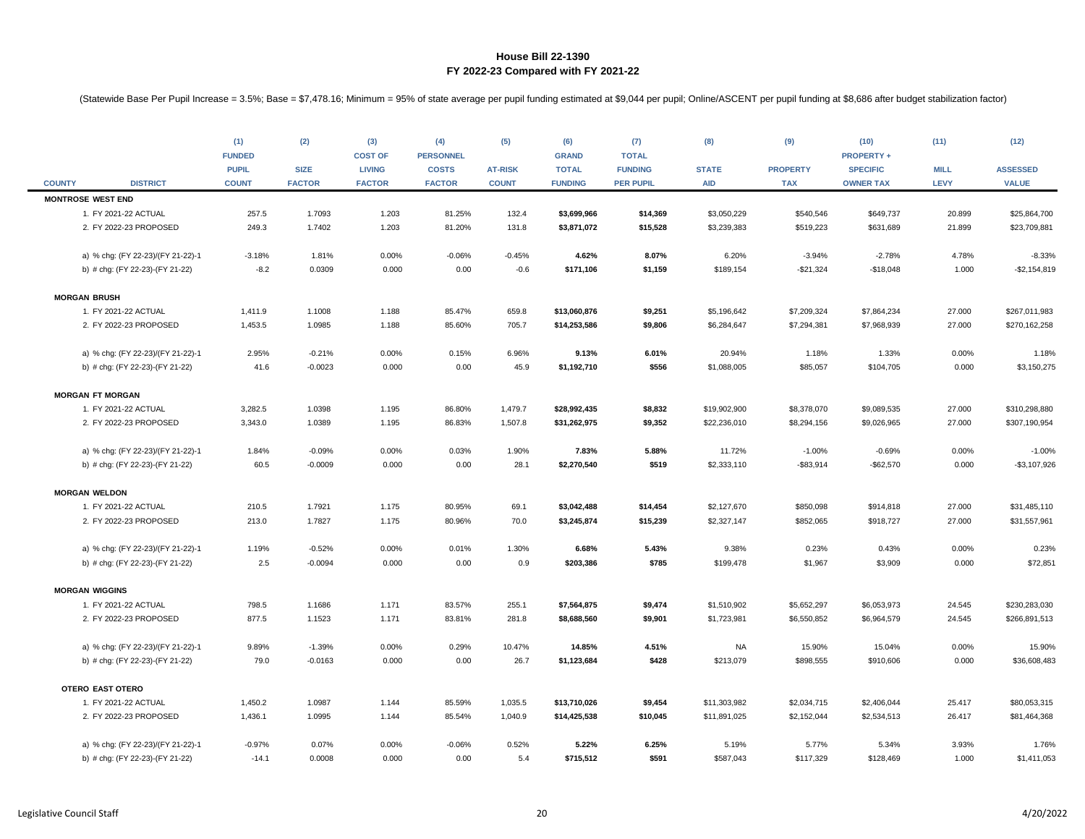|               |                                   | (1)<br><b>FUNDED</b>         | (2)<br><b>SIZE</b> | (3)<br><b>COST OF</b>          | (4)<br><b>PERSONNEL</b>       | (5)                            | (6)<br><b>GRAND</b>            | (7)<br><b>TOTAL</b>                | (8)                        | (9)                           | (10)<br><b>PROPERTY +</b>           | (11)<br><b>MILL</b> | (12)<br><b>ASSESSED</b> |
|---------------|-----------------------------------|------------------------------|--------------------|--------------------------------|-------------------------------|--------------------------------|--------------------------------|------------------------------------|----------------------------|-------------------------------|-------------------------------------|---------------------|-------------------------|
| <b>COUNTY</b> | <b>DISTRICT</b>                   | <b>PUPIL</b><br><b>COUNT</b> | <b>FACTOR</b>      | <b>LIVING</b><br><b>FACTOR</b> | <b>COSTS</b><br><b>FACTOR</b> | <b>AT-RISK</b><br><b>COUNT</b> | <b>TOTAL</b><br><b>FUNDING</b> | <b>FUNDING</b><br><b>PER PUPIL</b> | <b>STATE</b><br><b>AID</b> | <b>PROPERTY</b><br><b>TAX</b> | <b>SPECIFIC</b><br><b>OWNER TAX</b> | <b>LEVY</b>         | <b>VALUE</b>            |
|               | <b>MONTROSE WEST END</b>          |                              |                    |                                |                               |                                |                                |                                    |                            |                               |                                     |                     |                         |
|               | 1. FY 2021-22 ACTUAL              | 257.5                        | 1.7093             | 1.203                          | 81.25%                        | 132.4                          | \$3,699,966                    | \$14,369                           | \$3,050,229                | \$540,546                     | \$649,737                           | 20.899              | \$25,864,700            |
|               | 2. FY 2022-23 PROPOSED            | 249.3                        | 1.7402             | 1.203                          | 81.20%                        | 131.8                          | \$3,871,072                    | \$15,528                           | \$3,239,383                | \$519,223                     | \$631,689                           | 21.899              | \$23,709,881            |
|               | a) % chg: (FY 22-23)/(FY 21-22)-1 | $-3.18%$                     | 1.81%              | 0.00%                          | $-0.06%$                      | $-0.45%$                       | 4.62%                          | 8.07%                              | 6.20%                      | $-3.94%$                      | $-2.78%$                            | 4.78%               | $-8.33%$                |
|               | b) # chg: (FY 22-23)-(FY 21-22)   | $-8.2$                       | 0.0309             | 0.000                          | 0.00                          | $-0.6$                         | \$171,106                      | \$1,159                            | \$189,154                  | $-$21,324$                    | $-$18,048$                          | 1.000               | $-$2,154,819$           |
|               | <b>MORGAN BRUSH</b>               |                              |                    |                                |                               |                                |                                |                                    |                            |                               |                                     |                     |                         |
|               | 1. FY 2021-22 ACTUAL              | 1,411.9                      | 1.1008             | 1.188                          | 85.47%                        | 659.8                          | \$13,060,876                   | \$9,251                            | \$5,196,642                | \$7,209,324                   | \$7,864,234                         | 27.000              | \$267,011,983           |
|               | 2. FY 2022-23 PROPOSED            | 1,453.5                      | 1.0985             | 1.188                          | 85.60%                        | 705.7                          | \$14,253,586                   | \$9,806                            | \$6,284,647                | \$7,294,381                   | \$7,968,939                         | 27.000              | \$270,162,258           |
|               | a) % chg: (FY 22-23)/(FY 21-22)-1 | 2.95%                        | $-0.21%$           | 0.00%                          | 0.15%                         | 6.96%                          | 9.13%                          | 6.01%                              | 20.94%                     | 1.18%                         | 1.33%                               | 0.00%               | 1.18%                   |
|               | b) # chg: (FY 22-23)-(FY 21-22)   | 41.6                         | $-0.0023$          | 0.000                          | 0.00                          | 45.9                           | \$1,192,710                    | \$556                              | \$1,088,005                | \$85,057                      | \$104,705                           | 0.000               | \$3,150,275             |
|               | <b>MORGAN FT MORGAN</b>           |                              |                    |                                |                               |                                |                                |                                    |                            |                               |                                     |                     |                         |
|               | 1. FY 2021-22 ACTUAL              | 3,282.5                      | 1.0398             | 1.195                          | 86.80%                        | 1,479.7                        | \$28,992,435                   | \$8,832                            | \$19,902,900               | \$8,378,070                   | \$9,089,535                         | 27.000              | \$310,298,880           |
|               | 2. FY 2022-23 PROPOSED            | 3,343.0                      | 1.0389             | 1.195                          | 86.83%                        | 1,507.8                        | \$31,262,975                   | \$9,352                            | \$22,236,010               | \$8,294,156                   | \$9,026,965                         | 27.000              | \$307,190,954           |
|               | a) % chg: (FY 22-23)/(FY 21-22)-1 | 1.84%                        | $-0.09%$           | 0.00%                          | 0.03%                         | 1.90%                          | 7.83%                          | 5.88%                              | 11.72%                     | $-1.00%$                      | $-0.69%$                            | 0.00%               | $-1.00%$                |
|               | b) # chg: (FY 22-23)-(FY 21-22)   | 60.5                         | $-0.0009$          | 0.000                          | 0.00                          | 28.1                           | \$2,270,540                    | \$519                              | \$2,333,110                | $-$ \$83,914                  | $-$62,570$                          | 0.000               | $-$3,107,926$           |
|               | <b>MORGAN WELDON</b>              |                              |                    |                                |                               |                                |                                |                                    |                            |                               |                                     |                     |                         |
|               | 1. FY 2021-22 ACTUAL              | 210.5                        | 1.7921             | 1.175                          | 80.95%                        | 69.1                           | \$3,042,488                    | \$14,454                           | \$2,127,670                | \$850,098                     | \$914,818                           | 27.000              | \$31,485,110            |
|               | 2. FY 2022-23 PROPOSED            | 213.0                        | 1.7827             | 1.175                          | 80.96%                        | 70.0                           | \$3,245,874                    | \$15,239                           | \$2,327,147                | \$852,065                     | \$918,727                           | 27.000              | \$31,557,961            |
|               | a) % chg: (FY 22-23)/(FY 21-22)-1 | 1.19%                        | $-0.52%$           | 0.00%                          | 0.01%                         | 1.30%                          | 6.68%                          | 5.43%                              | 9.38%                      | 0.23%                         | 0.43%                               | 0.00%               | 0.23%                   |
|               | b) # chg: (FY 22-23)-(FY 21-22)   | 2.5                          | $-0.0094$          | 0.000                          | 0.00                          | 0.9                            | \$203,386                      | \$785                              | \$199,478                  | \$1,967                       | \$3,909                             | 0.000               | \$72,851                |
|               | <b>MORGAN WIGGINS</b>             |                              |                    |                                |                               |                                |                                |                                    |                            |                               |                                     |                     |                         |
|               | 1. FY 2021-22 ACTUAL              | 798.5                        | 1.1686             | 1.171                          | 83.57%                        | 255.1                          | \$7,564,875                    | \$9,474                            | \$1,510,902                | \$5,652,297                   | \$6,053,973                         | 24.545              | \$230,283,030           |
|               | 2. FY 2022-23 PROPOSED            | 877.5                        | 1.1523             | 1.171                          | 83.81%                        | 281.8                          | \$8,688,560                    | \$9,901                            | \$1,723,981                | \$6,550,852                   | \$6,964,579                         | 24.545              | \$266,891,513           |
|               | a) % chg: (FY 22-23)/(FY 21-22)-1 | 9.89%                        | $-1.39%$           | 0.00%                          | 0.29%                         | 10.47%                         | 14.85%                         | 4.51%                              | NA                         | 15.90%                        | 15.04%                              | 0.00%               | 15.90%                  |
|               | b) # chg: (FY 22-23)-(FY 21-22)   | 79.0                         | $-0.0163$          | 0.000                          | 0.00                          | 26.7                           | \$1,123,684                    | \$428                              | \$213,079                  | \$898,555                     | \$910,606                           | 0.000               | \$36,608,483            |
|               | OTERO EAST OTERO                  |                              |                    |                                |                               |                                |                                |                                    |                            |                               |                                     |                     |                         |
|               | 1. FY 2021-22 ACTUAL              | 1,450.2                      | 1.0987             | 1.144                          | 85.59%                        | 1,035.5                        | \$13,710,026                   | \$9,454                            | \$11,303,982               | \$2,034,715                   | \$2,406,044                         | 25.417              | \$80,053,315            |
|               | 2. FY 2022-23 PROPOSED            | 1,436.1                      | 1.0995             | 1.144                          | 85.54%                        | 1,040.9                        | \$14,425,538                   | \$10,045                           | \$11,891,025               | \$2,152,044                   | \$2,534,513                         | 26.417              | \$81,464,368            |
|               | a) % chg: (FY 22-23)/(FY 21-22)-1 | $-0.97%$                     | 0.07%              | 0.00%                          | $-0.06%$                      | 0.52%                          | 5.22%                          | 6.25%                              | 5.19%                      | 5.77%                         | 5.34%                               | 3.93%               | 1.76%                   |
|               | b) # chg: (FY 22-23)-(FY 21-22)   | $-14.1$                      | 0.0008             | 0.000                          | 0.00                          | 5.4                            | \$715,512                      | \$591                              | \$587,043                  | \$117,329                     | \$128,469                           | 1.000               | \$1,411,053             |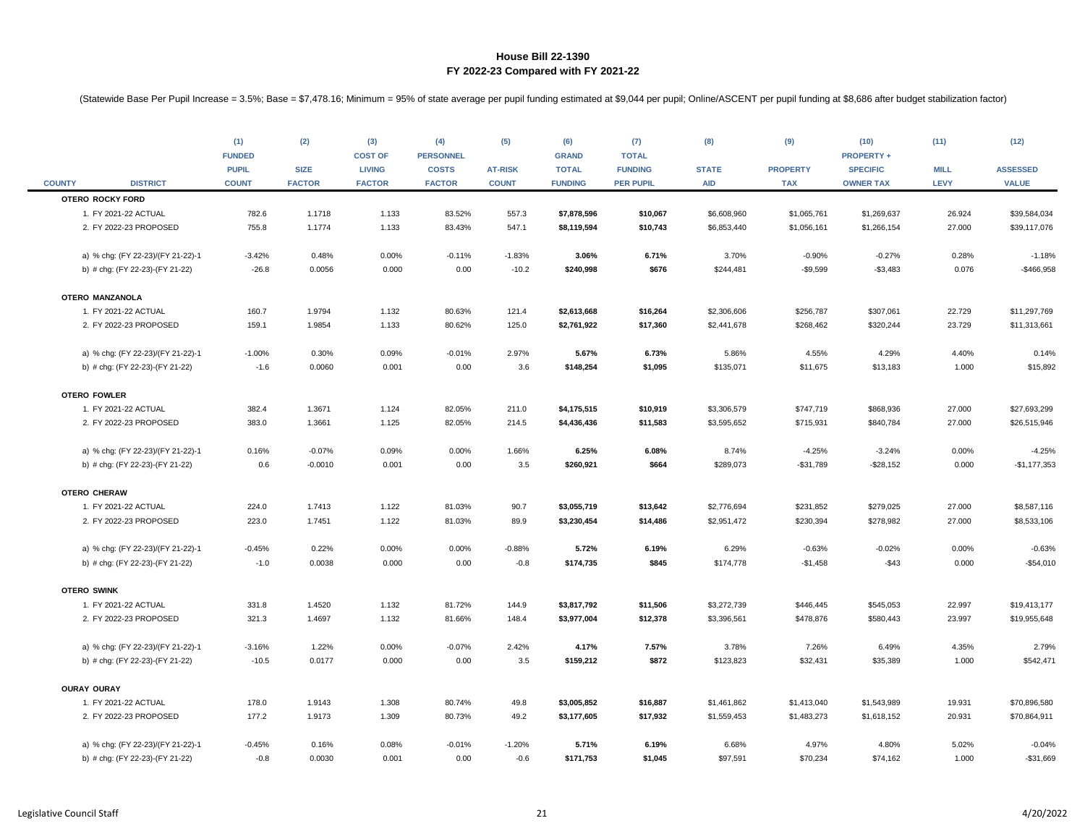| <b>COUNTY</b> | <b>DISTRICT</b>                   | (1)<br><b>FUNDED</b><br><b>PUPIL</b><br><b>COUNT</b> | (2)<br><b>SIZE</b><br><b>FACTOR</b> | (3)<br><b>COST OF</b><br><b>LIVING</b><br><b>FACTOR</b> | (4)<br><b>PERSONNEL</b><br><b>COSTS</b><br><b>FACTOR</b> | (5)<br><b>AT-RISK</b><br><b>COUNT</b> | (6)<br><b>GRAND</b><br><b>TOTAL</b><br><b>FUNDING</b> | (7)<br><b>TOTAL</b><br><b>FUNDING</b><br><b>PER PUPIL</b> | (8)<br><b>STATE</b><br><b>AID</b> | (9)<br><b>PROPERTY</b><br><b>TAX</b> | (10)<br><b>PROPERTY +</b><br><b>SPECIFIC</b><br><b>OWNER TAX</b> | (11)<br><b>MILL</b><br><b>LEVY</b> | (12)<br><b>ASSESSED</b><br><b>VALUE</b> |
|---------------|-----------------------------------|------------------------------------------------------|-------------------------------------|---------------------------------------------------------|----------------------------------------------------------|---------------------------------------|-------------------------------------------------------|-----------------------------------------------------------|-----------------------------------|--------------------------------------|------------------------------------------------------------------|------------------------------------|-----------------------------------------|
|               | <b>OTERO ROCKY FORD</b>           |                                                      |                                     |                                                         |                                                          |                                       |                                                       |                                                           |                                   |                                      |                                                                  |                                    |                                         |
|               | 1. FY 2021-22 ACTUAL              | 782.6                                                | 1.1718                              | 1.133                                                   | 83.52%                                                   | 557.3                                 | \$7,878,596                                           | \$10,067                                                  | \$6,608,960                       | \$1,065,761                          | \$1,269,637                                                      | 26.924                             | \$39,584,034                            |
|               | 2. FY 2022-23 PROPOSED            | 755.8                                                | 1.1774                              | 1.133                                                   | 83.43%                                                   | 547.1                                 | \$8,119,594                                           | \$10,743                                                  | \$6,853,440                       | \$1,056,161                          | \$1,266,154                                                      | 27.000                             | \$39,117,076                            |
|               | a) % chg: (FY 22-23)/(FY 21-22)-1 | $-3.42%$                                             | 0.48%                               | 0.00%                                                   | $-0.11%$                                                 | $-1.83%$                              | 3.06%                                                 | 6.71%                                                     | 3.70%                             | $-0.90%$                             | $-0.27%$                                                         | 0.28%                              | $-1.18%$                                |
|               | b) # chg: (FY 22-23)-(FY 21-22)   | $-26.8$                                              | 0.0056                              | 0.000                                                   | 0.00                                                     | $-10.2$                               | \$240,998                                             | \$676                                                     | \$244,481                         | $-$9,599$                            | $-$3,483$                                                        | 0.076                              | $-$466,958$                             |
|               | OTERO MANZANOLA                   |                                                      |                                     |                                                         |                                                          |                                       |                                                       |                                                           |                                   |                                      |                                                                  |                                    |                                         |
|               | 1. FY 2021-22 ACTUAL              | 160.7                                                | 1.9794                              | 1.132                                                   | 80.63%                                                   | 121.4                                 | \$2,613,668                                           | \$16,264                                                  | \$2,306,606                       | \$256,787                            | \$307,061                                                        | 22.729                             | \$11,297,769                            |
|               | 2. FY 2022-23 PROPOSED            | 159.1                                                | 1.9854                              | 1.133                                                   | 80.62%                                                   | 125.0                                 | \$2,761,922                                           | \$17,360                                                  | \$2,441,678                       | \$268,462                            | \$320,244                                                        | 23.729                             | \$11,313,661                            |
|               | a) % chg: (FY 22-23)/(FY 21-22)-1 | $-1.00%$                                             | 0.30%                               | 0.09%                                                   | $-0.01%$                                                 | 2.97%                                 | 5.67%                                                 | 6.73%                                                     | 5.86%                             | 4.55%                                | 4.29%                                                            | 4.40%                              | 0.14%                                   |
|               | b) # chg: (FY 22-23)-(FY 21-22)   | $-1.6$                                               | 0.0060                              | 0.001                                                   | 0.00                                                     | 3.6                                   | \$148,254                                             | \$1,095                                                   | \$135,071                         | \$11,675                             | \$13,183                                                         | 1.000                              | \$15,892                                |
|               | <b>OTERO FOWLER</b>               |                                                      |                                     |                                                         |                                                          |                                       |                                                       |                                                           |                                   |                                      |                                                                  |                                    |                                         |
|               | 1. FY 2021-22 ACTUAL              | 382.4                                                | 1.3671                              | 1.124                                                   | 82.05%                                                   | 211.0                                 | \$4,175,515                                           | \$10,919                                                  | \$3,306,579                       | \$747,719                            | \$868,936                                                        | 27.000                             | \$27,693,299                            |
|               | 2. FY 2022-23 PROPOSED            | 383.0                                                | 1.3661                              | 1.125                                                   | 82.05%                                                   | 214.5                                 | \$4,436,436                                           | \$11,583                                                  | \$3,595,652                       | \$715,931                            | \$840,784                                                        | 27.000                             | \$26,515,946                            |
|               | a) % chg: (FY 22-23)/(FY 21-22)-1 | 0.16%                                                | $-0.07%$                            | 0.09%                                                   | 0.00%                                                    | 1.66%                                 | 6.25%                                                 | 6.08%                                                     | 8.74%                             | $-4.25%$                             | $-3.24%$                                                         | 0.00%                              | $-4.25%$                                |
|               | b) # chg: (FY 22-23)-(FY 21-22)   | 0.6                                                  | $-0.0010$                           | 0.001                                                   | 0.00                                                     | 3.5                                   | \$260,921                                             | \$664                                                     | \$289,073                         | $- $31,789$                          | $-$28,152$                                                       | 0.000                              | $-$1,177,353$                           |
|               | <b>OTERO CHERAW</b>               |                                                      |                                     |                                                         |                                                          |                                       |                                                       |                                                           |                                   |                                      |                                                                  |                                    |                                         |
|               | 1. FY 2021-22 ACTUAL              | 224.0                                                | 1.7413                              | 1.122                                                   | 81.03%                                                   | 90.7                                  | \$3,055,719                                           | \$13,642                                                  | \$2,776,694                       | \$231,852                            | \$279,025                                                        | 27.000                             | \$8,587,116                             |
|               | 2. FY 2022-23 PROPOSED            | 223.0                                                | 1.7451                              | 1.122                                                   | 81.03%                                                   | 89.9                                  | \$3,230,454                                           | \$14,486                                                  | \$2,951,472                       | \$230,394                            | \$278,982                                                        | 27.000                             | \$8,533,106                             |
|               | a) % chg: (FY 22-23)/(FY 21-22)-1 | $-0.45%$                                             | 0.22%                               | 0.00%                                                   | 0.00%                                                    | $-0.88%$                              | 5.72%                                                 | 6.19%                                                     | 6.29%                             | $-0.63%$                             | $-0.02%$                                                         | 0.00%                              | $-0.63%$                                |
|               | b) # chg: (FY 22-23)-(FY 21-22)   | $-1.0$                                               | 0.0038                              | 0.000                                                   | 0.00                                                     | $-0.8$                                | \$174,735                                             | \$845                                                     | \$174,778                         | $-$1,458$                            | $-$43$                                                           | 0.000                              | $-$54,010$                              |
|               | <b>OTERO SWINK</b>                |                                                      |                                     |                                                         |                                                          |                                       |                                                       |                                                           |                                   |                                      |                                                                  |                                    |                                         |
|               | 1. FY 2021-22 ACTUAL              | 331.8                                                | 1.4520                              | 1.132                                                   | 81.72%                                                   | 144.9                                 | \$3,817,792                                           | \$11,506                                                  | \$3,272,739                       | \$446,445                            | \$545,053                                                        | 22.997                             | \$19,413,177                            |
|               | 2. FY 2022-23 PROPOSED            | 321.3                                                | 1.4697                              | 1.132                                                   | 81.66%                                                   | 148.4                                 | \$3,977,004                                           | \$12,378                                                  | \$3,396,561                       | \$478,876                            | \$580,443                                                        | 23.997                             | \$19,955,648                            |
|               | a) % chg: (FY 22-23)/(FY 21-22)-1 | $-3.16%$                                             | 1.22%                               | 0.00%                                                   | $-0.07%$                                                 | 2.42%                                 | 4.17%                                                 | 7.57%                                                     | 3.78%                             | 7.26%                                | 6.49%                                                            | 4.35%                              | 2.79%                                   |
|               | b) # chg: (FY 22-23)-(FY 21-22)   | $-10.5$                                              | 0.0177                              | 0.000                                                   | 0.00                                                     | 3.5                                   | \$159,212                                             | \$872                                                     | \$123,823                         | \$32,431                             | \$35,389                                                         | 1.000                              | \$542,471                               |
|               | <b>OURAY OURAY</b>                |                                                      |                                     |                                                         |                                                          |                                       |                                                       |                                                           |                                   |                                      |                                                                  |                                    |                                         |
|               | 1. FY 2021-22 ACTUAL              | 178.0                                                | 1.9143                              | 1.308                                                   | 80.74%                                                   | 49.8                                  | \$3,005,852                                           | \$16,887                                                  | \$1,461,862                       | \$1,413,040                          | \$1,543,989                                                      | 19.931                             | \$70,896,580                            |
|               | 2. FY 2022-23 PROPOSED            | 177.2                                                | 1.9173                              | 1.309                                                   | 80.73%                                                   | 49.2                                  | \$3,177,605                                           | \$17,932                                                  | \$1,559,453                       | \$1,483,273                          | \$1,618,152                                                      | 20.931                             | \$70,864,911                            |
|               | a) % chg: (FY 22-23)/(FY 21-22)-1 | $-0.45%$                                             | 0.16%                               | 0.08%                                                   | $-0.01%$                                                 | $-1.20%$                              | 5.71%                                                 | 6.19%                                                     | 6.68%                             | 4.97%                                | 4.80%                                                            | 5.02%                              | $-0.04%$                                |
|               | b) # chg: (FY 22-23)-(FY 21-22)   | $-0.8$                                               | 0.0030                              | 0.001                                                   | 0.00                                                     | $-0.6$                                | \$171,753                                             | \$1,045                                                   | \$97,591                          | \$70,234                             | \$74,162                                                         | 1.000                              | -\$31,669                               |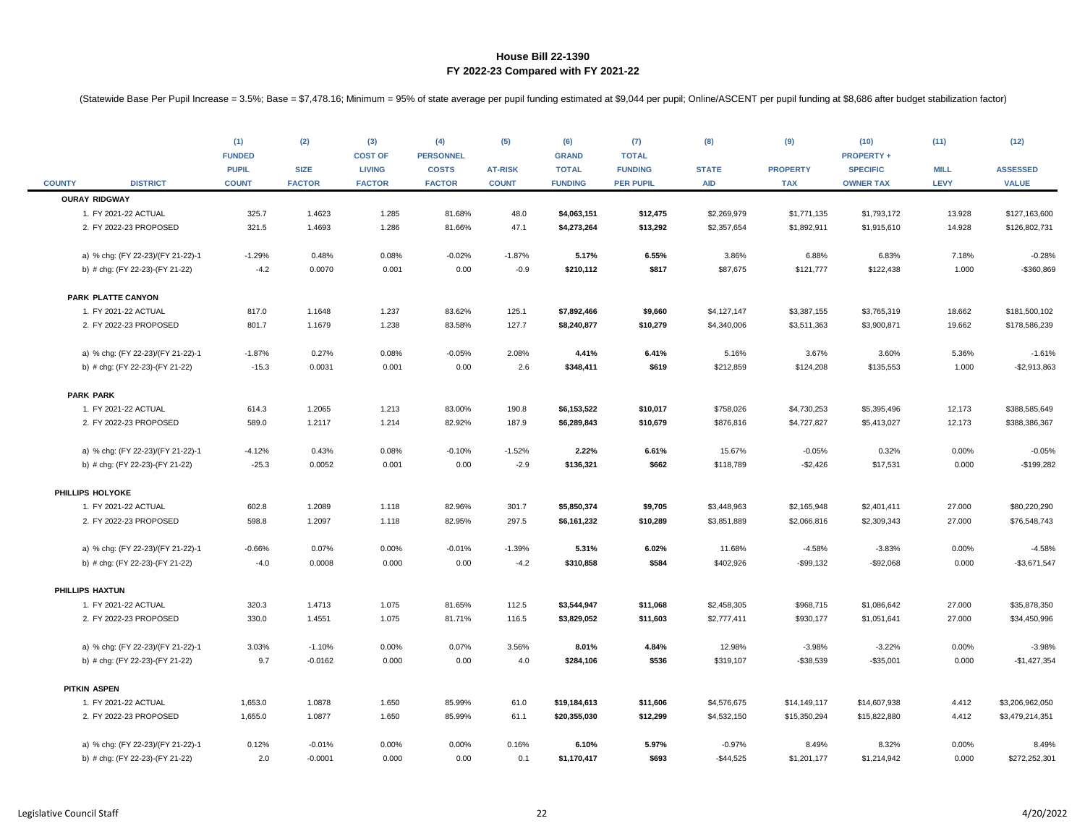|                  |                                              | (1)<br><b>FUNDED</b><br><b>PUPIL</b> | (2)<br><b>SIZE</b> | (3)<br><b>COST OF</b><br><b>LIVING</b> | (4)<br><b>PERSONNEL</b><br><b>COSTS</b> | (5)<br><b>AT-RISK</b> | (6)<br><b>GRAND</b><br><b>TOTAL</b> | (7)<br><b>TOTAL</b><br><b>FUNDING</b> | (8)<br><b>STATE</b> | (9)<br><b>PROPERTY</b> | (10)<br><b>PROPERTY +</b><br><b>SPECIFIC</b> | (11)<br><b>MILL</b><br><b>LEVY</b> | (12)<br><b>ASSESSED</b><br><b>VALUE</b> |
|------------------|----------------------------------------------|--------------------------------------|--------------------|----------------------------------------|-----------------------------------------|-----------------------|-------------------------------------|---------------------------------------|---------------------|------------------------|----------------------------------------------|------------------------------------|-----------------------------------------|
| <b>COUNTY</b>    | <b>DISTRICT</b>                              | <b>COUNT</b>                         | <b>FACTOR</b>      | <b>FACTOR</b>                          | <b>FACTOR</b>                           | <b>COUNT</b>          | <b>FUNDING</b>                      | <b>PER PUPIL</b>                      | <b>AID</b>          | <b>TAX</b>             | <b>OWNER TAX</b>                             |                                    |                                         |
|                  | <b>OURAY RIDGWAY</b><br>1. FY 2021-22 ACTUAL | 325.7                                | 1.4623             | 1.285                                  | 81.68%                                  | 48.0                  | \$4,063,151                         | \$12,475                              | \$2,269,979         | \$1,771,135            | \$1,793,172                                  | 13.928                             | \$127,163,600                           |
|                  | 2. FY 2022-23 PROPOSED                       | 321.5                                | 1.4693             | 1.286                                  | 81.66%                                  | 47.1                  | \$4,273,264                         | \$13,292                              | \$2,357,654         | \$1,892,911            | \$1,915,610                                  | 14.928                             | \$126,802,731                           |
|                  |                                              |                                      |                    |                                        |                                         |                       |                                     |                                       |                     |                        |                                              |                                    |                                         |
|                  | a) % chg: (FY 22-23)/(FY 21-22)-1            | $-1.29%$                             | 0.48%              | 0.08%                                  | $-0.02%$                                | $-1.87%$              | 5.17%                               | 6.55%                                 | 3.86%               | 6.88%                  | 6.83%                                        | 7.18%                              | $-0.28%$                                |
|                  | b) # chg: (FY 22-23)-(FY 21-22)              | $-4.2$                               | 0.0070             | 0.001                                  | 0.00                                    | $-0.9$                | \$210,112                           | \$817                                 | \$87,675            | \$121,777              | \$122,438                                    | 1.000                              | -\$360,869                              |
|                  | PARK PLATTE CANYON                           |                                      |                    |                                        |                                         |                       |                                     |                                       |                     |                        |                                              |                                    |                                         |
|                  | 1. FY 2021-22 ACTUAL                         | 817.0                                | 1.1648             | 1.237                                  | 83.62%                                  | 125.1                 | \$7,892,466                         | \$9,660                               | \$4,127,147         | \$3,387,155            | \$3,765,319                                  | 18.662                             | \$181,500,102                           |
|                  | 2. FY 2022-23 PROPOSED                       | 801.7                                | 1.1679             | 1.238                                  | 83.58%                                  | 127.7                 | \$8,240,877                         | \$10,279                              | \$4,340,006         | \$3,511,363            | \$3,900,871                                  | 19.662                             | \$178,586,239                           |
|                  |                                              |                                      |                    |                                        |                                         |                       |                                     |                                       |                     |                        |                                              |                                    |                                         |
|                  | a) % chg: (FY 22-23)/(FY 21-22)-1            | $-1.87%$                             | 0.27%              | 0.08%                                  | $-0.05%$                                | 2.08%                 | 4.41%                               | 6.41%                                 | 5.16%               | 3.67%                  | 3.60%                                        | 5.36%                              | $-1.61%$                                |
|                  | b) # chg: (FY 22-23)-(FY 21-22)              | $-15.3$                              | 0.0031             | 0.001                                  | 0.00                                    | 2.6                   | \$348,411                           | \$619                                 | \$212,859           | \$124,208              | \$135,553                                    | 1.000                              | $-$2,913,863$                           |
| <b>PARK PARK</b> |                                              |                                      |                    |                                        |                                         |                       |                                     |                                       |                     |                        |                                              |                                    |                                         |
|                  | 1. FY 2021-22 ACTUAL                         | 614.3                                | 1.2065             | 1.213                                  | 83.00%                                  | 190.8                 | \$6,153,522                         | \$10,017                              | \$758,026           | \$4,730,253            | \$5,395,496                                  | 12.173                             | \$388,585,649                           |
|                  | 2. FY 2022-23 PROPOSED                       | 589.0                                | 1.2117             | 1.214                                  | 82.92%                                  | 187.9                 | \$6,289,843                         | \$10,679                              | \$876,816           | \$4,727,827            | \$5,413,027                                  | 12.173                             | \$388,386,367                           |
|                  | a) % chg: (FY 22-23)/(FY 21-22)-1            | $-4.12%$                             | 0.43%              | 0.08%                                  | $-0.10%$                                | $-1.52%$              | 2.22%                               | 6.61%                                 | 15.67%              | $-0.05%$               | 0.32%                                        | 0.00%                              | $-0.05%$                                |
|                  | b) # chg: (FY 22-23)-(FY 21-22)              | $-25.3$                              | 0.0052             | 0.001                                  | 0.00                                    | $-2.9$                | \$136,321                           | \$662                                 | \$118,789           | $-$2,426$              | \$17,531                                     | 0.000                              | $-$199,282$                             |
| PHILLIPS HOLYOKE |                                              |                                      |                    |                                        |                                         |                       |                                     |                                       |                     |                        |                                              |                                    |                                         |
|                  | 1. FY 2021-22 ACTUAL                         | 602.8                                | 1.2089             | 1.118                                  | 82.96%                                  | 301.7                 | \$5,850,374                         | \$9,705                               | \$3,448,963         | \$2,165,948            | \$2,401,411                                  | 27.000                             | \$80,220,290                            |
|                  | 2. FY 2022-23 PROPOSED                       | 598.8                                | 1.2097             | 1.118                                  | 82.95%                                  | 297.5                 | \$6,161,232                         | \$10,289                              | \$3,851,889         | \$2,066,816            | \$2,309,343                                  | 27.000                             | \$76,548,743                            |
|                  | a) % chg: (FY 22-23)/(FY 21-22)-1            | $-0.66%$                             | 0.07%              | 0.00%                                  | $-0.01%$                                | $-1.39%$              | 5.31%                               | 6.02%                                 | 11.68%              | $-4.58%$               | $-3.83%$                                     | 0.00%                              | $-4.58%$                                |
|                  | b) # chg: (FY 22-23)-(FY 21-22)              | $-4.0$                               | 0.0008             | 0.000                                  | 0.00                                    | $-4.2$                | \$310,858                           | \$584                                 | \$402,926           | $-$99,132$             | $-$92,068$                                   | 0.000                              | $-$3,671,547$                           |
| PHILLIPS HAXTUN  |                                              |                                      |                    |                                        |                                         |                       |                                     |                                       |                     |                        |                                              |                                    |                                         |
|                  | 1. FY 2021-22 ACTUAL                         | 320.3                                | 1.4713             | 1.075                                  | 81.65%                                  | 112.5                 | \$3,544,947                         | \$11,068                              | \$2,458,305         | \$968,715              | \$1,086,642                                  | 27.000                             | \$35,878,350                            |
|                  | 2. FY 2022-23 PROPOSED                       | 330.0                                | 1.4551             | 1.075                                  | 81.71%                                  | 116.5                 | \$3,829,052                         | \$11,603                              | \$2,777,411         | \$930,177              | \$1,051,641                                  | 27.000                             | \$34,450,996                            |
|                  | a) % chg: (FY 22-23)/(FY 21-22)-1            | 3.03%                                | $-1.10%$           | 0.00%                                  | 0.07%                                   | 3.56%                 | 8.01%                               | 4.84%                                 | 12.98%              | $-3.98%$               | $-3.22%$                                     | 0.00%                              | $-3.98%$                                |
|                  | b) # chg: (FY 22-23)-(FY 21-22)              | 9.7                                  | $-0.0162$          | 0.000                                  | 0.00                                    | 4.0                   | \$284,106                           | \$536                                 | \$319,107           | $-$38,539$             | $-$35,001$                                   | 0.000                              | $-$1,427,354$                           |
| PITKIN ASPEN     |                                              |                                      |                    |                                        |                                         |                       |                                     |                                       |                     |                        |                                              |                                    |                                         |
|                  | 1. FY 2021-22 ACTUAL                         | 1,653.0                              | 1.0878             | 1.650                                  | 85.99%                                  | 61.0                  | \$19,184,613                        | \$11,606                              | \$4,576,675         | \$14,149,117           | \$14,607,938                                 | 4.412                              | \$3,206,962,050                         |
|                  | 2. FY 2022-23 PROPOSED                       | 1,655.0                              | 1.0877             | 1.650                                  | 85.99%                                  | 61.1                  | \$20,355,030                        | \$12,299                              | \$4,532,150         | \$15,350,294           | \$15,822,880                                 | 4.412                              | \$3,479,214,351                         |
|                  | a) % chg: (FY 22-23)/(FY 21-22)-1            | 0.12%                                | $-0.01%$           | 0.00%                                  | 0.00%                                   | 0.16%                 | 6.10%                               | 5.97%                                 | $-0.97%$            | 8.49%                  | 8.32%                                        | 0.00%                              | 8.49%                                   |
|                  | b) # chg: (FY 22-23)-(FY 21-22)              | 2.0                                  | $-0.0001$          | 0.000                                  | 0.00                                    | 0.1                   | \$1,170,417                         | \$693                                 | $-$44,525$          | \$1,201,177            | \$1,214,942                                  | 0.000                              | \$272,252,301                           |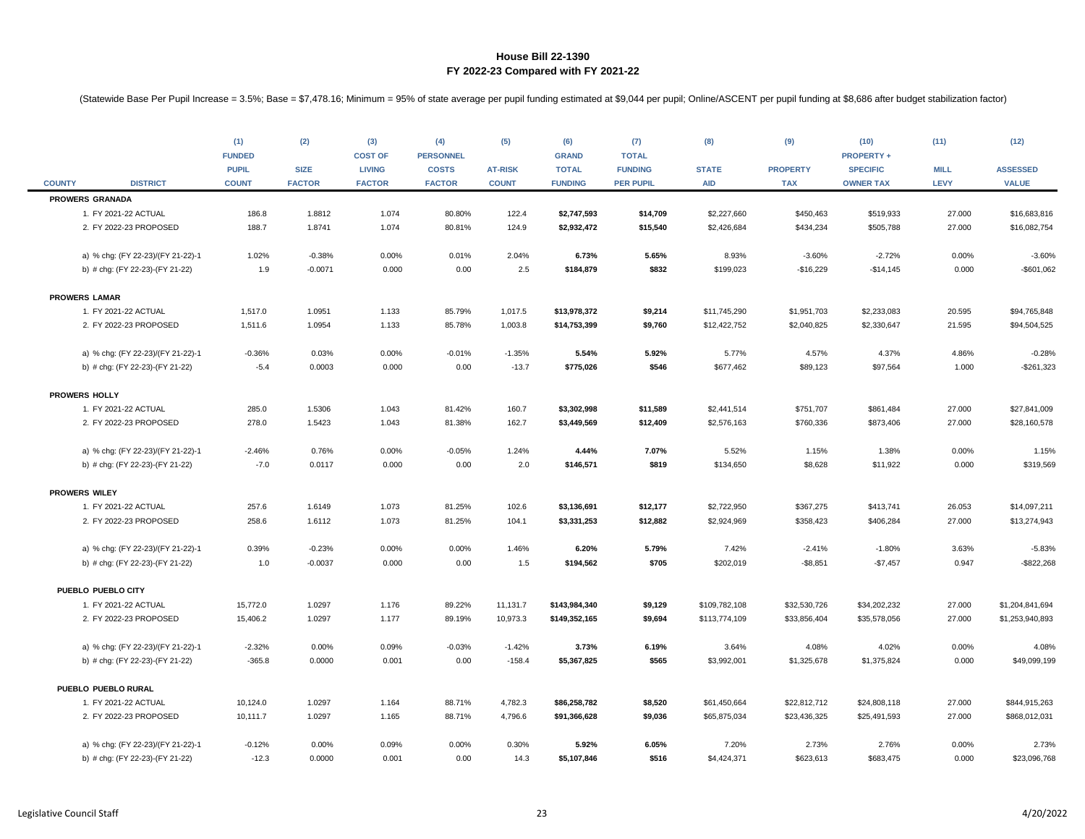|               |                                                | (1)<br><b>FUNDED</b><br><b>PUPIL</b> | (2)<br><b>SIZE</b> | (3)<br><b>COST OF</b><br><b>LIVING</b> | (4)<br><b>PERSONNEL</b><br><b>COSTS</b> | (5)<br><b>AT-RISK</b> | (6)<br><b>GRAND</b><br><b>TOTAL</b> | (7)<br><b>TOTAL</b><br><b>FUNDING</b> | (8)<br><b>STATE</b>        | (9)<br><b>PROPERTY</b> | (10)<br><b>PROPERTY +</b><br><b>SPECIFIC</b> | (11)<br><b>MILL</b> | (12)<br><b>ASSESSED</b>      |
|---------------|------------------------------------------------|--------------------------------------|--------------------|----------------------------------------|-----------------------------------------|-----------------------|-------------------------------------|---------------------------------------|----------------------------|------------------------|----------------------------------------------|---------------------|------------------------------|
| <b>COUNTY</b> | <b>DISTRICT</b>                                | <b>COUNT</b>                         | <b>FACTOR</b>      | <b>FACTOR</b>                          | <b>FACTOR</b>                           | <b>COUNT</b>          | <b>FUNDING</b>                      | <b>PER PUPIL</b>                      | <b>AID</b>                 | <b>TAX</b>             | <b>OWNER TAX</b>                             | LEVY                | <b>VALUE</b>                 |
|               | <b>PROWERS GRANADA</b>                         |                                      |                    |                                        |                                         |                       |                                     |                                       |                            |                        |                                              |                     |                              |
|               | 1. FY 2021-22 ACTUAL<br>2. FY 2022-23 PROPOSED | 186.8<br>188.7                       | 1.8812<br>1.8741   | 1.074<br>1.074                         | 80.80%<br>80.81%                        | 122.4<br>124.9        | \$2,747,593<br>\$2,932,472          | \$14,709<br>\$15,540                  | \$2,227,660<br>\$2,426,684 | \$450,463<br>\$434,234 | \$519,933<br>\$505,788                       | 27.000<br>27.000    | \$16,683,816<br>\$16,082,754 |
|               |                                                |                                      |                    |                                        |                                         |                       |                                     |                                       |                            |                        |                                              |                     |                              |
|               | a) % chg: (FY 22-23)/(FY 21-22)-1              | 1.02%                                | $-0.38%$           | 0.00%                                  | 0.01%                                   | 2.04%                 | 6.73%                               | 5.65%                                 | 8.93%                      | $-3.60%$               | $-2.72%$                                     | 0.00%               | $-3.60%$                     |
|               | b) # chg: (FY 22-23)-(FY 21-22)                | 1.9                                  | $-0.0071$          | 0.000                                  | 0.00                                    | 2.5                   | \$184,879                           | \$832                                 | \$199,023                  | $-$16,229$             | $-$14,145$                                   | 0.000               | $-$601,062$                  |
|               | <b>PROWERS LAMAR</b>                           |                                      |                    |                                        |                                         |                       |                                     |                                       |                            |                        |                                              |                     |                              |
|               | 1. FY 2021-22 ACTUAL                           | 1,517.0                              | 1.0951             | 1.133                                  | 85.79%                                  | 1,017.5               | \$13,978,372                        | \$9,214                               | \$11,745,290               | \$1,951,703            | \$2,233,083                                  | 20.595              | \$94,765,848                 |
|               | 2. FY 2022-23 PROPOSED                         | 1,511.6                              | 1.0954             | 1.133                                  | 85.78%                                  | 1,003.8               | \$14,753,399                        | \$9,760                               | \$12,422,752               | \$2,040,825            | \$2,330,647                                  | 21.595              | \$94,504,525                 |
|               | a) % chg: (FY 22-23)/(FY 21-22)-1              | $-0.36%$                             | 0.03%              | 0.00%                                  | $-0.01%$                                | $-1.35%$              | 5.54%                               | 5.92%                                 | 5.77%                      | 4.57%                  | 4.37%                                        | 4.86%               | $-0.28%$                     |
|               | b) # chg: (FY 22-23)-(FY 21-22)                | $-5.4$                               | 0.0003             | 0.000                                  | 0.00                                    | $-13.7$               | \$775,026                           | \$546                                 | \$677,462                  | \$89,123               | \$97,564                                     | 1.000               | $-$261,323$                  |
|               |                                                |                                      |                    |                                        |                                         |                       |                                     |                                       |                            |                        |                                              |                     |                              |
|               | <b>PROWERS HOLLY</b>                           |                                      |                    |                                        |                                         |                       |                                     |                                       |                            |                        |                                              |                     |                              |
|               | 1. FY 2021-22 ACTUAL                           | 285.0                                | 1.5306             | 1.043                                  | 81.42%                                  | 160.7                 | \$3,302,998                         | \$11,589                              | \$2,441,514                | \$751,707              | \$861,484                                    | 27.000              | \$27,841,009                 |
|               | 2. FY 2022-23 PROPOSED                         | 278.0                                | 1.5423             | 1.043                                  | 81.38%                                  | 162.7                 | \$3,449,569                         | \$12,409                              | \$2,576,163                | \$760,336              | \$873,406                                    | 27.000              | \$28,160,578                 |
|               | a) % chg: (FY 22-23)/(FY 21-22)-1              | $-2.46%$                             | 0.76%              | 0.00%                                  | $-0.05%$                                | 1.24%                 | 4.44%                               | 7.07%                                 | 5.52%                      | 1.15%                  | 1.38%                                        | 0.00%               | 1.15%                        |
|               | b) # chg: (FY 22-23)-(FY 21-22)                | $-7.0$                               | 0.0117             | 0.000                                  | 0.00                                    | 2.0                   | \$146,571                           | \$819                                 | \$134,650                  | \$8,628                | \$11,922                                     | 0.000               | \$319,569                    |
|               | <b>PROWERS WILEY</b>                           |                                      |                    |                                        |                                         |                       |                                     |                                       |                            |                        |                                              |                     |                              |
|               | 1. FY 2021-22 ACTUAL                           | 257.6                                | 1.6149             | 1.073                                  | 81.25%                                  | 102.6                 | \$3,136,691                         | \$12,177                              | \$2,722,950                | \$367,275              | \$413,741                                    | 26.053              | \$14,097,211                 |
|               | 2. FY 2022-23 PROPOSED                         | 258.6                                | 1.6112             | 1.073                                  | 81.25%                                  | 104.1                 | \$3,331,253                         | \$12,882                              | \$2,924,969                | \$358,423              | \$406,284                                    | 27.000              | \$13,274,943                 |
|               | a) % chg: (FY 22-23)/(FY 21-22)-1              | 0.39%                                | $-0.23%$           | 0.00%                                  | 0.00%                                   | 1.46%                 | 6.20%                               | 5.79%                                 | 7.42%                      | $-2.41%$               | $-1.80%$                                     | 3.63%               | $-5.83%$                     |
|               | b) # chg: (FY 22-23)-(FY 21-22)                | 1.0                                  | $-0.0037$          | 0.000                                  | 0.00                                    | 1.5                   | \$194,562                           | \$705                                 | \$202,019                  | $-$8,851$              | $-$7,457$                                    | 0.947               | $-$ \$822,268                |
|               | PUEBLO PUEBLO CITY                             |                                      |                    |                                        |                                         |                       |                                     |                                       |                            |                        |                                              |                     |                              |
|               | 1. FY 2021-22 ACTUAL                           | 15,772.0                             | 1.0297             | 1.176                                  | 89.22%                                  | 11,131.7              | \$143,984,340                       | \$9,129                               | \$109,782,108              | \$32,530,726           | \$34,202,232                                 | 27.000              | \$1,204,841,694              |
|               | 2. FY 2022-23 PROPOSED                         | 15,406.2                             | 1.0297             | 1.177                                  | 89.19%                                  | 10,973.3              | \$149,352,165                       | \$9,694                               | \$113,774,109              | \$33,856,404           | \$35,578,056                                 | 27.000              | \$1,253,940,893              |
|               | a) % chg: (FY 22-23)/(FY 21-22)-1              | $-2.32%$                             | 0.00%              | 0.09%                                  | $-0.03%$                                | $-1.42%$              | 3.73%                               | 6.19%                                 | 3.64%                      | 4.08%                  | 4.02%                                        | 0.00%               | 4.08%                        |
|               | b) # chg: (FY 22-23)-(FY 21-22)                | $-365.8$                             | 0.0000             | 0.001                                  | 0.00                                    | $-158.4$              | \$5,367,825                         | \$565                                 | \$3,992,001                | \$1,325,678            | \$1,375,824                                  | 0.000               | \$49,099,199                 |
|               | PUEBLO PUEBLO RURAL                            |                                      |                    |                                        |                                         |                       |                                     |                                       |                            |                        |                                              |                     |                              |
|               | 1. FY 2021-22 ACTUAL                           | 10,124.0                             | 1.0297             | 1.164                                  | 88.71%                                  | 4,782.3               | \$86,258,782                        | \$8,520                               | \$61,450,664               | \$22,812,712           | \$24,808,118                                 | 27.000              | \$844,915,263                |
|               | 2. FY 2022-23 PROPOSED                         | 10,111.7                             | 1.0297             | 1.165                                  | 88.71%                                  | 4,796.6               | \$91,366,628                        | \$9,036                               | \$65,875,034               | \$23,436,325           | \$25,491,593                                 | 27.000              | \$868,012,031                |
|               | a) % chg: (FY 22-23)/(FY 21-22)-1              | $-0.12%$                             | 0.00%              | 0.09%                                  | 0.00%                                   | 0.30%                 | 5.92%                               | 6.05%                                 | 7.20%                      | 2.73%                  | 2.76%                                        | 0.00%               | 2.73%                        |
|               | b) # chg: (FY 22-23)-(FY 21-22)                | $-12.3$                              | 0.0000             | 0.001                                  | 0.00                                    | 14.3                  | \$5,107,846                         | \$516                                 | \$4,424,371                | \$623,613              | \$683,475                                    | 0.000               | \$23,096,768                 |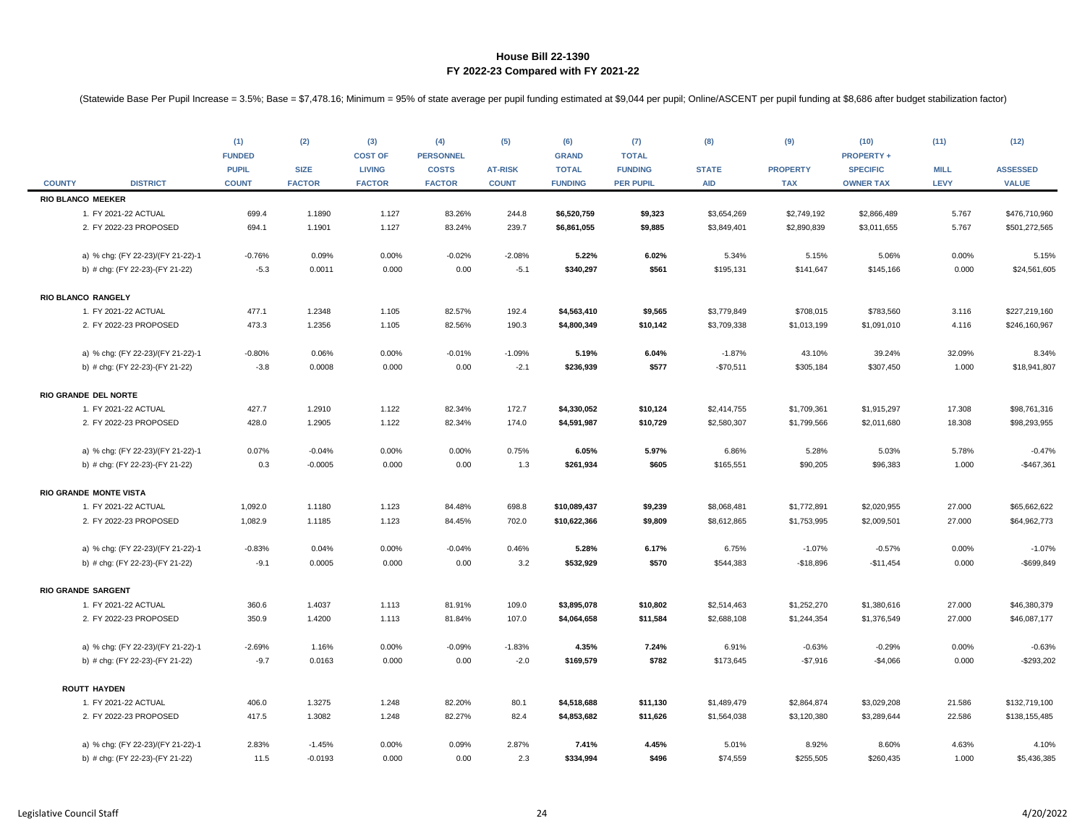|               |                                   | (1)<br><b>FUNDED</b><br><b>PUPIL</b> | (2)<br><b>SIZE</b> | (3)<br><b>COST OF</b><br><b>LIVING</b> | (4)<br><b>PERSONNEL</b><br><b>COSTS</b> | (5)<br><b>AT-RISK</b> | (6)<br><b>GRAND</b><br><b>TOTAL</b> | (7)<br><b>TOTAL</b><br><b>FUNDING</b> | (8)<br><b>STATE</b> | (9)<br><b>PROPERTY</b> | (10)<br><b>PROPERTY +</b><br><b>SPECIFIC</b> | (11)<br><b>MILL</b> | (12)<br><b>ASSESSED</b> |
|---------------|-----------------------------------|--------------------------------------|--------------------|----------------------------------------|-----------------------------------------|-----------------------|-------------------------------------|---------------------------------------|---------------------|------------------------|----------------------------------------------|---------------------|-------------------------|
| <b>COUNTY</b> | <b>DISTRICT</b>                   | <b>COUNT</b>                         | <b>FACTOR</b>      | <b>FACTOR</b>                          | <b>FACTOR</b>                           | <b>COUNT</b>          | <b>FUNDING</b>                      | <b>PER PUPIL</b>                      | <b>AID</b>          | <b>TAX</b>             | <b>OWNER TAX</b>                             | LEVY                | <b>VALUE</b>            |
|               | <b>RIO BLANCO MEEKER</b>          |                                      |                    |                                        |                                         |                       |                                     |                                       |                     |                        |                                              |                     |                         |
|               | 1. FY 2021-22 ACTUAL              | 699.4                                | 1.1890             | 1.127                                  | 83.26%                                  | 244.8                 | \$6,520,759                         | \$9,323                               | \$3,654,269         | \$2,749,192            | \$2,866,489                                  | 5.767               | \$476,710,960           |
|               | 2. FY 2022-23 PROPOSED            | 694.1                                | 1.1901             | 1.127                                  | 83.24%                                  | 239.7                 | \$6,861,055                         | \$9,885                               | \$3,849,401         | \$2,890,839            | \$3,011,655                                  | 5.767               | \$501,272,565           |
|               | a) % chg: (FY 22-23)/(FY 21-22)-1 | $-0.76%$                             | 0.09%              | 0.00%                                  | $-0.02%$                                | $-2.08%$              | 5.22%                               | 6.02%                                 | 5.34%               | 5.15%                  | 5.06%                                        | 0.00%               | 5.15%                   |
|               | b) # chg: (FY 22-23)-(FY 21-22)   | $-5.3$                               | 0.0011             | 0.000                                  | 0.00                                    | $-5.1$                | \$340,297                           | \$561                                 | \$195,131           | \$141,647              | \$145,166                                    | 0.000               | \$24,561,605            |
|               | RIO BLANCO RANGELY                |                                      |                    |                                        |                                         |                       |                                     |                                       |                     |                        |                                              |                     |                         |
|               | 1. FY 2021-22 ACTUAL              | 477.1                                | 1.2348             | 1.105                                  | 82.57%                                  | 192.4                 | \$4,563,410                         | \$9,565                               | \$3,779,849         | \$708,015              | \$783,560                                    | 3.116               | \$227,219,160           |
|               | 2. FY 2022-23 PROPOSED            | 473.3                                | 1.2356             | 1.105                                  | 82.56%                                  | 190.3                 | \$4,800,349                         | \$10,142                              | \$3,709,338         | \$1,013,199            | \$1,091,010                                  | 4.116               | \$246,160,967           |
|               | a) % chg: (FY 22-23)/(FY 21-22)-1 | $-0.80%$                             | 0.06%              | 0.00%                                  | $-0.01%$                                | $-1.09%$              | 5.19%                               | 6.04%                                 | $-1.87%$            | 43.10%                 | 39.24%                                       | 32.09%              | 8.34%                   |
|               | b) # chg: (FY 22-23)-(FY 21-22)   | $-3.8$                               | 0.0008             | 0.000                                  | 0.00                                    | $-2.1$                | \$236,939                           | \$577                                 | $-$70,511$          | \$305,184              | \$307,450                                    | 1.000               | \$18,941,807            |
|               | RIO GRANDE DEL NORTE              |                                      |                    |                                        |                                         |                       |                                     |                                       |                     |                        |                                              |                     |                         |
|               | 1. FY 2021-22 ACTUAL              | 427.7                                | 1.2910             | 1.122                                  | 82.34%                                  | 172.7                 | \$4,330,052                         | \$10,124                              | \$2,414,755         | \$1,709,361            | \$1,915,297                                  | 17.308              | \$98,761,316            |
|               | 2. FY 2022-23 PROPOSED            | 428.0                                | 1.2905             | 1.122                                  | 82.34%                                  | 174.0                 | \$4,591,987                         | \$10,729                              | \$2,580,307         | \$1,799,566            | \$2,011,680                                  | 18.308              | \$98,293,955            |
|               | a) % chg: (FY 22-23)/(FY 21-22)-1 | 0.07%                                | $-0.04%$           | 0.00%                                  | 0.00%                                   | 0.75%                 | 6.05%                               | 5.97%                                 | 6.86%               | 5.28%                  | 5.03%                                        | 5.78%               | $-0.47%$                |
|               | b) # chg: (FY 22-23)-(FY 21-22)   | 0.3                                  | $-0.0005$          | 0.000                                  | 0.00                                    | 1.3                   | \$261,934                           | \$605                                 | \$165,551           | \$90,205               | \$96,383                                     | 1.000               | $-$467,361$             |
|               | RIO GRANDE MONTE VISTA            |                                      |                    |                                        |                                         |                       |                                     |                                       |                     |                        |                                              |                     |                         |
|               | 1. FY 2021-22 ACTUAL              | 1,092.0                              | 1.1180             | 1.123                                  | 84.48%                                  | 698.8                 | \$10,089,437                        | \$9,239                               | \$8,068,481         | \$1,772,891            | \$2,020,955                                  | 27.000              | \$65,662,622            |
|               | 2. FY 2022-23 PROPOSED            | 1,082.9                              | 1.1185             | 1.123                                  | 84.45%                                  | 702.0                 | \$10,622,366                        | \$9,809                               | \$8,612,865         | \$1,753,995            | \$2,009,501                                  | 27.000              | \$64,962,773            |
|               | a) % chg: (FY 22-23)/(FY 21-22)-1 | $-0.83%$                             | 0.04%              | 0.00%                                  | $-0.04%$                                | 0.46%                 | 5.28%                               | 6.17%                                 | 6.75%               | $-1.07%$               | $-0.57%$                                     | 0.00%               | $-1.07%$                |
|               | b) # chg: (FY 22-23)-(FY 21-22)   | $-9.1$                               | 0.0005             | 0.000                                  | 0.00                                    | 3.2                   | \$532,929                           | \$570                                 | \$544,383           | $-$18,896$             | $-$11,454$                                   | 0.000               | $-$699,849$             |
|               | <b>RIO GRANDE SARGENT</b>         |                                      |                    |                                        |                                         |                       |                                     |                                       |                     |                        |                                              |                     |                         |
|               | 1. FY 2021-22 ACTUAL              | 360.6                                | 1.4037             | 1.113                                  | 81.91%                                  | 109.0                 | \$3,895,078                         | \$10,802                              | \$2,514,463         | \$1,252,270            | \$1,380,616                                  | 27.000              | \$46,380,379            |
|               | 2. FY 2022-23 PROPOSED            | 350.9                                | 1.4200             | 1.113                                  | 81.84%                                  | 107.0                 | \$4,064,658                         | \$11,584                              | \$2,688,108         | \$1,244,354            | \$1,376,549                                  | 27.000              | \$46,087,177            |
|               | a) % chg: (FY 22-23)/(FY 21-22)-1 | $-2.69%$                             | 1.16%              | 0.00%                                  | $-0.09%$                                | $-1.83%$              | 4.35%                               | 7.24%                                 | 6.91%               | $-0.63%$               | $-0.29%$                                     | 0.00%               | $-0.63%$                |
|               | b) # chg: (FY 22-23)-(FY 21-22)   | $-9.7$                               | 0.0163             | 0.000                                  | 0.00                                    | $-2.0$                | \$169,579                           | \$782                                 | \$173,645           | $-$7,916$              | $-$4,066$                                    | 0.000               | $-$293,202$             |
|               | <b>ROUTT HAYDEN</b>               |                                      |                    |                                        |                                         |                       |                                     |                                       |                     |                        |                                              |                     |                         |
|               | 1. FY 2021-22 ACTUAL              | 406.0                                | 1.3275             | 1.248                                  | 82.20%                                  | 80.1                  | \$4,518,688                         | \$11,130                              | \$1,489,479         | \$2,864,874            | \$3,029,208                                  | 21.586              | \$132,719,100           |
|               | 2. FY 2022-23 PROPOSED            | 417.5                                | 1.3082             | 1.248                                  | 82.27%                                  | 82.4                  | \$4,853,682                         | \$11,626                              | \$1,564,038         | \$3,120,380            | \$3,289,644                                  | 22.586              | \$138,155,485           |
|               | a) % chg: (FY 22-23)/(FY 21-22)-1 | 2.83%                                | $-1.45%$           | 0.00%                                  | 0.09%                                   | 2.87%                 | 7.41%                               | 4.45%                                 | 5.01%               | 8.92%                  | 8.60%                                        | 4.63%               | 4.10%                   |
|               | b) # chg: (FY 22-23)-(FY 21-22)   | 11.5                                 | $-0.0193$          | 0.000                                  | 0.00                                    | 2.3                   | \$334,994                           | \$496                                 | \$74,559            | \$255,505              | \$260,435                                    | 1.000               | \$5,436,385             |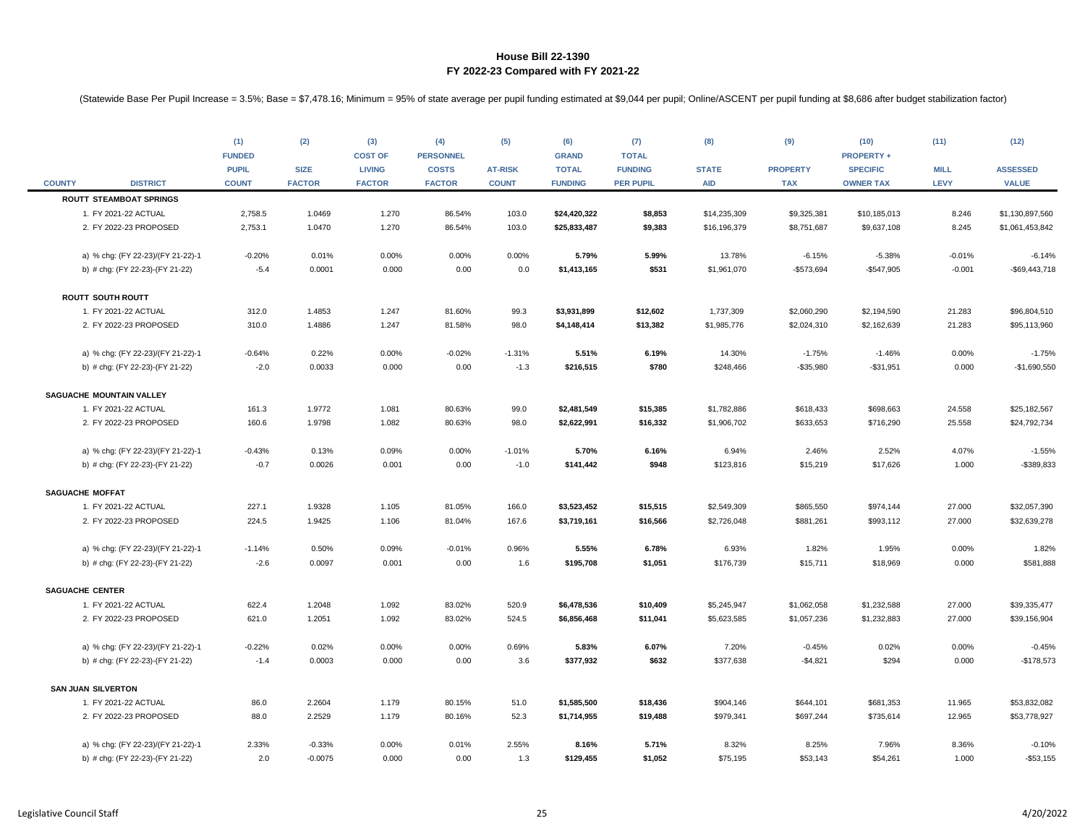|               |                                                | (1)<br><b>FUNDED</b><br><b>PUPIL</b> | (2)<br><b>SIZE</b> | (3)<br><b>COST OF</b><br><b>LIVING</b> | (4)<br><b>PERSONNEL</b><br><b>COSTS</b> | (5)<br><b>AT-RISK</b> | (6)<br><b>GRAND</b><br><b>TOTAL</b> | (7)<br><b>TOTAL</b><br><b>FUNDING</b> | (8)<br><b>STATE</b>        | (9)<br><b>PROPERTY</b> | (10)<br><b>PROPERTY +</b><br><b>SPECIFIC</b> | (11)<br><b>MILL</b> | (12)<br><b>ASSESSED</b>      |
|---------------|------------------------------------------------|--------------------------------------|--------------------|----------------------------------------|-----------------------------------------|-----------------------|-------------------------------------|---------------------------------------|----------------------------|------------------------|----------------------------------------------|---------------------|------------------------------|
| <b>COUNTY</b> | <b>DISTRICT</b>                                | <b>COUNT</b>                         | <b>FACTOR</b>      | <b>FACTOR</b>                          | <b>FACTOR</b>                           | <b>COUNT</b>          | <b>FUNDING</b>                      | <b>PER PUPIL</b>                      | <b>AID</b>                 | <b>TAX</b>             | <b>OWNER TAX</b>                             | <b>LEVY</b>         | <b>VALUE</b>                 |
|               | <b>ROUTT STEAMBOAT SPRINGS</b>                 |                                      |                    |                                        |                                         |                       |                                     |                                       |                            |                        |                                              |                     |                              |
|               | 1. FY 2021-22 ACTUAL                           | 2,758.5                              | 1.0469             | 1.270                                  | 86.54%                                  | 103.0                 | \$24,420,322                        | \$8,853                               | \$14,235,309               | \$9,325,381            | \$10,185,013                                 | 8.246               | \$1,130,897,560              |
|               | 2. FY 2022-23 PROPOSED                         | 2,753.1                              | 1.0470             | 1.270                                  | 86.54%                                  | 103.0                 | \$25,833,487                        | \$9,383                               | \$16,196,379               | \$8,751,687            | \$9,637,108                                  | 8.245               | \$1,061,453,842              |
|               | a) % chg: (FY 22-23)/(FY 21-22)-1              | $-0.20%$                             | 0.01%              | 0.00%                                  | 0.00%                                   | 0.00%                 | 5.79%                               | 5.99%                                 | 13.78%                     | $-6.15%$               | $-5.38%$                                     | $-0.01%$            | $-6.14%$                     |
|               | b) # chg: (FY 22-23)-(FY 21-22)                | $-5.4$                               | 0.0001             | 0.000                                  | 0.00                                    | 0.0                   | \$1,413,165                         | \$531                                 | \$1,961,070                | $-$573,694$            | $-$547,905$                                  | $-0.001$            | -\$69,443,718                |
|               | <b>ROUTT SOUTH ROUTT</b>                       |                                      |                    |                                        |                                         |                       |                                     |                                       |                            |                        |                                              |                     |                              |
|               | 1. FY 2021-22 ACTUAL                           | 312.0                                | 1.4853             | 1.247                                  | 81.60%                                  | 99.3                  | \$3,931,899                         | \$12,602                              | 1,737,309                  | \$2,060,290            | \$2,194,590                                  | 21.283              | \$96,804,510                 |
|               | 2. FY 2022-23 PROPOSED                         | 310.0                                | 1.4886             | 1.247                                  | 81.58%                                  | 98.0                  | \$4,148,414                         | \$13,382                              | \$1,985,776                | \$2,024,310            | \$2,162,639                                  | 21.283              | \$95,113,960                 |
|               | a) % chg: (FY 22-23)/(FY 21-22)-1              | $-0.64%$                             | 0.22%              | 0.00%                                  | $-0.02%$                                | $-1.31%$              | 5.51%                               | 6.19%                                 | 14.30%                     | $-1.75%$               | $-1.46%$                                     | 0.00%               | $-1.75%$                     |
|               | b) # chg: (FY 22-23)-(FY 21-22)                | $-2.0$                               | 0.0033             | 0.000                                  | 0.00                                    | $-1.3$                | \$216,515                           | \$780                                 | \$248,466                  | $-$35,980$             | $-$31,951$                                   | 0.000               | $-$1,690,550$                |
|               |                                                |                                      |                    |                                        |                                         |                       |                                     |                                       |                            |                        |                                              |                     |                              |
|               | SAGUACHE MOUNTAIN VALLEY                       |                                      |                    |                                        |                                         |                       |                                     |                                       |                            |                        |                                              |                     |                              |
|               | 1. FY 2021-22 ACTUAL<br>2. FY 2022-23 PROPOSED | 161.3<br>160.6                       | 1.9772<br>1.9798   | 1.081<br>1.082                         | 80.63%<br>80.63%                        | 99.0<br>98.0          | \$2,481,549<br>\$2,622,991          | \$15,385<br>\$16,332                  | \$1,782,886<br>\$1,906,702 | \$618,433<br>\$633,653 | \$698,663<br>\$716,290                       | 24.558<br>25.558    | \$25,182,567<br>\$24,792,734 |
|               |                                                |                                      |                    |                                        |                                         |                       |                                     |                                       |                            |                        |                                              |                     |                              |
|               | a) % chg: (FY 22-23)/(FY 21-22)-1              | $-0.43%$                             | 0.13%              | 0.09%                                  | 0.00%                                   | $-1.01%$              | 5.70%                               | 6.16%                                 | 6.94%                      | 2.46%                  | 2.52%                                        | 4.07%               | $-1.55%$                     |
|               | b) # chg: (FY 22-23)-(FY 21-22)                | $-0.7$                               | 0.0026             | 0.001                                  | 0.00                                    | $-1.0$                | \$141,442                           | \$948                                 | \$123,816                  | \$15,219               | \$17,626                                     | 1.000               | -\$389,833                   |
|               | <b>SAGUACHE MOFFAT</b>                         |                                      |                    |                                        |                                         |                       |                                     |                                       |                            |                        |                                              |                     |                              |
|               | 1. FY 2021-22 ACTUAL                           | 227.1                                | 1.9328             | 1.105                                  | 81.05%                                  | 166.0                 | \$3,523,452                         | \$15,515                              | \$2,549,309                | \$865,550              | \$974,144                                    | 27.000              | \$32,057,390                 |
|               | 2. FY 2022-23 PROPOSED                         | 224.5                                | 1.9425             | 1.106                                  | 81.04%                                  | 167.6                 | \$3,719,161                         | \$16,566                              | \$2,726,048                | \$881,261              | \$993,112                                    | 27.000              | \$32,639,278                 |
|               | a) % chg: (FY 22-23)/(FY 21-22)-1              | $-1.14%$                             | 0.50%              | 0.09%                                  | $-0.01%$                                | 0.96%                 | 5.55%                               | 6.78%                                 | 6.93%                      | 1.82%                  | 1.95%                                        | 0.00%               | 1.82%                        |
|               | b) # chg: (FY 22-23)-(FY 21-22)                | $-2.6$                               | 0.0097             | 0.001                                  | 0.00                                    | 1.6                   | \$195,708                           | \$1,051                               | \$176,739                  | \$15,711               | \$18,969                                     | 0.000               | \$581,888                    |
|               |                                                |                                      |                    |                                        |                                         |                       |                                     |                                       |                            |                        |                                              |                     |                              |
|               | <b>SAGUACHE CENTER</b>                         |                                      |                    |                                        |                                         |                       |                                     |                                       |                            |                        |                                              |                     |                              |
|               | 1. FY 2021-22 ACTUAL                           | 622.4                                | 1.2048             | 1.092                                  | 83.02%                                  | 520.9                 | \$6,478,536                         | \$10,409                              | \$5,245,947                | \$1,062,058            | \$1,232,588                                  | 27.000              | \$39,335,477                 |
|               | 2. FY 2022-23 PROPOSED                         | 621.0                                | 1.2051             | 1.092                                  | 83.02%                                  | 524.5                 | \$6,856,468                         | \$11,041                              | \$5,623,585                | \$1,057,236            | \$1,232,883                                  | 27.000              | \$39,156,904                 |
|               | a) % chg: (FY 22-23)/(FY 21-22)-1              | $-0.22%$                             | 0.02%              | 0.00%                                  | 0.00%                                   | 0.69%                 | 5.83%                               | 6.07%                                 | 7.20%                      | $-0.45%$               | 0.02%                                        | 0.00%               | $-0.45%$                     |
|               | b) # chg: (FY 22-23)-(FY 21-22)                | $-1.4$                               | 0.0003             | 0.000                                  | 0.00                                    | 3.6                   | \$377,932                           | \$632                                 | \$377,638                  | $-$4,821$              | \$294                                        | 0.000               | $-$178,573$                  |
|               | <b>SAN JUAN SILVERTON</b>                      |                                      |                    |                                        |                                         |                       |                                     |                                       |                            |                        |                                              |                     |                              |
|               | 1. FY 2021-22 ACTUAL                           | 86.0                                 | 2.2604             | 1.179                                  | 80.15%                                  | 51.0                  | \$1,585,500                         | \$18,436                              | \$904,146                  | \$644,101              | \$681,353                                    | 11.965              | \$53,832,082                 |
|               | 2. FY 2022-23 PROPOSED                         | 88.0                                 | 2.2529             | 1.179                                  | 80.16%                                  | 52.3                  | \$1,714,955                         | \$19,488                              | \$979,341                  | \$697,244              | \$735,614                                    | 12.965              | \$53,778,927                 |
|               | a) % chg: (FY 22-23)/(FY 21-22)-1              | 2.33%                                | $-0.33%$           | 0.00%                                  | 0.01%                                   | 2.55%                 | 8.16%                               | 5.71%                                 | 8.32%                      | 8.25%                  | 7.96%                                        | 8.36%               | $-0.10%$                     |
|               | b) # chg: (FY 22-23)-(FY 21-22)                | 2.0                                  | $-0.0075$          | 0.000                                  | 0.00                                    | 1.3                   | \$129,455                           | \$1,052                               | \$75,195                   | \$53,143               | \$54,261                                     | 1.000               | $-$53,155$                   |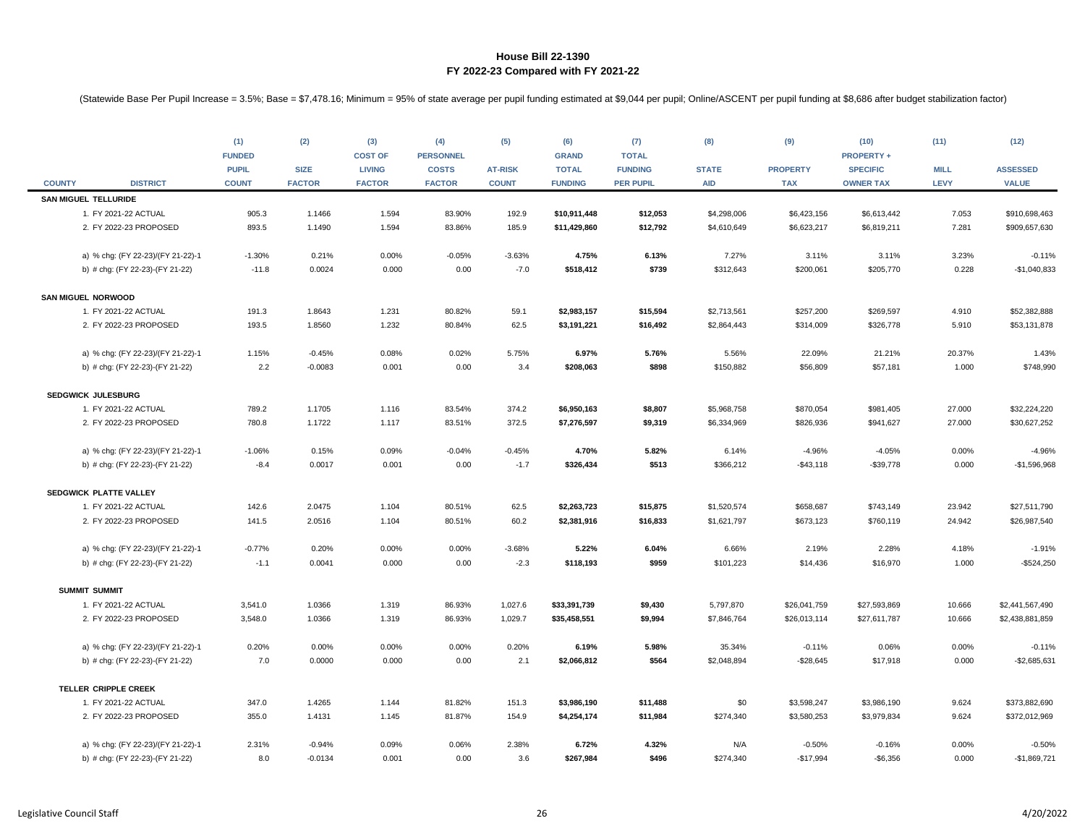|               |                                   | (1)<br><b>FUNDED</b><br><b>PUPIL</b> | (2)<br><b>SIZE</b> | (3)<br><b>COST OF</b><br><b>LIVING</b> | (4)<br><b>PERSONNEL</b><br><b>COSTS</b> | (5)<br><b>AT-RISK</b> | (6)<br><b>GRAND</b><br><b>TOTAL</b> | (7)<br><b>TOTAL</b><br><b>FUNDING</b> | (8)<br><b>STATE</b> | (9)<br><b>PROPERTY</b> | (10)<br><b>PROPERTY +</b><br><b>SPECIFIC</b> | (11)<br><b>MILL</b> | (12)<br><b>ASSESSED</b> |
|---------------|-----------------------------------|--------------------------------------|--------------------|----------------------------------------|-----------------------------------------|-----------------------|-------------------------------------|---------------------------------------|---------------------|------------------------|----------------------------------------------|---------------------|-------------------------|
| <b>COUNTY</b> | <b>DISTRICT</b>                   | <b>COUNT</b>                         | <b>FACTOR</b>      | <b>FACTOR</b>                          | <b>FACTOR</b>                           | <b>COUNT</b>          | <b>FUNDING</b>                      | <b>PER PUPIL</b>                      | <b>AID</b>          | <b>TAX</b>             | <b>OWNER TAX</b>                             | <b>LEVY</b>         | <b>VALUE</b>            |
|               | <b>SAN MIGUEL TELLURIDE</b>       |                                      |                    |                                        |                                         |                       |                                     |                                       |                     |                        |                                              |                     |                         |
|               | 1. FY 2021-22 ACTUAL              | 905.3                                | 1.1466             | 1.594                                  | 83.90%                                  | 192.9                 | \$10,911,448                        | \$12,053                              | \$4,298,006         | \$6,423,156            | \$6,613,442                                  | 7.053               | \$910,698,463           |
|               | 2. FY 2022-23 PROPOSED            | 893.5                                | 1.1490             | 1.594                                  | 83.86%                                  | 185.9                 | \$11,429,860                        | \$12,792                              | \$4,610,649         | \$6,623,217            | \$6,819,211                                  | 7.281               | \$909,657,630           |
|               | a) % chg: (FY 22-23)/(FY 21-22)-1 | $-1.30%$                             | 0.21%              | 0.00%                                  | $-0.05%$                                | $-3.63%$              | 4.75%                               | 6.13%                                 | 7.27%               | 3.11%                  | 3.11%                                        | 3.23%               | $-0.11%$                |
|               | b) # chg: (FY 22-23)-(FY 21-22)   | $-11.8$                              | 0.0024             | 0.000                                  | 0.00                                    | $-7.0$                | \$518,412                           | \$739                                 | \$312,643           | \$200,061              | \$205,770                                    | 0.228               | $-$1,040,833$           |
|               | <b>SAN MIGUEL NORWOOD</b>         |                                      |                    |                                        |                                         |                       |                                     |                                       |                     |                        |                                              |                     |                         |
|               | 1. FY 2021-22 ACTUAL              | 191.3                                | 1.8643             | 1.231                                  | 80.82%                                  | 59.1                  | \$2,983,157                         | \$15,594                              | \$2,713,561         | \$257,200              | \$269,597                                    | 4.910               | \$52,382,888            |
|               | 2. FY 2022-23 PROPOSED            | 193.5                                | 1.8560             | 1.232                                  | 80.84%                                  | 62.5                  | \$3,191,221                         | \$16,492                              | \$2,864,443         | \$314,009              | \$326,778                                    | 5.910               | \$53,131,878            |
|               | a) % chg: (FY 22-23)/(FY 21-22)-1 | 1.15%                                | $-0.45%$           | 0.08%                                  | 0.02%                                   | 5.75%                 | 6.97%                               | 5.76%                                 | 5.56%               | 22.09%                 | 21.21%                                       | 20.37%              | 1.43%                   |
|               | b) # chg: (FY 22-23)-(FY 21-22)   | 2.2                                  | $-0.0083$          | 0.001                                  | 0.00                                    | 3.4                   | \$208,063                           | \$898                                 | \$150,882           | \$56,809               | \$57,181                                     | 1.000               | \$748,990               |
|               | <b>SEDGWICK JULESBURG</b>         |                                      |                    |                                        |                                         |                       |                                     |                                       |                     |                        |                                              |                     |                         |
|               | 1. FY 2021-22 ACTUAL              | 789.2                                | 1.1705             | 1.116                                  | 83.54%                                  | 374.2                 | \$6,950,163                         | \$8,807                               | \$5,968,758         | \$870,054              | \$981,405                                    | 27.000              | \$32,224,220            |
|               | 2. FY 2022-23 PROPOSED            | 780.8                                | 1.1722             | 1.117                                  | 83.51%                                  | 372.5                 | \$7,276,597                         | \$9,319                               | \$6,334,969         | \$826,936              | \$941,627                                    | 27.000              | \$30,627,252            |
|               | a) % chg: (FY 22-23)/(FY 21-22)-1 | $-1.06%$                             | 0.15%              | 0.09%                                  | $-0.04%$                                | $-0.45%$              | 4.70%                               | 5.82%                                 | 6.14%               | $-4.96%$               | $-4.05%$                                     | 0.00%               | $-4.96%$                |
|               | b) # chg: (FY 22-23)-(FY 21-22)   | $-8.4$                               | 0.0017             | 0.001                                  | 0.00                                    | $-1.7$                | \$326,434                           | \$513                                 | \$366,212           | $-$43,118$             | $-$39,778$                                   | 0.000               | -\$1,596,968            |
|               | SEDGWICK PLATTE VALLEY            |                                      |                    |                                        |                                         |                       |                                     |                                       |                     |                        |                                              |                     |                         |
|               | 1. FY 2021-22 ACTUAL              | 142.6                                | 2.0475             | 1.104                                  | 80.51%                                  | 62.5                  | \$2,263,723                         | \$15,875                              | \$1,520,574         | \$658,687              | \$743,149                                    | 23.942              | \$27,511,790            |
|               | 2. FY 2022-23 PROPOSED            | 141.5                                | 2.0516             | 1.104                                  | 80.51%                                  | 60.2                  | \$2,381,916                         | \$16,833                              | \$1,621,797         | \$673,123              | \$760,119                                    | 24.942              | \$26,987,540            |
|               | a) % chg: (FY 22-23)/(FY 21-22)-1 | $-0.77%$                             | 0.20%              | 0.00%                                  | 0.00%                                   | $-3.68%$              | 5.22%                               | 6.04%                                 | 6.66%               | 2.19%                  | 2.28%                                        | 4.18%               | $-1.91%$                |
|               | b) # chg: (FY 22-23)-(FY 21-22)   | $-1.1$                               | 0.0041             | 0.000                                  | 0.00                                    | $-2.3$                | \$118,193                           | \$959                                 | \$101,223           | \$14,436               | \$16,970                                     | 1.000               | $-$524,250$             |
|               | <b>SUMMIT SUMMIT</b>              |                                      |                    |                                        |                                         |                       |                                     |                                       |                     |                        |                                              |                     |                         |
|               | 1. FY 2021-22 ACTUAL              | 3,541.0                              | 1.0366             | 1.319                                  | 86.93%                                  | 1,027.6               | \$33,391,739                        | \$9,430                               | 5,797,870           | \$26,041,759           | \$27,593,869                                 | 10.666              | \$2,441,567,490         |
|               | 2. FY 2022-23 PROPOSED            | 3,548.0                              | 1.0366             | 1.319                                  | 86.93%                                  | 1,029.7               | \$35,458,551                        | \$9,994                               | \$7,846,764         | \$26,013,114           | \$27,611,787                                 | 10.666              | \$2,438,881,859         |
|               | a) % chg: (FY 22-23)/(FY 21-22)-1 | 0.20%                                | 0.00%              | 0.00%                                  | 0.00%                                   | 0.20%                 | 6.19%                               | 5.98%                                 | 35.34%              | $-0.11%$               | 0.06%                                        | 0.00%               | $-0.11%$                |
|               | b) # chg: (FY 22-23)-(FY 21-22)   | 7.0                                  | 0.0000             | 0.000                                  | 0.00                                    | 2.1                   | \$2,066,812                         | \$564                                 | \$2,048,894         | $-$ \$28,645           | \$17,918                                     | 0.000               | $-$ \$2,685,631         |
|               | TELLER CRIPPLE CREEK              |                                      |                    |                                        |                                         |                       |                                     |                                       |                     |                        |                                              |                     |                         |
|               | 1. FY 2021-22 ACTUAL              | 347.0                                | 1.4265             | 1.144                                  | 81.82%                                  | 151.3                 | \$3,986,190                         | \$11,488                              | \$0                 | \$3,598,247            | \$3,986,190                                  | 9.624               | \$373,882,690           |
|               | 2. FY 2022-23 PROPOSED            | 355.0                                | 1.4131             | 1.145                                  | 81.87%                                  | 154.9                 | \$4,254,174                         | \$11,984                              | \$274,340           | \$3,580,253            | \$3,979,834                                  | 9.624               | \$372,012,969           |
|               | a) % chg: (FY 22-23)/(FY 21-22)-1 | 2.31%                                | $-0.94%$           | 0.09%                                  | 0.06%                                   | 2.38%                 | 6.72%                               | 4.32%                                 | N/A                 | $-0.50%$               | $-0.16%$                                     | 0.00%               | $-0.50%$                |
|               | b) # chg: (FY 22-23)-(FY 21-22)   | 8.0                                  | $-0.0134$          | 0.001                                  | 0.00                                    | 3.6                   | \$267,984                           | \$496                                 | \$274,340           | $-$17,994$             | $-$6,356$                                    | 0.000               | $-$1,869,721$           |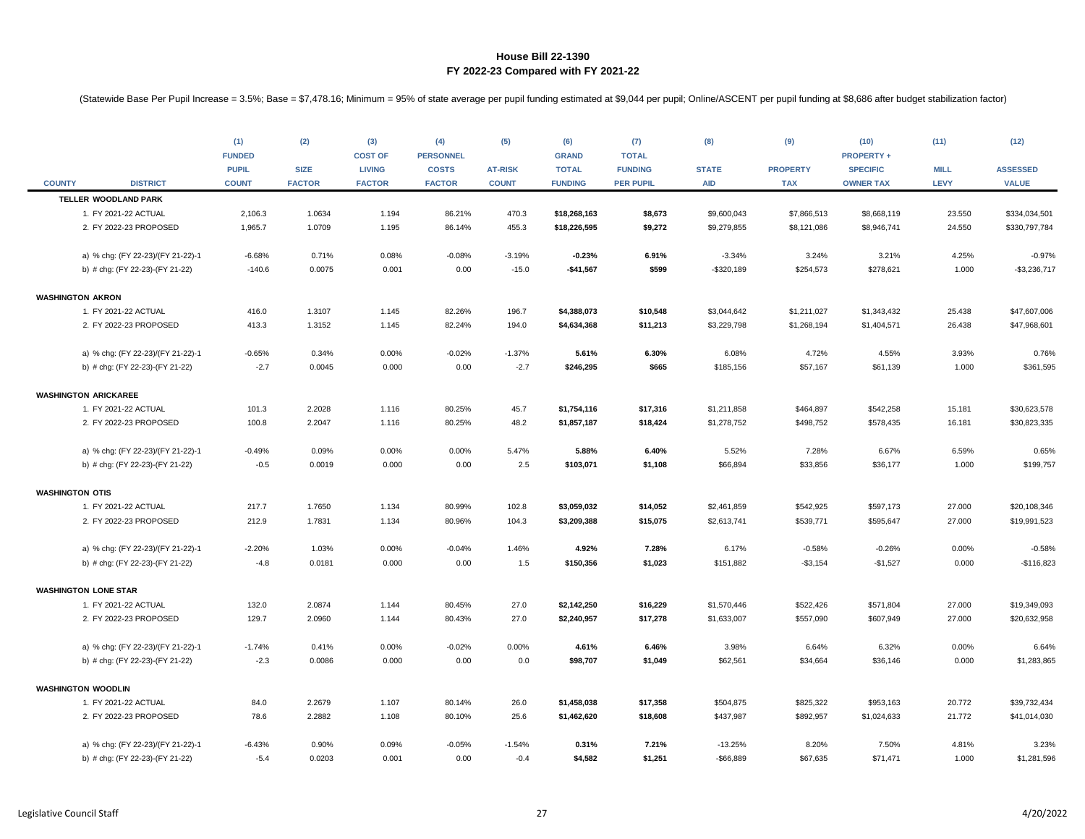|                        |                                   | (1)                          | (2)                          | (3)                            | (4)                           | (5)                            | (6)                            | (7)                                | (8)                        | (9)                           | (10)                                | (11)                | (12)                            |
|------------------------|-----------------------------------|------------------------------|------------------------------|--------------------------------|-------------------------------|--------------------------------|--------------------------------|------------------------------------|----------------------------|-------------------------------|-------------------------------------|---------------------|---------------------------------|
|                        |                                   | <b>FUNDED</b>                |                              | <b>COST OF</b>                 | <b>PERSONNEL</b>              |                                | <b>GRAND</b>                   | <b>TOTAL</b>                       |                            |                               | <b>PROPERTY +</b>                   |                     |                                 |
| <b>COUNTY</b>          | <b>DISTRICT</b>                   | <b>PUPIL</b><br><b>COUNT</b> | <b>SIZE</b><br><b>FACTOR</b> | <b>LIVING</b><br><b>FACTOR</b> | <b>COSTS</b><br><b>FACTOR</b> | <b>AT-RISK</b><br><b>COUNT</b> | <b>TOTAL</b><br><b>FUNDING</b> | <b>FUNDING</b><br><b>PER PUPIL</b> | <b>STATE</b><br><b>AID</b> | <b>PROPERTY</b><br><b>TAX</b> | <b>SPECIFIC</b><br><b>OWNER TAX</b> | <b>MILL</b><br>LEVY | <b>ASSESSED</b><br><b>VALUE</b> |
|                        | TELLER WOODLAND PARK              |                              |                              |                                |                               |                                |                                |                                    |                            |                               |                                     |                     |                                 |
|                        | 1. FY 2021-22 ACTUAL              | 2,106.3                      | 1.0634                       | 1.194                          | 86.21%                        | 470.3                          | \$18,268,163                   | \$8,673                            | \$9,600,043                | \$7,866,513                   | \$8,668,119                         | 23.550              | \$334,034,501                   |
|                        | 2. FY 2022-23 PROPOSED            | 1,965.7                      | 1.0709                       | 1.195                          | 86.14%                        | 455.3                          | \$18,226,595                   | \$9,272                            | \$9,279,855                | \$8,121,086                   | \$8,946,741                         | 24.550              | \$330,797,784                   |
|                        |                                   |                              |                              |                                |                               |                                |                                |                                    |                            |                               |                                     |                     |                                 |
|                        | a) % chg: (FY 22-23)/(FY 21-22)-1 | $-6.68%$                     | 0.71%                        | 0.08%                          | $-0.08%$                      | $-3.19%$                       | $-0.23%$                       | 6.91%                              | $-3.34%$                   | 3.24%                         | 3.21%                               | 4.25%               | $-0.97%$                        |
|                        | b) # chg: (FY 22-23)-(FY 21-22)   | $-140.6$                     | 0.0075                       | 0.001                          | 0.00                          | $-15.0$                        | $-$41,567$                     | \$599                              | $-$320,189$                | \$254,573                     | \$278,621                           | 1.000               | $-$3,236,717$                   |
|                        |                                   |                              |                              |                                |                               |                                |                                |                                    |                            |                               |                                     |                     |                                 |
|                        | <b>WASHINGTON AKRON</b>           |                              |                              |                                |                               |                                |                                |                                    |                            |                               |                                     |                     |                                 |
|                        | 1. FY 2021-22 ACTUAL              | 416.0                        | 1.3107                       | 1.145                          | 82.26%                        | 196.7                          | \$4,388,073                    | \$10,548                           | \$3,044,642                | \$1,211,027                   | \$1,343,432                         | 25.438              | \$47,607,006                    |
|                        | 2. FY 2022-23 PROPOSED            | 413.3                        | 1.3152                       | 1.145                          | 82.24%                        | 194.0                          | \$4,634,368                    | \$11,213                           | \$3,229,798                | \$1,268,194                   | \$1,404,571                         | 26.438              | \$47,968,601                    |
|                        |                                   |                              |                              |                                |                               |                                |                                |                                    |                            |                               |                                     |                     |                                 |
|                        | a) % chg: (FY 22-23)/(FY 21-22)-1 | $-0.65%$<br>$-2.7$           | 0.34%<br>0.0045              | 0.00%<br>0.000                 | $-0.02%$<br>0.00              | $-1.37%$<br>$-2.7$             | 5.61%<br>\$246,295             | 6.30%<br>\$665                     | 6.08%                      | 4.72%<br>\$57,167             | 4.55%                               | 3.93%<br>1.000      | 0.76%<br>\$361,595              |
|                        | b) # chg: (FY 22-23)-(FY 21-22)   |                              |                              |                                |                               |                                |                                |                                    | \$185,156                  |                               | \$61,139                            |                     |                                 |
|                        | <b>WASHINGTON ARICKAREE</b>       |                              |                              |                                |                               |                                |                                |                                    |                            |                               |                                     |                     |                                 |
|                        | 1. FY 2021-22 ACTUAL              | 101.3                        | 2.2028                       | 1.116                          | 80.25%                        | 45.7                           | \$1,754,116                    | \$17,316                           | \$1,211,858                | \$464,897                     | \$542,258                           | 15.181              | \$30,623,578                    |
|                        | 2. FY 2022-23 PROPOSED            | 100.8                        | 2.2047                       | 1.116                          | 80.25%                        | 48.2                           | \$1,857,187                    | \$18,424                           | \$1,278,752                | \$498,752                     | \$578,435                           | 16.181              | \$30,823,335                    |
|                        |                                   |                              |                              |                                |                               |                                |                                |                                    |                            |                               |                                     |                     |                                 |
|                        | a) % chg: (FY 22-23)/(FY 21-22)-1 | $-0.49%$                     | 0.09%                        | 0.00%                          | 0.00%                         | 5.47%                          | 5.88%                          | 6.40%                              | 5.52%                      | 7.28%                         | 6.67%                               | 6.59%               | 0.65%                           |
|                        | b) # chg: (FY 22-23)-(FY 21-22)   | $-0.5$                       | 0.0019                       | 0.000                          | 0.00                          | 2.5                            | \$103,071                      | \$1,108                            | \$66,894                   | \$33,856                      | \$36,177                            | 1.000               | \$199,757                       |
|                        |                                   |                              |                              |                                |                               |                                |                                |                                    |                            |                               |                                     |                     |                                 |
| <b>WASHINGTON OTIS</b> |                                   |                              |                              |                                |                               |                                |                                |                                    |                            |                               |                                     |                     |                                 |
|                        | 1. FY 2021-22 ACTUAL              | 217.7                        | 1.7650                       | 1.134                          | 80.99%                        | 102.8                          | \$3,059,032                    | \$14,052                           | \$2,461,859                | \$542,925                     | \$597,173                           | 27.000              | \$20,108,346                    |
|                        | 2. FY 2022-23 PROPOSED            | 212.9                        | 1.7831                       | 1.134                          | 80.96%                        | 104.3                          | \$3,209,388                    | \$15,075                           | \$2,613,741                | \$539,771                     | \$595,647                           | 27.000              | \$19,991,523                    |
|                        | a) % chg: (FY 22-23)/(FY 21-22)-1 | $-2.20%$                     | 1.03%                        | 0.00%                          | $-0.04%$                      | 1.46%                          | 4.92%                          | 7.28%                              | 6.17%                      | $-0.58%$                      | $-0.26%$                            | 0.00%               | $-0.58%$                        |
|                        | b) # chg: (FY 22-23)-(FY 21-22)   | $-4.8$                       | 0.0181                       | 0.000                          | 0.00                          | 1.5                            | \$150,356                      | \$1,023                            | \$151,882                  | $- $3,154$                    | $-$1,527$                           | 0.000               | $-$116,823$                     |
|                        |                                   |                              |                              |                                |                               |                                |                                |                                    |                            |                               |                                     |                     |                                 |
|                        | <b>WASHINGTON LONE STAR</b>       |                              |                              |                                |                               |                                |                                |                                    |                            |                               |                                     |                     |                                 |
|                        | 1. FY 2021-22 ACTUAL              | 132.0                        | 2.0874                       | 1.144                          | 80.45%                        | 27.0                           | \$2,142,250                    | \$16,229                           | \$1,570,446                | \$522,426                     | \$571,804                           | 27.000              | \$19,349,093                    |
|                        | 2. FY 2022-23 PROPOSED            | 129.7                        | 2.0960                       | 1.144                          | 80.43%                        | 27.0                           | \$2,240,957                    | \$17,278                           | \$1,633,007                | \$557,090                     | \$607,949                           | 27.000              | \$20,632,958                    |
|                        |                                   |                              |                              |                                |                               |                                |                                |                                    |                            |                               |                                     |                     |                                 |
|                        | a) % chg: (FY 22-23)/(FY 21-22)-1 | $-1.74%$                     | 0.41%                        | 0.00%                          | $-0.02%$                      | 0.00%                          | 4.61%                          | 6.46%                              | 3.98%                      | 6.64%                         | 6.32%                               | 0.00%               | 6.64%                           |
|                        | b) # chg: (FY 22-23)-(FY 21-22)   | $-2.3$                       | 0.0086                       | 0.000                          | 0.00                          | 0.0                            | \$98,707                       | \$1,049                            | \$62,561                   | \$34,664                      | \$36,146                            | 0.000               | \$1,283,865                     |
|                        | <b>WASHINGTON WOODLIN</b>         |                              |                              |                                |                               |                                |                                |                                    |                            |                               |                                     |                     |                                 |
|                        | 1. FY 2021-22 ACTUAL              | 84.0                         | 2.2679                       | 1.107                          | 80.14%                        | 26.0                           | \$1,458,038                    | \$17,358                           | \$504,875                  | \$825,322                     | \$953,163                           | 20.772              | \$39,732,434                    |
|                        | 2. FY 2022-23 PROPOSED            | 78.6                         | 2.2882                       | 1.108                          | 80.10%                        | 25.6                           | \$1,462,620                    | \$18,608                           | \$437,987                  | \$892,957                     | \$1,024,633                         | 21.772              | \$41,014,030                    |
|                        |                                   |                              |                              |                                |                               |                                |                                |                                    |                            |                               |                                     |                     |                                 |
|                        | a) % chg: (FY 22-23)/(FY 21-22)-1 | $-6.43%$                     | 0.90%                        | 0.09%                          | $-0.05%$                      | $-1.54%$                       | 0.31%                          | 7.21%                              | $-13.25%$                  | 8.20%                         | 7.50%                               | 4.81%               | 3.23%                           |
|                        | b) # chg: (FY 22-23)-(FY 21-22)   | $-5.4$                       | 0.0203                       | 0.001                          | 0.00                          | $-0.4$                         | \$4,582                        | \$1,251                            | $-$66,889$                 | \$67,635                      | \$71,471                            | 1.000               | \$1,281,596                     |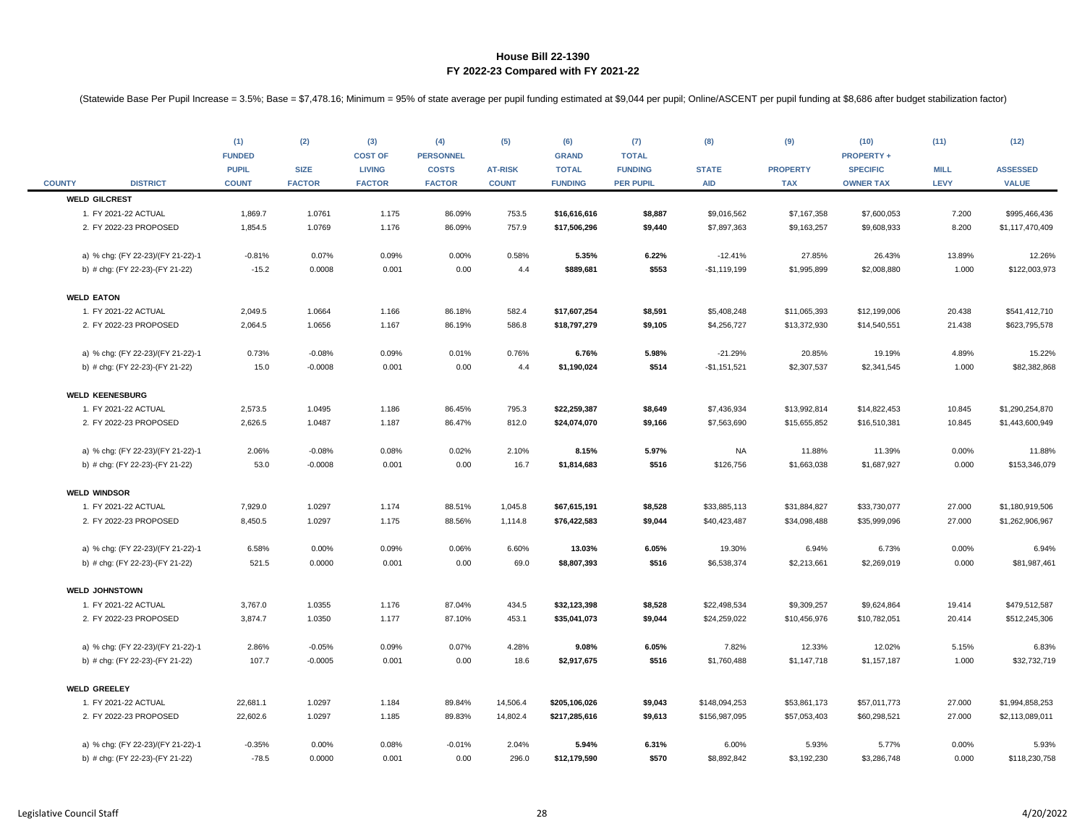| <b>COUNTY</b>     | <b>DISTRICT</b>                   | (1)<br><b>FUNDED</b><br><b>PUPIL</b><br><b>COUNT</b> | (2)<br><b>SIZE</b><br><b>FACTOR</b> | (3)<br><b>COST OF</b><br><b>LIVING</b><br><b>FACTOR</b> | (4)<br><b>PERSONNEL</b><br><b>COSTS</b><br><b>FACTOR</b> | (5)<br><b>AT-RISK</b><br><b>COUNT</b> | (6)<br><b>GRAND</b><br><b>TOTAL</b><br><b>FUNDING</b> | (7)<br><b>TOTAL</b><br><b>FUNDING</b><br><b>PER PUPIL</b> | (8)<br><b>STATE</b><br><b>AID</b> | (9)<br><b>PROPERTY</b><br><b>TAX</b> | (10)<br><b>PROPERTY +</b><br><b>SPECIFIC</b><br><b>OWNER TAX</b> | (11)<br><b>MILL</b><br><b>LEVY</b> | (12)<br><b>ASSESSED</b><br><b>VALUE</b> |
|-------------------|-----------------------------------|------------------------------------------------------|-------------------------------------|---------------------------------------------------------|----------------------------------------------------------|---------------------------------------|-------------------------------------------------------|-----------------------------------------------------------|-----------------------------------|--------------------------------------|------------------------------------------------------------------|------------------------------------|-----------------------------------------|
|                   | <b>WELD GILCREST</b>              |                                                      |                                     |                                                         |                                                          |                                       |                                                       |                                                           |                                   |                                      |                                                                  |                                    |                                         |
|                   | 1. FY 2021-22 ACTUAL              | 1,869.7                                              | 1.0761                              | 1.175                                                   | 86.09%                                                   | 753.5                                 | \$16,616,616                                          | \$8,887                                                   | \$9,016,562                       | \$7,167,358                          | \$7,600,053                                                      | 7.200                              | \$995,466,436                           |
|                   | 2. FY 2022-23 PROPOSED            | 1,854.5                                              | 1.0769                              | 1.176                                                   | 86.09%                                                   | 757.9                                 | \$17,506,296                                          | \$9,440                                                   | \$7,897,363                       | \$9,163,257                          | \$9,608,933                                                      | 8.200                              | \$1,117,470,409                         |
|                   | a) % chg: (FY 22-23)/(FY 21-22)-1 | $-0.81%$                                             | 0.07%                               | 0.09%                                                   | 0.00%                                                    | 0.58%                                 | 5.35%                                                 | 6.22%                                                     | $-12.41%$                         | 27.85%                               | 26.43%                                                           | 13.89%                             | 12.26%                                  |
|                   | b) # chg: (FY 22-23)-(FY 21-22)   | $-15.2$                                              | 0.0008                              | 0.001                                                   | 0.00                                                     | 4.4                                   | \$889,681                                             | \$553                                                     | $-$1,119,199$                     | \$1,995,899                          | \$2,008,880                                                      | 1.000                              | \$122,003,973                           |
| <b>WELD EATON</b> |                                   |                                                      |                                     |                                                         |                                                          |                                       |                                                       |                                                           |                                   |                                      |                                                                  |                                    |                                         |
|                   | 1. FY 2021-22 ACTUAL              | 2,049.5                                              | 1.0664                              | 1.166                                                   | 86.18%                                                   | 582.4                                 | \$17,607,254                                          | \$8,591                                                   | \$5,408,248                       | \$11,065,393                         | \$12,199,006                                                     | 20.438                             | \$541,412,710                           |
|                   | 2. FY 2022-23 PROPOSED            | 2,064.5                                              | 1.0656                              | 1.167                                                   | 86.19%                                                   | 586.8                                 | \$18,797,279                                          | \$9,105                                                   | \$4,256,727                       | \$13,372,930                         | \$14,540,551                                                     | 21.438                             | \$623,795,578                           |
|                   | a) % chg: (FY 22-23)/(FY 21-22)-1 | 0.73%                                                | $-0.08%$                            | 0.09%                                                   | 0.01%                                                    | 0.76%                                 | 6.76%                                                 | 5.98%                                                     | $-21.29%$                         | 20.85%                               | 19.19%                                                           | 4.89%                              | 15.22%                                  |
|                   | b) # chg: (FY 22-23)-(FY 21-22)   | 15.0                                                 | $-0.0008$                           | 0.001                                                   | 0.00                                                     | 4.4                                   | \$1,190,024                                           | \$514                                                     | $-$1,151,521$                     | \$2,307,537                          | \$2,341,545                                                      | 1.000                              | \$82,382,868                            |
|                   | <b>WELD KEENESBURG</b>            |                                                      |                                     |                                                         |                                                          |                                       |                                                       |                                                           |                                   |                                      |                                                                  |                                    |                                         |
|                   | 1. FY 2021-22 ACTUAL              | 2,573.5                                              | 1.0495                              | 1.186                                                   | 86.45%                                                   | 795.3                                 | \$22,259,387                                          | \$8,649                                                   | \$7,436,934                       | \$13,992,814                         | \$14,822,453                                                     | 10.845                             | \$1,290,254,870                         |
|                   | 2. FY 2022-23 PROPOSED            | 2,626.5                                              | 1.0487                              | 1.187                                                   | 86.47%                                                   | 812.0                                 | \$24,074,070                                          | \$9,166                                                   | \$7,563,690                       | \$15,655,852                         | \$16,510,381                                                     | 10.845                             | \$1,443,600,949                         |
|                   | a) % chg: (FY 22-23)/(FY 21-22)-1 | 2.06%                                                | $-0.08%$                            | 0.08%                                                   | 0.02%                                                    | 2.10%                                 | 8.15%                                                 | 5.97%                                                     | <b>NA</b>                         | 11.88%                               | 11.39%                                                           | 0.00%                              | 11.88%                                  |
|                   | b) # chg: (FY 22-23)-(FY 21-22)   | 53.0                                                 | $-0.0008$                           | 0.001                                                   | 0.00                                                     | 16.7                                  | \$1,814,683                                           | \$516                                                     | \$126,756                         | \$1,663,038                          | \$1,687,927                                                      | 0.000                              | \$153,346,079                           |
|                   | <b>WELD WINDSOR</b>               |                                                      |                                     |                                                         |                                                          |                                       |                                                       |                                                           |                                   |                                      |                                                                  |                                    |                                         |
|                   | 1. FY 2021-22 ACTUAL              | 7,929.0                                              | 1.0297                              | 1.174                                                   | 88.51%                                                   | 1,045.8                               | \$67,615,191                                          | \$8,528                                                   | \$33,885,113                      | \$31,884,827                         | \$33,730,077                                                     | 27.000                             | \$1,180,919,506                         |
|                   | 2. FY 2022-23 PROPOSED            | 8,450.5                                              | 1.0297                              | 1.175                                                   | 88.56%                                                   | 1,114.8                               | \$76,422,583                                          | \$9,044                                                   | \$40,423,487                      | \$34,098,488                         | \$35,999,096                                                     | 27.000                             | \$1,262,906,967                         |
|                   | a) % chg: (FY 22-23)/(FY 21-22)-1 | 6.58%                                                | 0.00%                               | 0.09%                                                   | 0.06%                                                    | 6.60%                                 | 13.03%                                                | 6.05%                                                     | 19.30%                            | 6.94%                                | 6.73%                                                            | 0.00%                              | 6.94%                                   |
|                   | b) # chg: (FY 22-23)-(FY 21-22)   | 521.5                                                | 0.0000                              | 0.001                                                   | 0.00                                                     | 69.0                                  | \$8,807,393                                           | \$516                                                     | \$6,538,374                       | \$2,213,661                          | \$2,269,019                                                      | 0.000                              | \$81,987,461                            |
|                   | <b>WELD JOHNSTOWN</b>             |                                                      |                                     |                                                         |                                                          |                                       |                                                       |                                                           |                                   |                                      |                                                                  |                                    |                                         |
|                   | 1. FY 2021-22 ACTUAL              | 3,767.0                                              | 1.0355                              | 1.176                                                   | 87.04%                                                   | 434.5                                 | \$32,123,398                                          | \$8,528                                                   | \$22,498,534                      | \$9,309,257                          | \$9,624,864                                                      | 19.414                             | \$479,512,587                           |
|                   | 2. FY 2022-23 PROPOSED            | 3,874.7                                              | 1.0350                              | 1.177                                                   | 87.10%                                                   | 453.1                                 | \$35,041,073                                          | \$9,044                                                   | \$24,259,022                      | \$10,456,976                         | \$10,782,051                                                     | 20.414                             | \$512,245,306                           |
|                   | a) % chg: (FY 22-23)/(FY 21-22)-1 | 2.86%                                                | $-0.05%$                            | 0.09%                                                   | 0.07%                                                    | 4.28%                                 | 9.08%                                                 | 6.05%                                                     | 7.82%                             | 12.33%                               | 12.02%                                                           | 5.15%                              | 6.83%                                   |
|                   | b) # chg: (FY 22-23)-(FY 21-22)   | 107.7                                                | $-0.0005$                           | 0.001                                                   | 0.00                                                     | 18.6                                  | \$2,917,675                                           | \$516                                                     | \$1,760,488                       | \$1,147,718                          | \$1,157,187                                                      | 1.000                              | \$32,732,719                            |
|                   | <b>WELD GREELEY</b>               |                                                      |                                     |                                                         |                                                          |                                       |                                                       |                                                           |                                   |                                      |                                                                  |                                    |                                         |
|                   | 1. FY 2021-22 ACTUAL              | 22,681.1                                             | 1.0297                              | 1.184                                                   | 89.84%                                                   | 14,506.4                              | \$205,106,026                                         | \$9,043                                                   | \$148,094,253                     | \$53,861,173                         | \$57,011,773                                                     | 27.000                             | \$1,994,858,253                         |
|                   | 2. FY 2022-23 PROPOSED            | 22,602.6                                             | 1.0297                              | 1.185                                                   | 89.83%                                                   | 14,802.4                              | \$217,285,616                                         | \$9,613                                                   | \$156,987,095                     | \$57,053,403                         | \$60,298,521                                                     | 27.000                             | \$2,113,089,011                         |
|                   | a) % chg: (FY 22-23)/(FY 21-22)-1 | $-0.35%$                                             | 0.00%                               | 0.08%                                                   | $-0.01%$                                                 | 2.04%                                 | 5.94%                                                 | 6.31%                                                     | 6.00%                             | 5.93%                                | 5.77%                                                            | 0.00%                              | 5.93%                                   |
|                   | b) # chg: (FY 22-23)-(FY 21-22)   | $-78.5$                                              | 0.0000                              | 0.001                                                   | 0.00                                                     | 296.0                                 | \$12,179,590                                          | \$570                                                     | \$8,892,842                       | \$3,192,230                          | \$3,286,748                                                      | 0.000                              | \$118,230,758                           |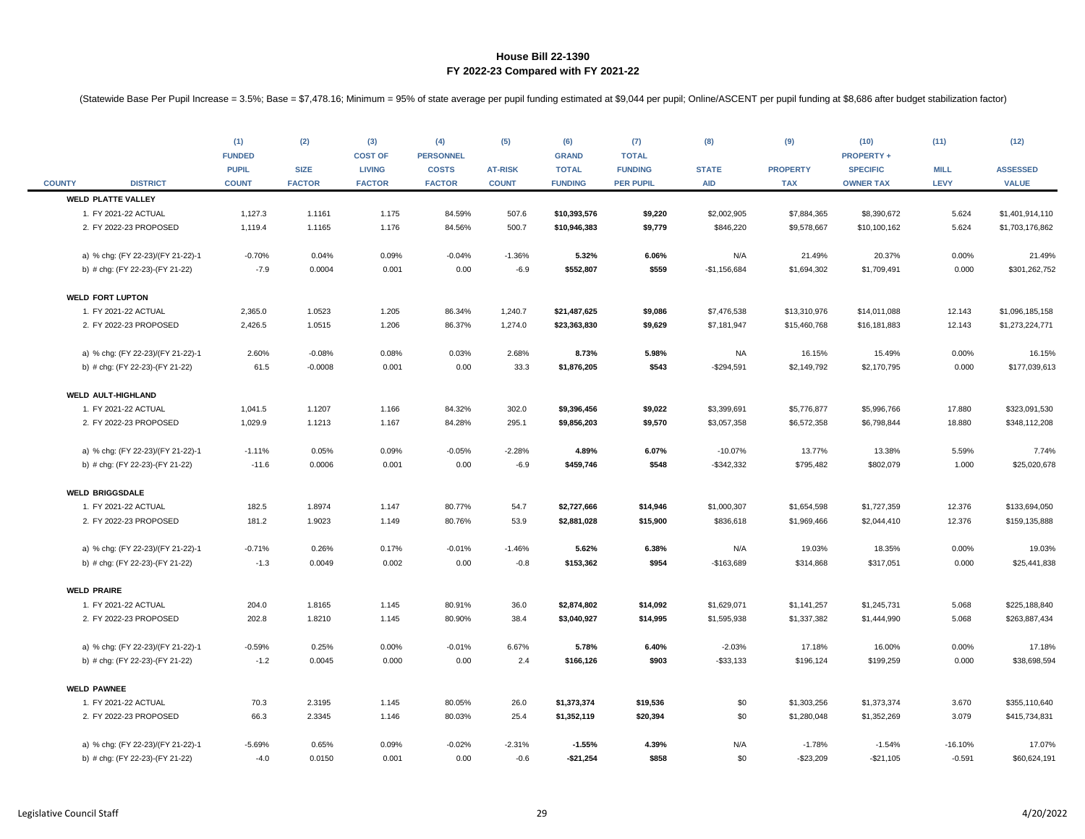| <b>COUNTY</b>      | <b>DISTRICT</b>                   | (1)<br><b>FUNDED</b><br><b>PUPIL</b><br><b>COUNT</b> | (2)<br><b>SIZE</b><br><b>FACTOR</b> | (3)<br><b>COST OF</b><br><b>LIVING</b><br><b>FACTOR</b> | (4)<br><b>PERSONNEL</b><br><b>COSTS</b><br><b>FACTOR</b> | (5)<br><b>AT-RISK</b><br><b>COUNT</b> | (6)<br><b>GRAND</b><br><b>TOTAL</b><br><b>FUNDING</b> | (7)<br><b>TOTAL</b><br><b>FUNDING</b><br><b>PER PUPIL</b> | (8)<br><b>STATE</b><br><b>AID</b> | (9)<br><b>PROPERTY</b><br><b>TAX</b> | (10)<br><b>PROPERTY+</b><br><b>SPECIFIC</b><br><b>OWNER TAX</b> | (11)<br><b>MILL</b><br>LEVY | (12)<br><b>ASSESSED</b><br><b>VALUE</b> |
|--------------------|-----------------------------------|------------------------------------------------------|-------------------------------------|---------------------------------------------------------|----------------------------------------------------------|---------------------------------------|-------------------------------------------------------|-----------------------------------------------------------|-----------------------------------|--------------------------------------|-----------------------------------------------------------------|-----------------------------|-----------------------------------------|
|                    | <b>WELD PLATTE VALLEY</b>         |                                                      |                                     |                                                         |                                                          |                                       |                                                       |                                                           |                                   |                                      |                                                                 |                             |                                         |
|                    | 1. FY 2021-22 ACTUAL              | 1,127.3                                              | 1.1161                              | 1.175                                                   | 84.59%                                                   | 507.6                                 | \$10,393,576                                          | \$9,220                                                   | \$2,002,905                       | \$7,884,365                          | \$8,390,672                                                     | 5.624                       | \$1,401,914,110                         |
|                    | 2. FY 2022-23 PROPOSED            | 1,119.4                                              | 1.1165                              | 1.176                                                   | 84.56%                                                   | 500.7                                 | \$10,946,383                                          | \$9,779                                                   | \$846,220                         | \$9,578,667                          | \$10,100,162                                                    | 5.624                       | \$1,703,176,862                         |
|                    | a) % chg: (FY 22-23)/(FY 21-22)-1 | $-0.70%$                                             | 0.04%                               | 0.09%                                                   | $-0.04%$                                                 | $-1.36%$                              | 5.32%                                                 | 6.06%                                                     | N/A                               | 21.49%                               | 20.37%                                                          | 0.00%                       | 21.49%                                  |
|                    | b) # chg: (FY 22-23)-(FY 21-22)   | $-7.9$                                               | 0.0004                              | 0.001                                                   | 0.00                                                     | $-6.9$                                | \$552,807                                             | \$559                                                     | $-$1,156,684$                     | \$1,694,302                          | \$1,709,491                                                     | 0.000                       | \$301,262,752                           |
|                    | <b>WELD FORT LUPTON</b>           |                                                      |                                     |                                                         |                                                          |                                       |                                                       |                                                           |                                   |                                      |                                                                 |                             |                                         |
|                    | 1. FY 2021-22 ACTUAL              | 2,365.0                                              | 1.0523                              | 1.205                                                   | 86.34%                                                   | 1,240.7                               | \$21,487,625                                          | \$9,086                                                   | \$7,476,538                       | \$13,310,976                         | \$14,011,088                                                    | 12.143                      | \$1,096,185,158                         |
|                    | 2. FY 2022-23 PROPOSED            | 2,426.5                                              | 1.0515                              | 1.206                                                   | 86.37%                                                   | 1,274.0                               | \$23,363,830                                          | \$9,629                                                   | \$7,181,947                       | \$15,460,768                         | \$16,181,883                                                    | 12.143                      | \$1,273,224,771                         |
|                    | a) % chg: (FY 22-23)/(FY 21-22)-1 | 2.60%                                                | $-0.08%$                            | 0.08%                                                   | 0.03%                                                    | 2.68%                                 | 8.73%                                                 | 5.98%                                                     | NA                                | 16.15%                               | 15.49%                                                          | 0.00%                       | 16.15%                                  |
|                    | b) # chg: (FY 22-23)-(FY 21-22)   | 61.5                                                 | $-0.0008$                           | 0.001                                                   | 0.00                                                     | 33.3                                  | \$1,876,205                                           | \$543                                                     | $-$294,591$                       | \$2,149,792                          | \$2,170,795                                                     | 0.000                       | \$177,039,613                           |
|                    | <b>WELD AULT-HIGHLAND</b>         |                                                      |                                     |                                                         |                                                          |                                       |                                                       |                                                           |                                   |                                      |                                                                 |                             |                                         |
|                    | 1. FY 2021-22 ACTUAL              | 1,041.5                                              | 1.1207                              | 1.166                                                   | 84.32%                                                   | 302.0                                 | \$9,396,456                                           | \$9,022                                                   | \$3,399,691                       | \$5,776,877                          | \$5,996,766                                                     | 17.880                      | \$323,091,530                           |
|                    | 2. FY 2022-23 PROPOSED            | 1,029.9                                              | 1.1213                              | 1.167                                                   | 84.28%                                                   | 295.1                                 | \$9,856,203                                           | \$9,570                                                   | \$3,057,358                       | \$6,572,358                          | \$6,798,844                                                     | 18.880                      | \$348,112,208                           |
|                    | a) % chg: (FY 22-23)/(FY 21-22)-1 | $-1.11%$                                             | 0.05%                               | 0.09%                                                   | $-0.05%$                                                 | $-2.28%$                              | 4.89%                                                 | 6.07%                                                     | $-10.07%$                         | 13.77%                               | 13.38%                                                          | 5.59%                       | 7.74%                                   |
|                    | b) # chg: (FY 22-23)-(FY 21-22)   | $-11.6$                                              | 0.0006                              | 0.001                                                   | 0.00                                                     | $-6.9$                                | \$459,746                                             | \$548                                                     | $-$ \$342,332                     | \$795,482                            | \$802,079                                                       | 1.000                       | \$25,020,678                            |
|                    | <b>WELD BRIGGSDALE</b>            |                                                      |                                     |                                                         |                                                          |                                       |                                                       |                                                           |                                   |                                      |                                                                 |                             |                                         |
|                    | 1. FY 2021-22 ACTUAL              | 182.5                                                | 1.8974                              | 1.147                                                   | 80.77%                                                   | 54.7                                  | \$2,727,666                                           | \$14,946                                                  | \$1,000,307                       | \$1,654,598                          | \$1,727,359                                                     | 12.376                      | \$133,694,050                           |
|                    | 2. FY 2022-23 PROPOSED            | 181.2                                                | 1.9023                              | 1.149                                                   | 80.76%                                                   | 53.9                                  | \$2,881,028                                           | \$15,900                                                  | \$836,618                         | \$1,969,466                          | \$2,044,410                                                     | 12.376                      | \$159,135,888                           |
|                    | a) % chg: (FY 22-23)/(FY 21-22)-1 | $-0.71%$                                             | 0.26%                               | 0.17%                                                   | $-0.01%$                                                 | $-1.46%$                              | 5.62%                                                 | 6.38%                                                     | N/A                               | 19.03%                               | 18.35%                                                          | 0.00%                       | 19.03%                                  |
|                    | b) # chg: (FY 22-23)-(FY 21-22)   | $-1.3$                                               | 0.0049                              | 0.002                                                   | 0.00                                                     | $-0.8$                                | \$153,362                                             | \$954                                                     | $-$163,689$                       | \$314,868                            | \$317,051                                                       | 0.000                       | \$25,441,838                            |
| <b>WELD PRAIRE</b> |                                   |                                                      |                                     |                                                         |                                                          |                                       |                                                       |                                                           |                                   |                                      |                                                                 |                             |                                         |
|                    | 1. FY 2021-22 ACTUAL              | 204.0                                                | 1.8165                              | 1.145                                                   | 80.91%                                                   | 36.0                                  | \$2,874,802                                           | \$14,092                                                  | \$1,629,071                       | \$1,141,257                          | \$1,245,731                                                     | 5.068                       | \$225,188,840                           |
|                    | 2. FY 2022-23 PROPOSED            | 202.8                                                | 1.8210                              | 1.145                                                   | 80.90%                                                   | 38.4                                  | \$3,040,927                                           | \$14,995                                                  | \$1,595,938                       | \$1,337,382                          | \$1,444,990                                                     | 5.068                       | \$263,887,434                           |
|                    | a) % chg: (FY 22-23)/(FY 21-22)-1 | $-0.59%$                                             | 0.25%                               | 0.00%                                                   | $-0.01%$                                                 | 6.67%                                 | 5.78%                                                 | 6.40%                                                     | $-2.03%$                          | 17.18%                               | 16.00%                                                          | 0.00%                       | 17.18%                                  |
|                    | b) # chg: (FY 22-23)-(FY 21-22)   | $-1.2$                                               | 0.0045                              | 0.000                                                   | 0.00                                                     | 2.4                                   | \$166,126                                             | \$903                                                     | $- $33,133$                       | \$196,124                            | \$199,259                                                       | 0.000                       | \$38,698,594                            |
|                    | <b>WELD PAWNEE</b>                |                                                      |                                     |                                                         |                                                          |                                       |                                                       |                                                           |                                   |                                      |                                                                 |                             |                                         |
|                    | 1. FY 2021-22 ACTUAL              | 70.3                                                 | 2.3195                              | 1.145                                                   | 80.05%                                                   | 26.0                                  | \$1,373,374                                           | \$19,536                                                  | \$0                               | \$1,303,256                          | \$1,373,374                                                     | 3.670                       | \$355,110,640                           |
|                    | 2. FY 2022-23 PROPOSED            | 66.3                                                 | 2.3345                              | 1.146                                                   | 80.03%                                                   | 25.4                                  | \$1,352,119                                           | \$20,394                                                  | \$0                               | \$1,280,048                          | \$1,352,269                                                     | 3.079                       | \$415,734,831                           |
|                    | a) % chg: (FY 22-23)/(FY 21-22)-1 | $-5.69%$                                             | 0.65%                               | 0.09%                                                   | $-0.02%$                                                 | $-2.31%$                              | $-1.55%$                                              | 4.39%                                                     | N/A                               | $-1.78%$                             | $-1.54%$                                                        | $-16.10%$                   | 17.07%                                  |
|                    | b) # chg: (FY 22-23)-(FY 21-22)   | $-4.0$                                               | 0.0150                              | 0.001                                                   | 0.00                                                     | $-0.6$                                | $-$21,254$                                            | \$858                                                     | \$0                               | $-$23,209$                           | $-$21,105$                                                      | $-0.591$                    | \$60,624,191                            |